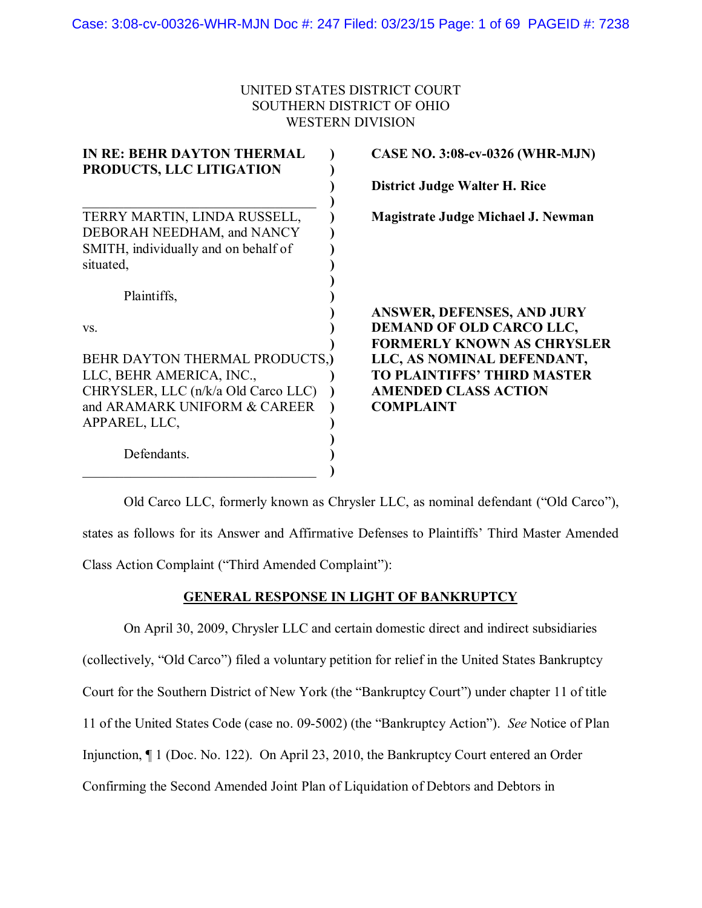## UNITED STATES DISTRICT COURT SOUTHERN DISTRICT OF OHIO WESTERN DIVISION

| <b>IN RE: BEHR DAYTON THERMAL</b><br>PRODUCTS, LLC LITIGATION                                                   | CASE NO. 3:08-cv-0326 (WHR-MJN)                                  |
|-----------------------------------------------------------------------------------------------------------------|------------------------------------------------------------------|
|                                                                                                                 | <b>District Judge Walter H. Rice</b>                             |
| TERRY MARTIN, LINDA RUSSELL,<br>DEBORAH NEEDHAM, and NANCY<br>SMITH, individually and on behalf of<br>situated, | Magistrate Judge Michael J. Newman                               |
| Plaintiffs,                                                                                                     |                                                                  |
|                                                                                                                 | <b>ANSWER, DEFENSES, AND JURY</b>                                |
| VS.                                                                                                             | <b>DEMAND OF OLD CARCO LLC,</b>                                  |
| BEHR DAYTON THERMAL PRODUCTS.)                                                                                  | <b>FORMERLY KNOWN AS CHRYSLER</b>                                |
| LLC, BEHR AMERICA, INC.,                                                                                        | LLC, AS NOMINAL DEFENDANT,<br><b>TO PLAINTIFFS' THIRD MASTER</b> |
| CHRYSLER, LLC (n/k/a Old Carco LLC)                                                                             | <b>AMENDED CLASS ACTION</b>                                      |
| and ARAMARK UNIFORM & CAREER                                                                                    | <b>COMPLAINT</b>                                                 |
| APPAREL, LLC,                                                                                                   |                                                                  |
|                                                                                                                 |                                                                  |
| Defendants.                                                                                                     |                                                                  |
|                                                                                                                 |                                                                  |

Old Carco LLC, formerly known as Chrysler LLC, as nominal defendant ("Old Carco"), states as follows for its Answer and Affirmative Defenses to Plaintiffs' Third Master Amended Class Action Complaint ("Third Amended Complaint"):

### **GENERAL RESPONSE IN LIGHT OF BANKRUPTCY**

On April 30, 2009, Chrysler LLC and certain domestic direct and indirect subsidiaries (collectively, "Old Carco") filed a voluntary petition for relief in the United States Bankruptcy Court for the Southern District of New York (the "Bankruptcy Court") under chapter 11 of title 11 of the United States Code (case no. 09-5002) (the "Bankruptcy Action"). *See* Notice of Plan Injunction, ¶ 1 (Doc. No. 122). On April 23, 2010, the Bankruptcy Court entered an Order Confirming the Second Amended Joint Plan of Liquidation of Debtors and Debtors in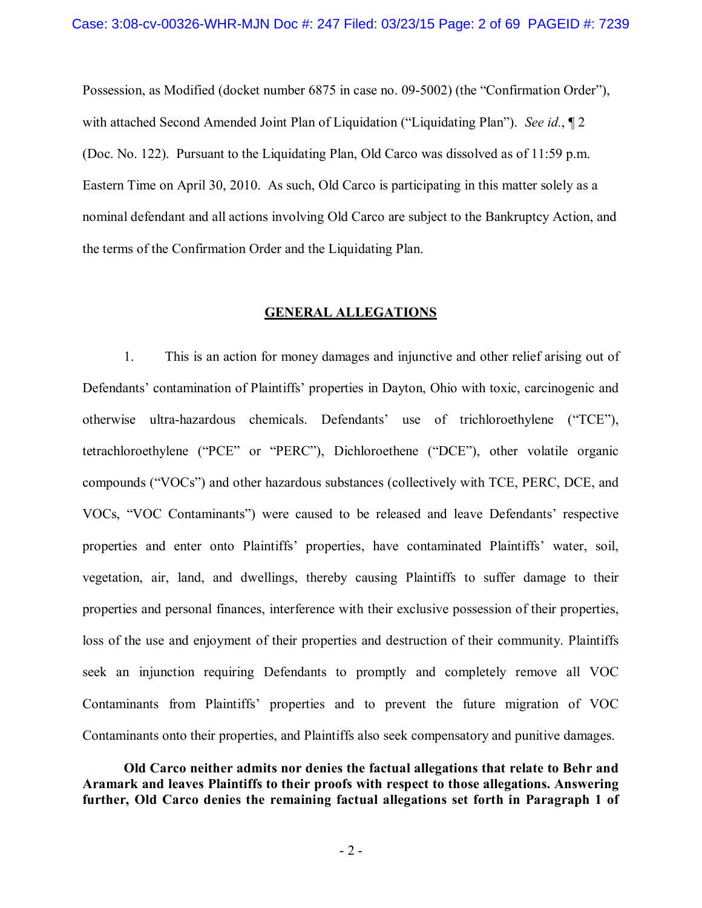Possession, as Modified (docket number 6875 in case no. 09-5002) (the "Confirmation Order"), with attached Second Amended Joint Plan of Liquidation ("Liquidating Plan"). *See id.*, ¶ 2 (Doc. No. 122). Pursuant to the Liquidating Plan, Old Carco was dissolved as of 11:59 p.m. Eastern Time on April 30, 2010. As such, Old Carco is participating in this matter solely as a nominal defendant and all actions involving Old Carco are subject to the Bankruptcy Action, and the terms of the Confirmation Order and the Liquidating Plan.

#### **GENERAL ALLEGATIONS**

1. This is an action for money damages and injunctive and other relief arising out of Defendants' contamination of Plaintiffs' properties in Dayton, Ohio with toxic, carcinogenic and otherwise ultra-hazardous chemicals. Defendants' use of trichloroethylene ("TCE"), tetrachloroethylene ("PCE" or "PERC"), Dichloroethene ("DCE"), other volatile organic compounds ("VOCs") and other hazardous substances (collectively with TCE, PERC, DCE, and VOCs, "VOC Contaminants") were caused to be released and leave Defendants' respective properties and enter onto Plaintiffs' properties, have contaminated Plaintiffs' water, soil, vegetation, air, land, and dwellings, thereby causing Plaintiffs to suffer damage to their properties and personal finances, interference with their exclusive possession of their properties, loss of the use and enjoyment of their properties and destruction of their community. Plaintiffs seek an injunction requiring Defendants to promptly and completely remove all VOC Contaminants from Plaintiffs' properties and to prevent the future migration of VOC Contaminants onto their properties, and Plaintiffs also seek compensatory and punitive damages.

**Old Carco neither admits nor denies the factual allegations that relate to Behr and Aramark and leaves Plaintiffs to their proofs with respect to those allegations. Answering further, Old Carco denies the remaining factual allegations set forth in Paragraph 1 of**

- 2 -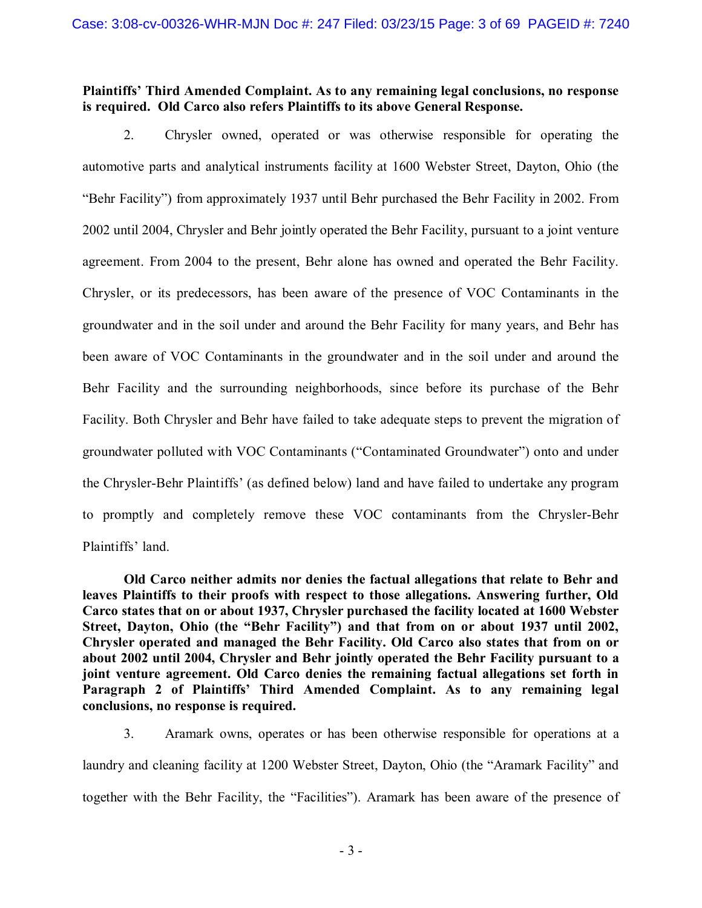### **Plaintiffs' Third Amended Complaint. As to any remaining legal conclusions, no response is required. Old Carco also refers Plaintiffs to its above General Response.**

2. Chrysler owned, operated or was otherwise responsible for operating the automotive parts and analytical instruments facility at 1600 Webster Street, Dayton, Ohio (the "Behr Facility") from approximately 1937 until Behr purchased the Behr Facility in 2002. From 2002 until 2004, Chrysler and Behr jointly operated the Behr Facility, pursuant to a joint venture agreement. From 2004 to the present, Behr alone has owned and operated the Behr Facility. Chrysler, or its predecessors, has been aware of the presence of VOC Contaminants in the groundwater and in the soil under and around the Behr Facility for many years, and Behr has been aware of VOC Contaminants in the groundwater and in the soil under and around the Behr Facility and the surrounding neighborhoods, since before its purchase of the Behr Facility. Both Chrysler and Behr have failed to take adequate steps to prevent the migration of groundwater polluted with VOC Contaminants ("Contaminated Groundwater") onto and under the Chrysler-Behr Plaintiffs' (as defined below) land and have failed to undertake any program to promptly and completely remove these VOC contaminants from the Chrysler-Behr Plaintiffs' land.

**Old Carco neither admits nor denies the factual allegations that relate to Behr and leaves Plaintiffs to their proofs with respect to those allegations. Answering further, Old Carco states that on or about 1937, Chrysler purchased the facility located at 1600 Webster Street, Dayton, Ohio (the "Behr Facility") and that from on or about 1937 until 2002, Chrysler operated and managed the Behr Facility. Old Carco also states that from on or about 2002 until 2004, Chrysler and Behr jointly operated the Behr Facility pursuant to a joint venture agreement. Old Carco denies the remaining factual allegations set forth in Paragraph 2 of Plaintiffs' Third Amended Complaint. As to any remaining legal conclusions, no response is required.**

3. Aramark owns, operates or has been otherwise responsible for operations at a laundry and cleaning facility at 1200 Webster Street, Dayton, Ohio (the "Aramark Facility" and together with the Behr Facility, the "Facilities"). Aramark has been aware of the presence of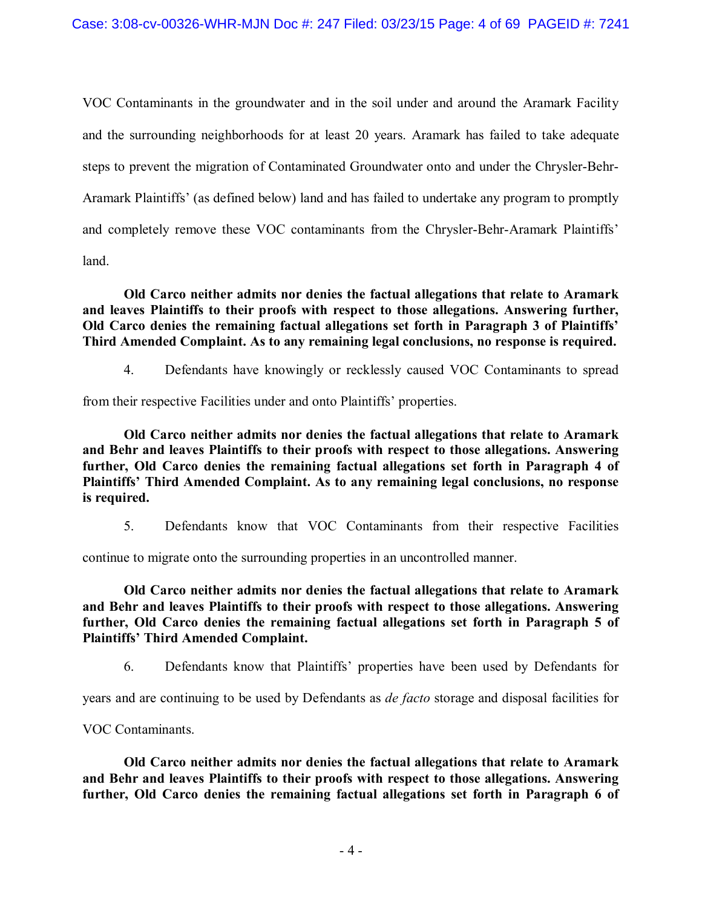VOC Contaminants in the groundwater and in the soil under and around the Aramark Facility and the surrounding neighborhoods for at least 20 years. Aramark has failed to take adequate steps to prevent the migration of Contaminated Groundwater onto and under the Chrysler-Behr-Aramark Plaintiffs' (as defined below) land and has failed to undertake any program to promptly and completely remove these VOC contaminants from the Chrysler-Behr-Aramark Plaintiffs' land.

**Old Carco neither admits nor denies the factual allegations that relate to Aramark and leaves Plaintiffs to their proofs with respect to those allegations. Answering further, Old Carco denies the remaining factual allegations set forth in Paragraph 3 of Plaintiffs' Third Amended Complaint. As to any remaining legal conclusions, no response is required.**

4. Defendants have knowingly or recklessly caused VOC Contaminants to spread

from their respective Facilities under and onto Plaintiffs' properties.

**Old Carco neither admits nor denies the factual allegations that relate to Aramark and Behr and leaves Plaintiffs to their proofs with respect to those allegations. Answering further, Old Carco denies the remaining factual allegations set forth in Paragraph 4 of Plaintiffs' Third Amended Complaint. As to any remaining legal conclusions, no response is required.**

5. Defendants know that VOC Contaminants from their respective Facilities

continue to migrate onto the surrounding properties in an uncontrolled manner.

**Old Carco neither admits nor denies the factual allegations that relate to Aramark and Behr and leaves Plaintiffs to their proofs with respect to those allegations. Answering further, Old Carco denies the remaining factual allegations set forth in Paragraph 5 of Plaintiffs' Third Amended Complaint.**

6. Defendants know that Plaintiffs' properties have been used by Defendants for

years and are continuing to be used by Defendants as *de facto* storage and disposal facilities for

VOC Contaminants.

**Old Carco neither admits nor denies the factual allegations that relate to Aramark and Behr and leaves Plaintiffs to their proofs with respect to those allegations. Answering further, Old Carco denies the remaining factual allegations set forth in Paragraph 6 of**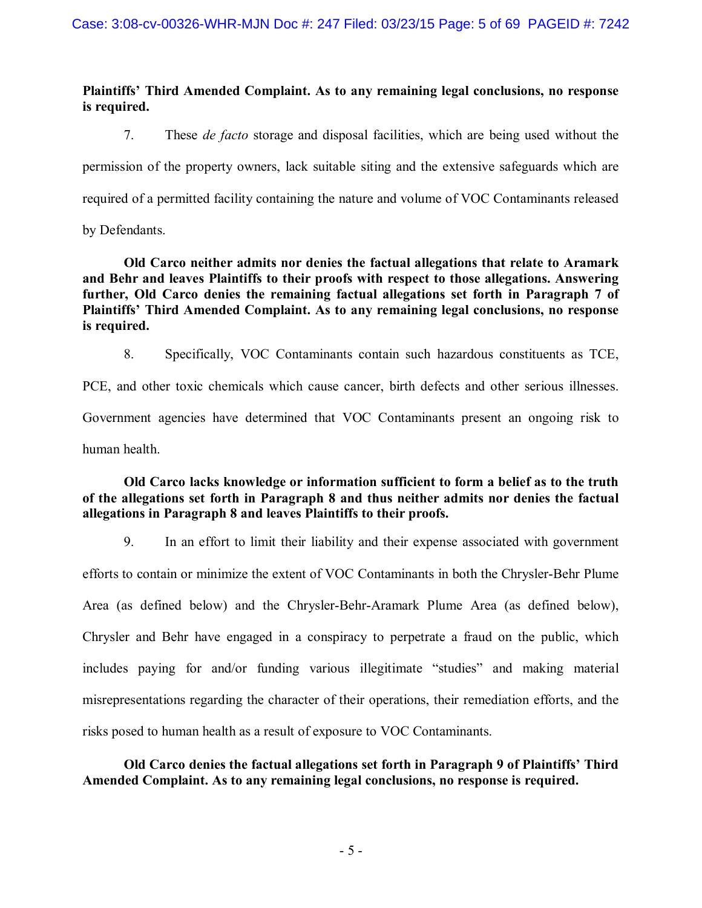## **Plaintiffs' Third Amended Complaint. As to any remaining legal conclusions, no response is required.**

7. These *de facto* storage and disposal facilities, which are being used without the permission of the property owners, lack suitable siting and the extensive safeguards which are required of a permitted facility containing the nature and volume of VOC Contaminants released

by Defendants.

**Old Carco neither admits nor denies the factual allegations that relate to Aramark and Behr and leaves Plaintiffs to their proofs with respect to those allegations. Answering further, Old Carco denies the remaining factual allegations set forth in Paragraph 7 of Plaintiffs' Third Amended Complaint. As to any remaining legal conclusions, no response is required.**

8. Specifically, VOC Contaminants contain such hazardous constituents as TCE, PCE, and other toxic chemicals which cause cancer, birth defects and other serious illnesses. Government agencies have determined that VOC Contaminants present an ongoing risk to human health.

## **Old Carco lacks knowledge or information sufficient to form a belief as to the truth of the allegations set forth in Paragraph 8 and thus neither admits nor denies the factual allegations in Paragraph 8 and leaves Plaintiffs to their proofs.**

9. In an effort to limit their liability and their expense associated with government efforts to contain or minimize the extent of VOC Contaminants in both the Chrysler-Behr Plume Area (as defined below) and the Chrysler-Behr-Aramark Plume Area (as defined below), Chrysler and Behr have engaged in a conspiracy to perpetrate a fraud on the public, which includes paying for and/or funding various illegitimate "studies" and making material misrepresentations regarding the character of their operations, their remediation efforts, and the risks posed to human health as a result of exposure to VOC Contaminants.

# **Old Carco denies the factual allegations set forth in Paragraph 9 of Plaintiffs' Third Amended Complaint. As to any remaining legal conclusions, no response is required.**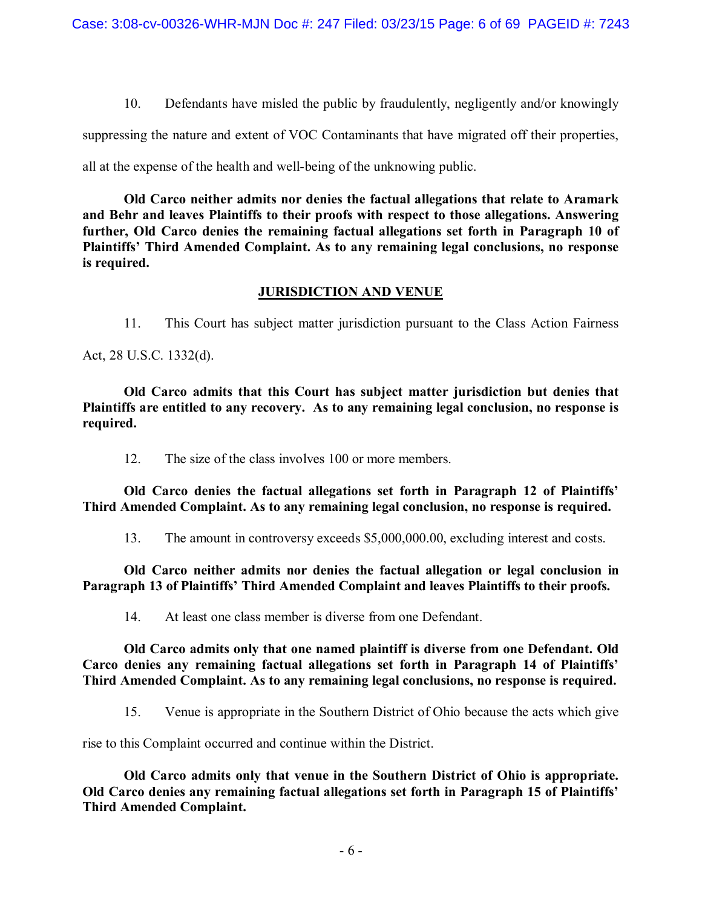10. Defendants have misled the public by fraudulently, negligently and/or knowingly

suppressing the nature and extent of VOC Contaminants that have migrated off their properties,

all at the expense of the health and well-being of the unknowing public.

**Old Carco neither admits nor denies the factual allegations that relate to Aramark and Behr and leaves Plaintiffs to their proofs with respect to those allegations. Answering further, Old Carco denies the remaining factual allegations set forth in Paragraph 10 of Plaintiffs' Third Amended Complaint. As to any remaining legal conclusions, no response is required.**

## **JURISDICTION AND VENUE**

11. This Court has subject matter jurisdiction pursuant to the Class Action Fairness

Act, 28 U.S.C. 1332(d).

**Old Carco admits that this Court has subject matter jurisdiction but denies that Plaintiffs are entitled to any recovery. As to any remaining legal conclusion, no response is required.**

12. The size of the class involves 100 or more members.

**Old Carco denies the factual allegations set forth in Paragraph 12 of Plaintiffs' Third Amended Complaint. As to any remaining legal conclusion, no response is required.**

13. The amount in controversy exceeds \$5,000,000.00, excluding interest and costs.

**Old Carco neither admits nor denies the factual allegation or legal conclusion in Paragraph 13 of Plaintiffs' Third Amended Complaint and leaves Plaintiffs to their proofs.**

14. At least one class member is diverse from one Defendant.

**Old Carco admits only that one named plaintiff is diverse from one Defendant. Old Carco denies any remaining factual allegations set forth in Paragraph 14 of Plaintiffs' Third Amended Complaint. As to any remaining legal conclusions, no response is required.**

15. Venue is appropriate in the Southern District of Ohio because the acts which give

rise to this Complaint occurred and continue within the District.

**Old Carco admits only that venue in the Southern District of Ohio is appropriate. Old Carco denies any remaining factual allegations set forth in Paragraph 15 of Plaintiffs' Third Amended Complaint.**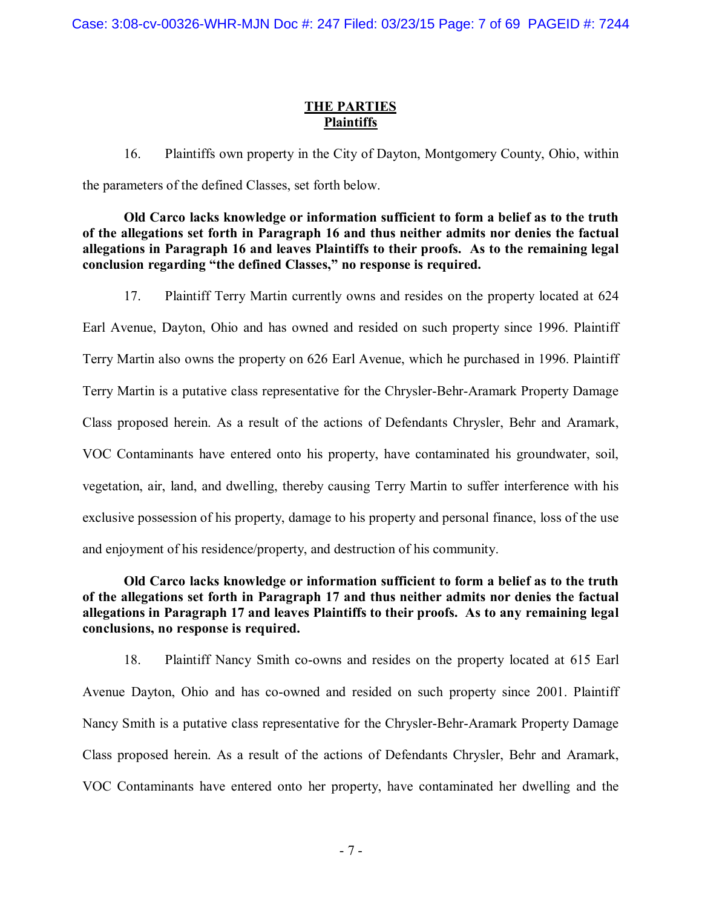## **THE PARTIES Plaintiffs**

16. Plaintiffs own property in the City of Dayton, Montgomery County, Ohio, within the parameters of the defined Classes, set forth below.

**Old Carco lacks knowledge or information sufficient to form a belief as to the truth of the allegations set forth in Paragraph 16 and thus neither admits nor denies the factual allegations in Paragraph 16 and leaves Plaintiffs to their proofs. As to the remaining legal conclusion regarding "the defined Classes," no response is required.**

17. Plaintiff Terry Martin currently owns and resides on the property located at 624 Earl Avenue, Dayton, Ohio and has owned and resided on such property since 1996. Plaintiff Terry Martin also owns the property on 626 Earl Avenue, which he purchased in 1996. Plaintiff Terry Martin is a putative class representative for the Chrysler-Behr-Aramark Property Damage Class proposed herein. As a result of the actions of Defendants Chrysler, Behr and Aramark, VOC Contaminants have entered onto his property, have contaminated his groundwater, soil, vegetation, air, land, and dwelling, thereby causing Terry Martin to suffer interference with his exclusive possession of his property, damage to his property and personal finance, loss of the use and enjoyment of his residence/property, and destruction of his community.

**Old Carco lacks knowledge or information sufficient to form a belief as to the truth of the allegations set forth in Paragraph 17 and thus neither admits nor denies the factual allegations in Paragraph 17 and leaves Plaintiffs to their proofs. As to any remaining legal conclusions, no response is required.**

18. Plaintiff Nancy Smith co-owns and resides on the property located at 615 Earl Avenue Dayton, Ohio and has co-owned and resided on such property since 2001. Plaintiff Nancy Smith is a putative class representative for the Chrysler-Behr-Aramark Property Damage Class proposed herein. As a result of the actions of Defendants Chrysler, Behr and Aramark, VOC Contaminants have entered onto her property, have contaminated her dwelling and the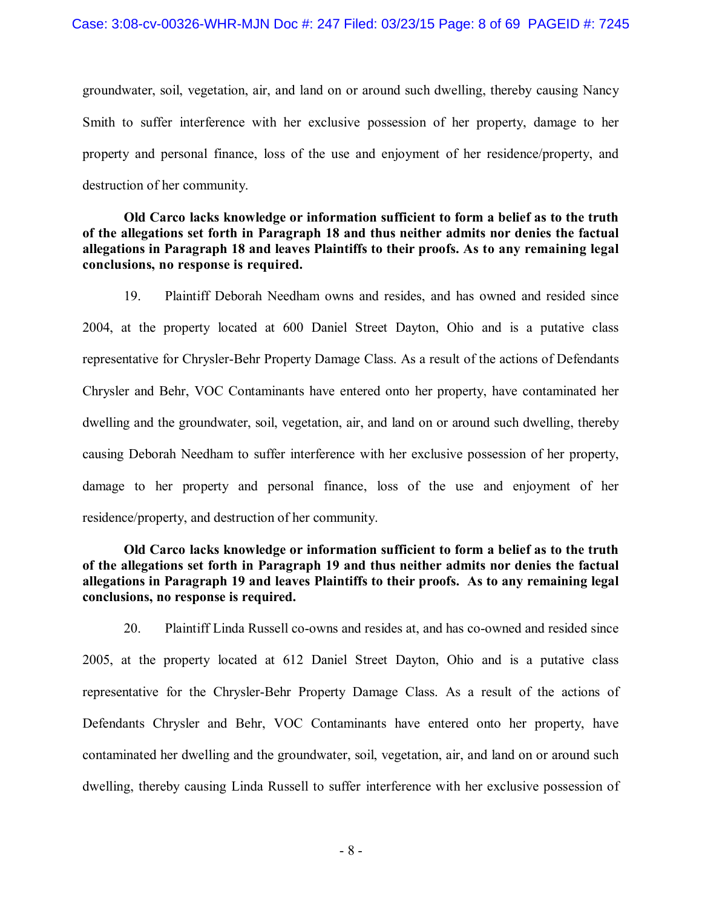groundwater, soil, vegetation, air, and land on or around such dwelling, thereby causing Nancy Smith to suffer interference with her exclusive possession of her property, damage to her property and personal finance, loss of the use and enjoyment of her residence/property, and destruction of her community.

### **Old Carco lacks knowledge or information sufficient to form a belief as to the truth of the allegations set forth in Paragraph 18 and thus neither admits nor denies the factual allegations in Paragraph 18 and leaves Plaintiffs to their proofs. As to any remaining legal conclusions, no response is required.**

19. Plaintiff Deborah Needham owns and resides, and has owned and resided since 2004, at the property located at 600 Daniel Street Dayton, Ohio and is a putative class representative for Chrysler-Behr Property Damage Class. As a result of the actions of Defendants Chrysler and Behr, VOC Contaminants have entered onto her property, have contaminated her dwelling and the groundwater, soil, vegetation, air, and land on or around such dwelling, thereby causing Deborah Needham to suffer interference with her exclusive possession of her property, damage to her property and personal finance, loss of the use and enjoyment of her residence/property, and destruction of her community.

## **Old Carco lacks knowledge or information sufficient to form a belief as to the truth of the allegations set forth in Paragraph 19 and thus neither admits nor denies the factual allegations in Paragraph 19 and leaves Plaintiffs to their proofs. As to any remaining legal conclusions, no response is required.**

20. Plaintiff Linda Russell co-owns and resides at, and has co-owned and resided since 2005, at the property located at 612 Daniel Street Dayton, Ohio and is a putative class representative for the Chrysler-Behr Property Damage Class. As a result of the actions of Defendants Chrysler and Behr, VOC Contaminants have entered onto her property, have contaminated her dwelling and the groundwater, soil, vegetation, air, and land on or around such dwelling, thereby causing Linda Russell to suffer interference with her exclusive possession of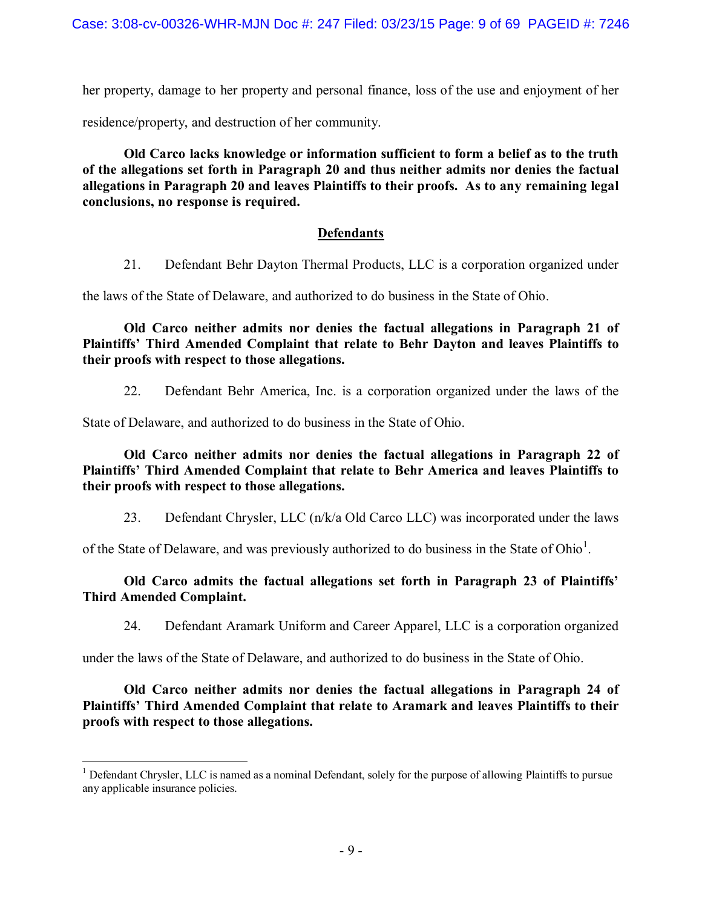her property, damage to her property and personal finance, loss of the use and enjoyment of her

residence/property, and destruction of her community.

**Old Carco lacks knowledge or information sufficient to form a belief as to the truth of the allegations set forth in Paragraph 20 and thus neither admits nor denies the factual allegations in Paragraph 20 and leaves Plaintiffs to their proofs. As to any remaining legal conclusions, no response is required.**

## **Defendants**

21. Defendant Behr Dayton Thermal Products, LLC is a corporation organized under

the laws of the State of Delaware, and authorized to do business in the State of Ohio.

**Old Carco neither admits nor denies the factual allegations in Paragraph 21 of Plaintiffs' Third Amended Complaint that relate to Behr Dayton and leaves Plaintiffs to their proofs with respect to those allegations.**

22. Defendant Behr America, Inc. is a corporation organized under the laws of the

State of Delaware, and authorized to do business in the State of Ohio.

**Old Carco neither admits nor denies the factual allegations in Paragraph 22 of Plaintiffs' Third Amended Complaint that relate to Behr America and leaves Plaintiffs to their proofs with respect to those allegations.**

23. Defendant Chrysler, LLC (n/k/a Old Carco LLC) was incorporated under the laws

of the State of Delaware, and was previously authorized to do business in the State of Ohio<sup>1</sup>.

**Old Carco admits the factual allegations set forth in Paragraph 23 of Plaintiffs' Third Amended Complaint.**

24. Defendant Aramark Uniform and Career Apparel, LLC is a corporation organized

under the laws of the State of Delaware, and authorized to do business in the State of Ohio.

**Old Carco neither admits nor denies the factual allegations in Paragraph 24 of Plaintiffs' Third Amended Complaint that relate to Aramark and leaves Plaintiffs to their proofs with respect to those allegations.**

<sup>&</sup>lt;sup>1</sup> Defendant Chrysler, LLC is named as a nominal Defendant, solely for the purpose of allowing Plaintiffs to pursue any applicable insurance policies.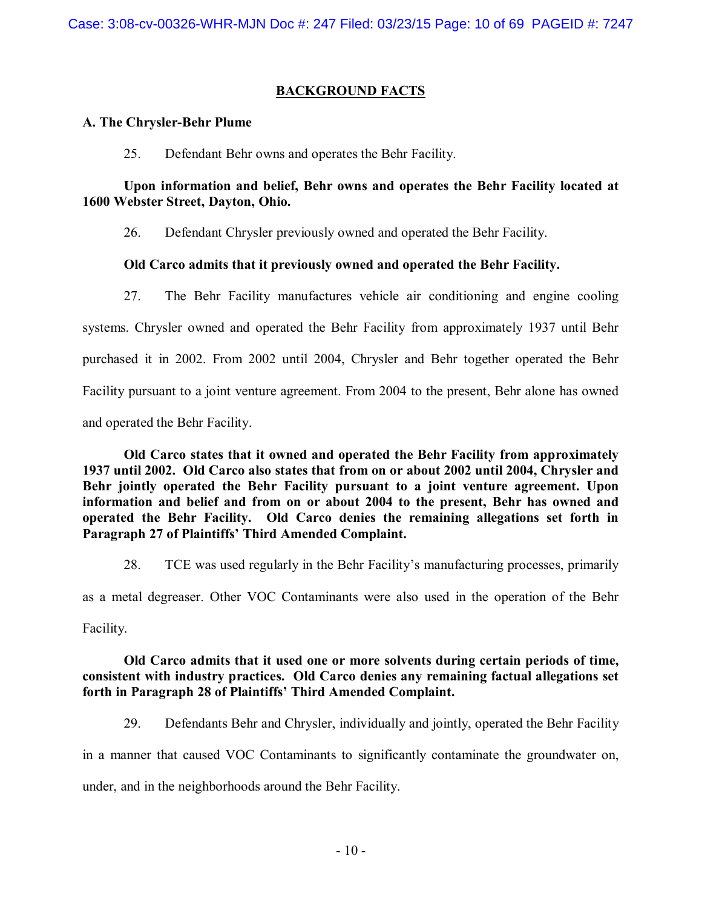## **BACKGROUND FACTS**

## **A. The Chrysler-Behr Plume**

25. Defendant Behr owns and operates the Behr Facility.

## **Upon information and belief, Behr owns and operates the Behr Facility located at 1600 Webster Street, Dayton, Ohio.**

26. Defendant Chrysler previously owned and operated the Behr Facility.

## **Old Carco admits that it previously owned and operated the Behr Facility.**

27. The Behr Facility manufactures vehicle air conditioning and engine cooling systems. Chrysler owned and operated the Behr Facility from approximately 1937 until Behr purchased it in 2002. From 2002 until 2004, Chrysler and Behr together operated the Behr Facility pursuant to a joint venture agreement. From 2004 to the present, Behr alone has owned and operated the Behr Facility.

**Old Carco states that it owned and operated the Behr Facility from approximately 1937 until 2002. Old Carco also states that from on or about 2002 until 2004, Chrysler and Behr jointly operated the Behr Facility pursuant to a joint venture agreement. Upon information and belief and from on or about 2004 to the present, Behr has owned and operated the Behr Facility. Old Carco denies the remaining allegations set forth in Paragraph 27 of Plaintiffs' Third Amended Complaint.**

28. TCE was used regularly in the Behr Facility's manufacturing processes, primarily

as a metal degreaser. Other VOC Contaminants were also used in the operation of the Behr

Facility.

## **Old Carco admits that it used one or more solvents during certain periods of time, consistent with industry practices. Old Carco denies any remaining factual allegations set forth in Paragraph 28 of Plaintiffs' Third Amended Complaint.**

29. Defendants Behr and Chrysler, individually and jointly, operated the Behr Facility

in a manner that caused VOC Contaminants to significantly contaminate the groundwater on,

under, and in the neighborhoods around the Behr Facility.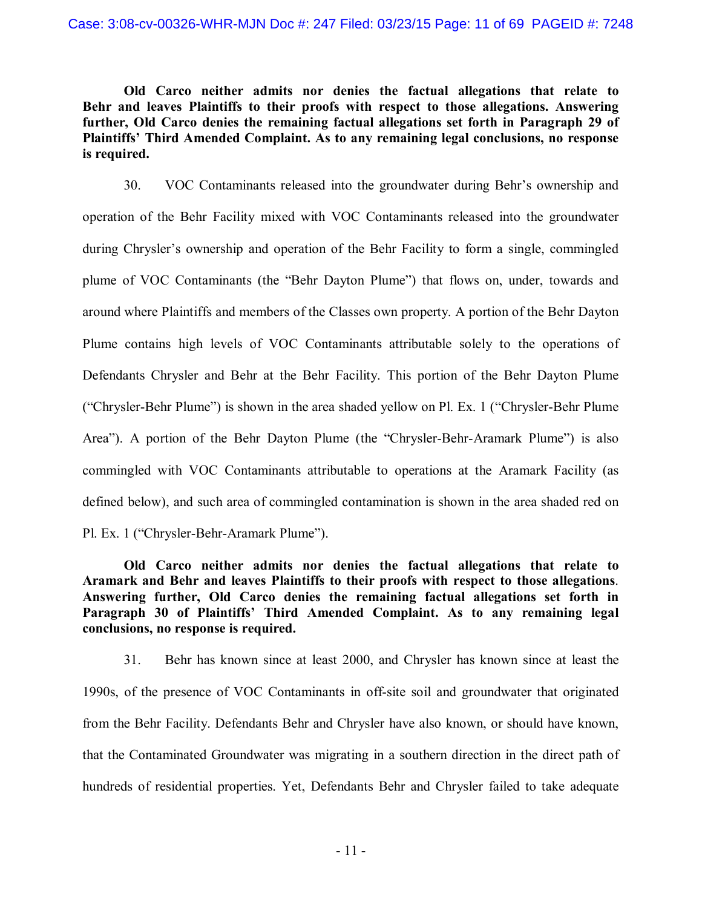**Old Carco neither admits nor denies the factual allegations that relate to Behr and leaves Plaintiffs to their proofs with respect to those allegations. Answering further, Old Carco denies the remaining factual allegations set forth in Paragraph 29 of Plaintiffs' Third Amended Complaint. As to any remaining legal conclusions, no response is required.**

30. VOC Contaminants released into the groundwater during Behr's ownership and operation of the Behr Facility mixed with VOC Contaminants released into the groundwater during Chrysler's ownership and operation of the Behr Facility to form a single, commingled plume of VOC Contaminants (the "Behr Dayton Plume") that flows on, under, towards and around where Plaintiffs and members of the Classes own property. A portion of the Behr Dayton Plume contains high levels of VOC Contaminants attributable solely to the operations of Defendants Chrysler and Behr at the Behr Facility. This portion of the Behr Dayton Plume ("Chrysler-Behr Plume") is shown in the area shaded yellow on Pl. Ex. 1 ("Chrysler-Behr Plume Area"). A portion of the Behr Dayton Plume (the "Chrysler-Behr-Aramark Plume") is also commingled with VOC Contaminants attributable to operations at the Aramark Facility (as defined below), and such area of commingled contamination is shown in the area shaded red on Pl. Ex. 1 ("Chrysler-Behr-Aramark Plume").

**Old Carco neither admits nor denies the factual allegations that relate to Aramark and Behr and leaves Plaintiffs to their proofs with respect to those allegations**. **Answering further, Old Carco denies the remaining factual allegations set forth in Paragraph 30 of Plaintiffs' Third Amended Complaint. As to any remaining legal conclusions, no response is required.**

31. Behr has known since at least 2000, and Chrysler has known since at least the 1990s, of the presence of VOC Contaminants in off-site soil and groundwater that originated from the Behr Facility. Defendants Behr and Chrysler have also known, or should have known, that the Contaminated Groundwater was migrating in a southern direction in the direct path of hundreds of residential properties. Yet, Defendants Behr and Chrysler failed to take adequate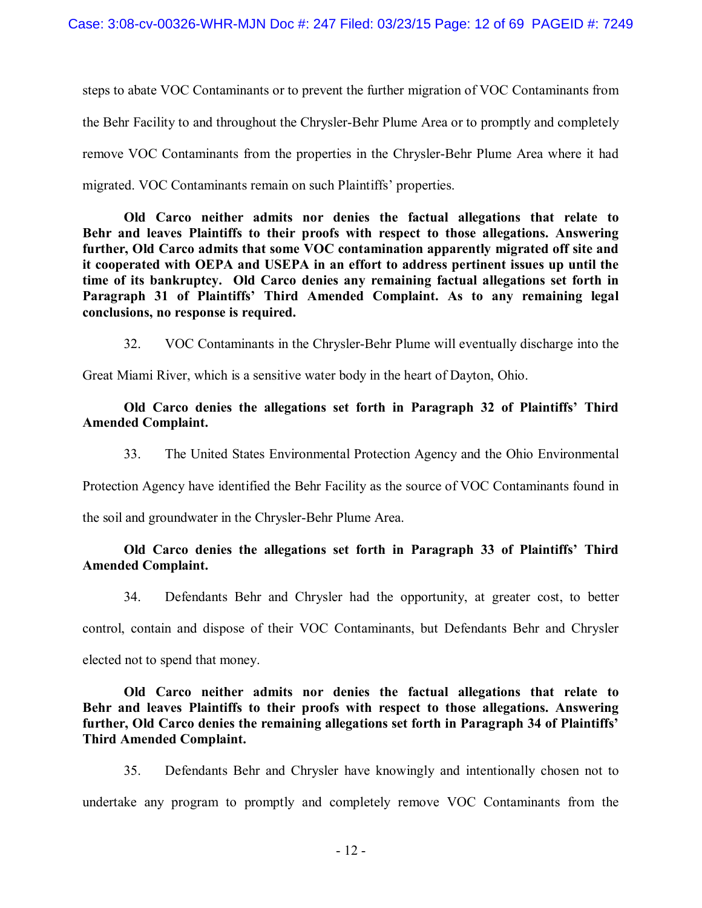steps to abate VOC Contaminants or to prevent the further migration of VOC Contaminants from the Behr Facility to and throughout the Chrysler-Behr Plume Area or to promptly and completely remove VOC Contaminants from the properties in the Chrysler-Behr Plume Area where it had migrated. VOC Contaminants remain on such Plaintiffs' properties.

**Old Carco neither admits nor denies the factual allegations that relate to Behr and leaves Plaintiffs to their proofs with respect to those allegations. Answering further, Old Carco admits that some VOC contamination apparently migrated off site and it cooperated with OEPA and USEPA in an effort to address pertinent issues up until the time of its bankruptcy. Old Carco denies any remaining factual allegations set forth in Paragraph 31 of Plaintiffs' Third Amended Complaint. As to any remaining legal conclusions, no response is required.**

32. VOC Contaminants in the Chrysler-Behr Plume will eventually discharge into the

Great Miami River, which is a sensitive water body in the heart of Dayton, Ohio.

### **Old Carco denies the allegations set forth in Paragraph 32 of Plaintiffs' Third Amended Complaint.**

33. The United States Environmental Protection Agency and the Ohio Environmental

Protection Agency have identified the Behr Facility as the source of VOC Contaminants found in

the soil and groundwater in the Chrysler-Behr Plume Area.

## **Old Carco denies the allegations set forth in Paragraph 33 of Plaintiffs' Third Amended Complaint.**

34. Defendants Behr and Chrysler had the opportunity, at greater cost, to better

control, contain and dispose of their VOC Contaminants, but Defendants Behr and Chrysler

elected not to spend that money.

### **Old Carco neither admits nor denies the factual allegations that relate to Behr and leaves Plaintiffs to their proofs with respect to those allegations. Answering further, Old Carco denies the remaining allegations set forth in Paragraph 34 of Plaintiffs' Third Amended Complaint.**

35. Defendants Behr and Chrysler have knowingly and intentionally chosen not to undertake any program to promptly and completely remove VOC Contaminants from the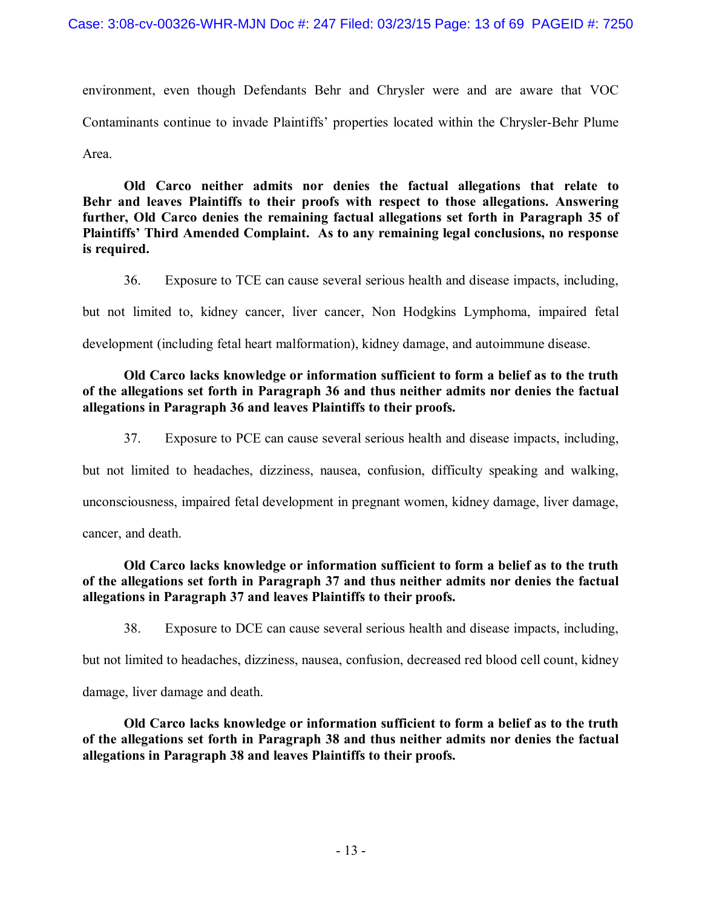environment, even though Defendants Behr and Chrysler were and are aware that VOC Contaminants continue to invade Plaintiffs' properties located within the Chrysler-Behr Plume Area.

**Old Carco neither admits nor denies the factual allegations that relate to Behr and leaves Plaintiffs to their proofs with respect to those allegations. Answering further, Old Carco denies the remaining factual allegations set forth in Paragraph 35 of Plaintiffs' Third Amended Complaint. As to any remaining legal conclusions, no response is required.**

36. Exposure to TCE can cause several serious health and disease impacts, including, but not limited to, kidney cancer, liver cancer, Non Hodgkins Lymphoma, impaired fetal development (including fetal heart malformation), kidney damage, and autoimmune disease.

## **Old Carco lacks knowledge or information sufficient to form a belief as to the truth of the allegations set forth in Paragraph 36 and thus neither admits nor denies the factual allegations in Paragraph 36 and leaves Plaintiffs to their proofs.**

37. Exposure to PCE can cause several serious health and disease impacts, including,

but not limited to headaches, dizziness, nausea, confusion, difficulty speaking and walking,

unconsciousness, impaired fetal development in pregnant women, kidney damage, liver damage,

cancer, and death.

## **Old Carco lacks knowledge or information sufficient to form a belief as to the truth of the allegations set forth in Paragraph 37 and thus neither admits nor denies the factual allegations in Paragraph 37 and leaves Plaintiffs to their proofs.**

38. Exposure to DCE can cause several serious health and disease impacts, including,

but not limited to headaches, dizziness, nausea, confusion, decreased red blood cell count, kidney

damage, liver damage and death.

**Old Carco lacks knowledge or information sufficient to form a belief as to the truth of the allegations set forth in Paragraph 38 and thus neither admits nor denies the factual allegations in Paragraph 38 and leaves Plaintiffs to their proofs.**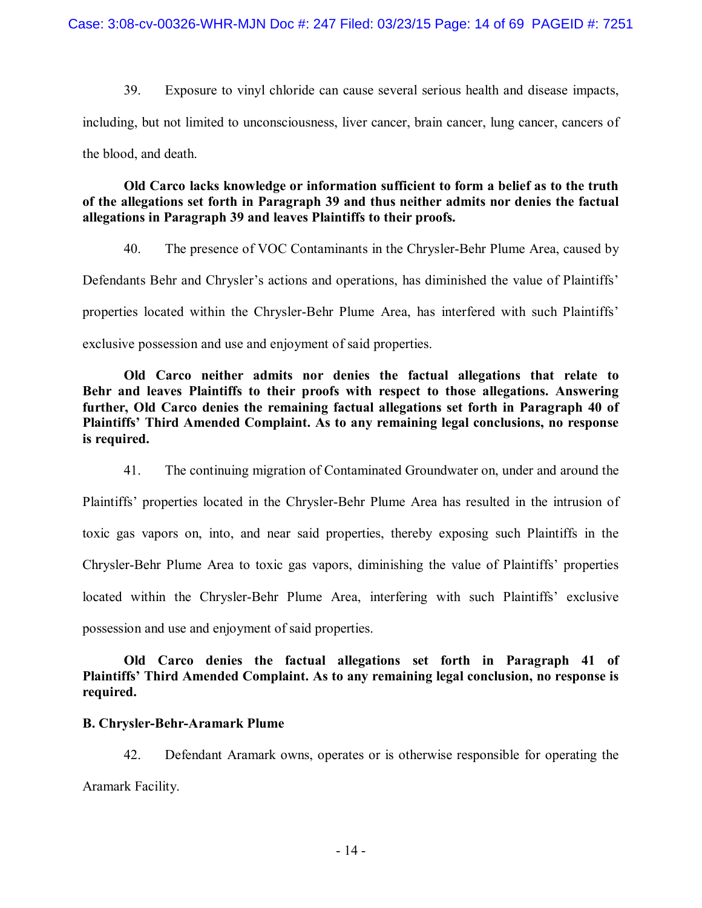39. Exposure to vinyl chloride can cause several serious health and disease impacts, including, but not limited to unconsciousness, liver cancer, brain cancer, lung cancer, cancers of the blood, and death.

## **Old Carco lacks knowledge or information sufficient to form a belief as to the truth of the allegations set forth in Paragraph 39 and thus neither admits nor denies the factual allegations in Paragraph 39 and leaves Plaintiffs to their proofs.**

40. The presence of VOC Contaminants in the Chrysler-Behr Plume Area, caused by

Defendants Behr and Chrysler's actions and operations, has diminished the value of Plaintiffs'

properties located within the Chrysler-Behr Plume Area, has interfered with such Plaintiffs'

exclusive possession and use and enjoyment of said properties.

**Old Carco neither admits nor denies the factual allegations that relate to Behr and leaves Plaintiffs to their proofs with respect to those allegations. Answering further, Old Carco denies the remaining factual allegations set forth in Paragraph 40 of Plaintiffs' Third Amended Complaint. As to any remaining legal conclusions, no response is required.**

41. The continuing migration of Contaminated Groundwater on, under and around the

Plaintiffs' properties located in the Chrysler-Behr Plume Area has resulted in the intrusion of toxic gas vapors on, into, and near said properties, thereby exposing such Plaintiffs in the Chrysler-Behr Plume Area to toxic gas vapors, diminishing the value of Plaintiffs' properties located within the Chrysler-Behr Plume Area, interfering with such Plaintiffs' exclusive possession and use and enjoyment of said properties.

## **Old Carco denies the factual allegations set forth in Paragraph 41 of Plaintiffs' Third Amended Complaint. As to any remaining legal conclusion, no response is required.**

## **B. Chrysler-Behr-Aramark Plume**

42. Defendant Aramark owns, operates or is otherwise responsible for operating the Aramark Facility.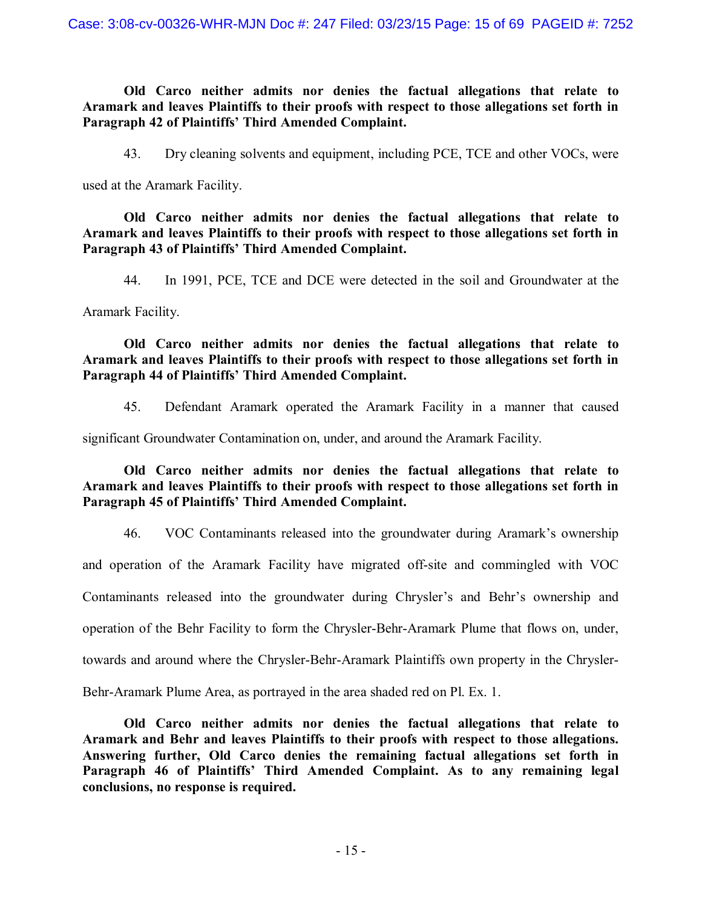**Old Carco neither admits nor denies the factual allegations that relate to Aramark and leaves Plaintiffs to their proofs with respect to those allegations set forth in Paragraph 42 of Plaintiffs' Third Amended Complaint.**

43. Dry cleaning solvents and equipment, including PCE, TCE and other VOCs, were

used at the Aramark Facility.

**Old Carco neither admits nor denies the factual allegations that relate to Aramark and leaves Plaintiffs to their proofs with respect to those allegations set forth in Paragraph 43 of Plaintiffs' Third Amended Complaint.**

44. In 1991, PCE, TCE and DCE were detected in the soil and Groundwater at the Aramark Facility.

**Old Carco neither admits nor denies the factual allegations that relate to Aramark and leaves Plaintiffs to their proofs with respect to those allegations set forth in Paragraph 44 of Plaintiffs' Third Amended Complaint.**

45. Defendant Aramark operated the Aramark Facility in a manner that caused

significant Groundwater Contamination on, under, and around the Aramark Facility.

**Old Carco neither admits nor denies the factual allegations that relate to Aramark and leaves Plaintiffs to their proofs with respect to those allegations set forth in Paragraph 45 of Plaintiffs' Third Amended Complaint.**

46. VOC Contaminants released into the groundwater during Aramark's ownership

and operation of the Aramark Facility have migrated off-site and commingled with VOC

Contaminants released into the groundwater during Chrysler's and Behr's ownership and

operation of the Behr Facility to form the Chrysler-Behr-Aramark Plume that flows on, under,

towards and around where the Chrysler-Behr-Aramark Plaintiffs own property in the Chrysler-

Behr-Aramark Plume Area, as portrayed in the area shaded red on Pl. Ex. 1.

**Old Carco neither admits nor denies the factual allegations that relate to Aramark and Behr and leaves Plaintiffs to their proofs with respect to those allegations. Answering further, Old Carco denies the remaining factual allegations set forth in Paragraph 46 of Plaintiffs' Third Amended Complaint. As to any remaining legal conclusions, no response is required.**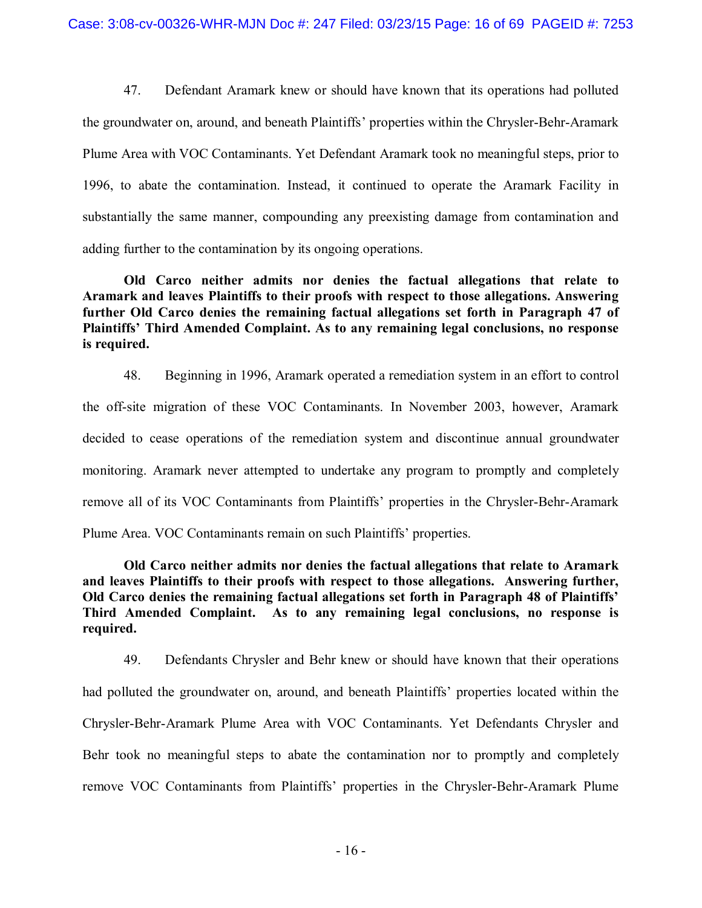47. Defendant Aramark knew or should have known that its operations had polluted the groundwater on, around, and beneath Plaintiffs' properties within the Chrysler-Behr-Aramark Plume Area with VOC Contaminants. Yet Defendant Aramark took no meaningful steps, prior to 1996, to abate the contamination. Instead, it continued to operate the Aramark Facility in substantially the same manner, compounding any preexisting damage from contamination and adding further to the contamination by its ongoing operations.

**Old Carco neither admits nor denies the factual allegations that relate to Aramark and leaves Plaintiffs to their proofs with respect to those allegations. Answering further Old Carco denies the remaining factual allegations set forth in Paragraph 47 of Plaintiffs' Third Amended Complaint. As to any remaining legal conclusions, no response is required.**

48. Beginning in 1996, Aramark operated a remediation system in an effort to control the off-site migration of these VOC Contaminants. In November 2003, however, Aramark decided to cease operations of the remediation system and discontinue annual groundwater monitoring. Aramark never attempted to undertake any program to promptly and completely remove all of its VOC Contaminants from Plaintiffs' properties in the Chrysler-Behr-Aramark Plume Area. VOC Contaminants remain on such Plaintiffs' properties.

**Old Carco neither admits nor denies the factual allegations that relate to Aramark and leaves Plaintiffs to their proofs with respect to those allegations. Answering further, Old Carco denies the remaining factual allegations set forth in Paragraph 48 of Plaintiffs' Third Amended Complaint. As to any remaining legal conclusions, no response is required.**

49. Defendants Chrysler and Behr knew or should have known that their operations had polluted the groundwater on, around, and beneath Plaintiffs' properties located within the Chrysler-Behr-Aramark Plume Area with VOC Contaminants. Yet Defendants Chrysler and Behr took no meaningful steps to abate the contamination nor to promptly and completely remove VOC Contaminants from Plaintiffs' properties in the Chrysler-Behr-Aramark Plume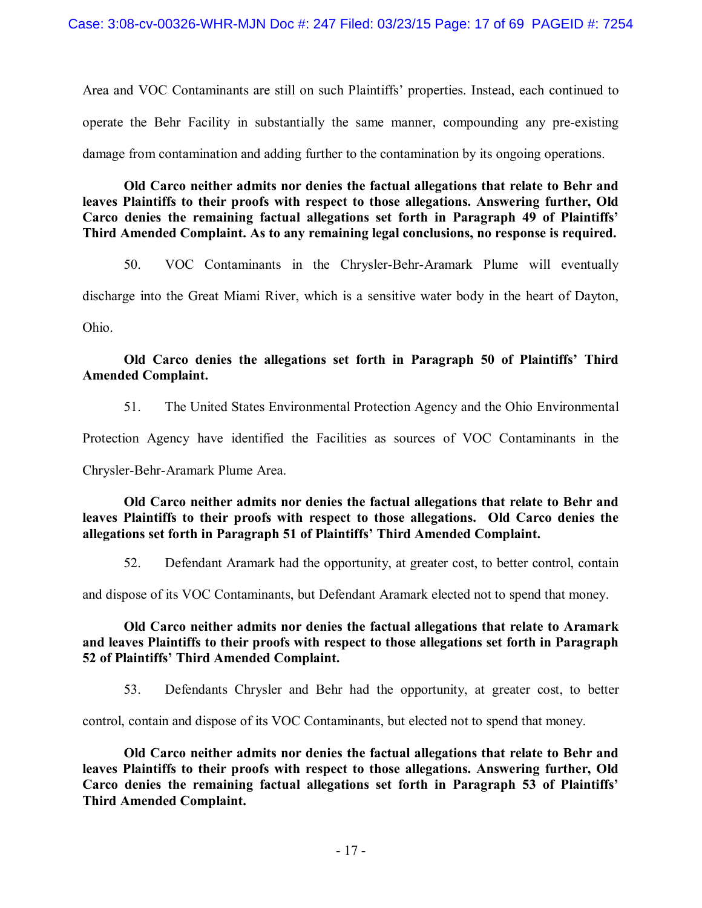Area and VOC Contaminants are still on such Plaintiffs' properties. Instead, each continued to operate the Behr Facility in substantially the same manner, compounding any pre-existing damage from contamination and adding further to the contamination by its ongoing operations.

**Old Carco neither admits nor denies the factual allegations that relate to Behr and leaves Plaintiffs to their proofs with respect to those allegations. Answering further, Old Carco denies the remaining factual allegations set forth in Paragraph 49 of Plaintiffs' Third Amended Complaint. As to any remaining legal conclusions, no response is required.**

50. VOC Contaminants in the Chrysler-Behr-Aramark Plume will eventually discharge into the Great Miami River, which is a sensitive water body in the heart of Dayton, Ohio.

## **Old Carco denies the allegations set forth in Paragraph 50 of Plaintiffs' Third Amended Complaint.**

51. The United States Environmental Protection Agency and the Ohio Environmental

Protection Agency have identified the Facilities as sources of VOC Contaminants in the

Chrysler-Behr-Aramark Plume Area.

## **Old Carco neither admits nor denies the factual allegations that relate to Behr and leaves Plaintiffs to their proofs with respect to those allegations. Old Carco denies the allegations set forth in Paragraph 51 of Plaintiffs' Third Amended Complaint.**

52. Defendant Aramark had the opportunity, at greater cost, to better control, contain

and dispose of its VOC Contaminants, but Defendant Aramark elected not to spend that money.

## **Old Carco neither admits nor denies the factual allegations that relate to Aramark and leaves Plaintiffs to their proofs with respect to those allegations set forth in Paragraph 52 of Plaintiffs' Third Amended Complaint.**

53. Defendants Chrysler and Behr had the opportunity, at greater cost, to better

control, contain and dispose of its VOC Contaminants, but elected not to spend that money.

**Old Carco neither admits nor denies the factual allegations that relate to Behr and leaves Plaintiffs to their proofs with respect to those allegations. Answering further, Old Carco denies the remaining factual allegations set forth in Paragraph 53 of Plaintiffs' Third Amended Complaint.**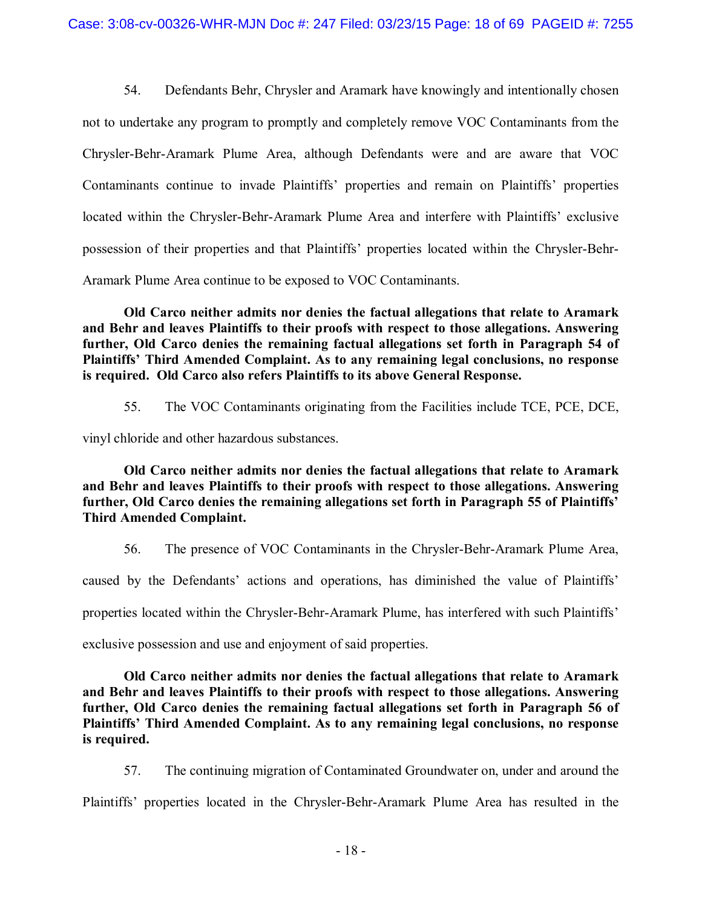54. Defendants Behr, Chrysler and Aramark have knowingly and intentionally chosen not to undertake any program to promptly and completely remove VOC Contaminants from the Chrysler-Behr-Aramark Plume Area, although Defendants were and are aware that VOC Contaminants continue to invade Plaintiffs' properties and remain on Plaintiffs' properties located within the Chrysler-Behr-Aramark Plume Area and interfere with Plaintiffs' exclusive possession of their properties and that Plaintiffs' properties located within the Chrysler-Behr-Aramark Plume Area continue to be exposed to VOC Contaminants.

**Old Carco neither admits nor denies the factual allegations that relate to Aramark and Behr and leaves Plaintiffs to their proofs with respect to those allegations. Answering further, Old Carco denies the remaining factual allegations set forth in Paragraph 54 of Plaintiffs' Third Amended Complaint. As to any remaining legal conclusions, no response is required. Old Carco also refers Plaintiffs to its above General Response.**

55. The VOC Contaminants originating from the Facilities include TCE, PCE, DCE,

vinyl chloride and other hazardous substances.

**Old Carco neither admits nor denies the factual allegations that relate to Aramark and Behr and leaves Plaintiffs to their proofs with respect to those allegations. Answering further, Old Carco denies the remaining allegations set forth in Paragraph 55 of Plaintiffs' Third Amended Complaint.**

56. The presence of VOC Contaminants in the Chrysler-Behr-Aramark Plume Area,

caused by the Defendants' actions and operations, has diminished the value of Plaintiffs'

properties located within the Chrysler-Behr-Aramark Plume, has interfered with such Plaintiffs'

exclusive possession and use and enjoyment of said properties.

**Old Carco neither admits nor denies the factual allegations that relate to Aramark and Behr and leaves Plaintiffs to their proofs with respect to those allegations. Answering further, Old Carco denies the remaining factual allegations set forth in Paragraph 56 of Plaintiffs' Third Amended Complaint. As to any remaining legal conclusions, no response is required.**

57. The continuing migration of Contaminated Groundwater on, under and around the Plaintiffs' properties located in the Chrysler-Behr-Aramark Plume Area has resulted in the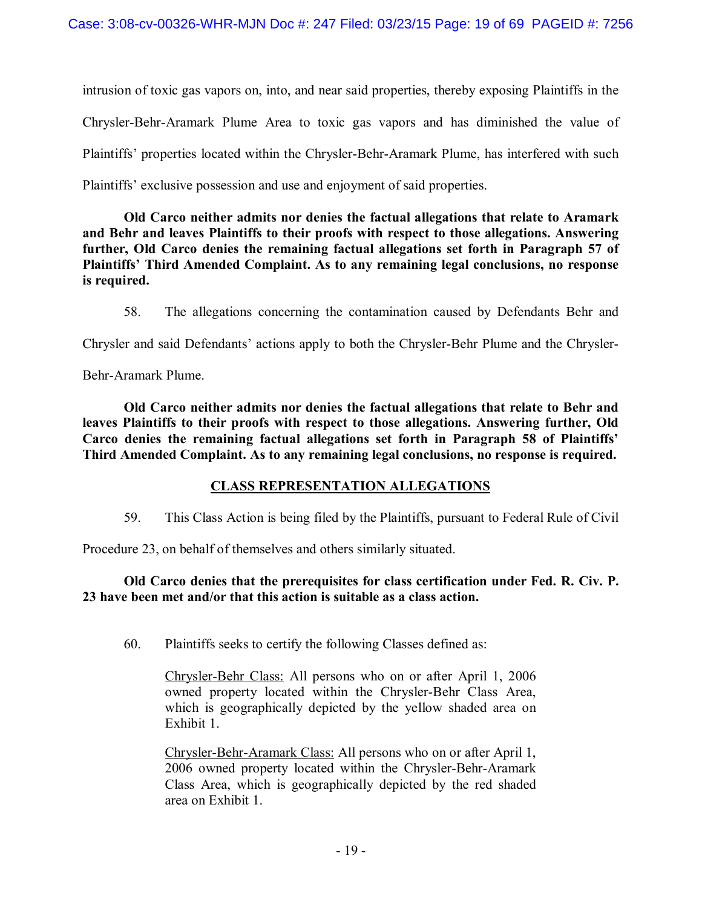intrusion of toxic gas vapors on, into, and near said properties, thereby exposing Plaintiffs in the Chrysler-Behr-Aramark Plume Area to toxic gas vapors and has diminished the value of Plaintiffs' properties located within the Chrysler-Behr-Aramark Plume, has interfered with such Plaintiffs' exclusive possession and use and enjoyment of said properties.

**Old Carco neither admits nor denies the factual allegations that relate to Aramark and Behr and leaves Plaintiffs to their proofs with respect to those allegations. Answering further, Old Carco denies the remaining factual allegations set forth in Paragraph 57 of Plaintiffs' Third Amended Complaint. As to any remaining legal conclusions, no response is required.**

58. The allegations concerning the contamination caused by Defendants Behr and

Chrysler and said Defendants' actions apply to both the Chrysler-Behr Plume and the Chrysler-

Behr-Aramark Plume.

**Old Carco neither admits nor denies the factual allegations that relate to Behr and leaves Plaintiffs to their proofs with respect to those allegations. Answering further, Old Carco denies the remaining factual allegations set forth in Paragraph 58 of Plaintiffs' Third Amended Complaint. As to any remaining legal conclusions, no response is required.**

## **CLASS REPRESENTATION ALLEGATIONS**

59. This Class Action is being filed by the Plaintiffs, pursuant to Federal Rule of Civil

Procedure 23, on behalf of themselves and others similarly situated.

## **Old Carco denies that the prerequisites for class certification under Fed. R. Civ. P. 23 have been met and/or that this action is suitable as a class action.**

60. Plaintiffs seeks to certify the following Classes defined as:

Chrysler-Behr Class: All persons who on or after April 1, 2006 owned property located within the Chrysler-Behr Class Area, which is geographically depicted by the yellow shaded area on Exhibit 1.

Chrysler-Behr-Aramark Class: All persons who on or after April 1, 2006 owned property located within the Chrysler-Behr-Aramark Class Area, which is geographically depicted by the red shaded area on Exhibit 1.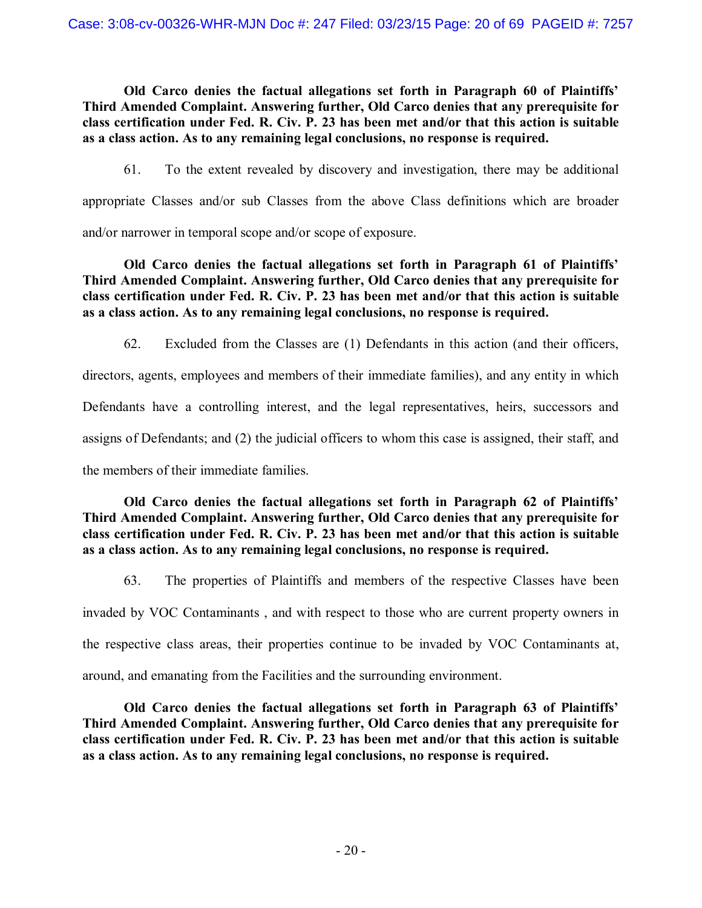**Old Carco denies the factual allegations set forth in Paragraph 60 of Plaintiffs' Third Amended Complaint. Answering further, Old Carco denies that any prerequisite for class certification under Fed. R. Civ. P. 23 has been met and/or that this action is suitable as a class action. As to any remaining legal conclusions, no response is required.**

61. To the extent revealed by discovery and investigation, there may be additional

appropriate Classes and/or sub Classes from the above Class definitions which are broader

and/or narrower in temporal scope and/or scope of exposure.

**Old Carco denies the factual allegations set forth in Paragraph 61 of Plaintiffs' Third Amended Complaint. Answering further, Old Carco denies that any prerequisite for class certification under Fed. R. Civ. P. 23 has been met and/or that this action is suitable as a class action. As to any remaining legal conclusions, no response is required.**

62. Excluded from the Classes are (1) Defendants in this action (and their officers,

directors, agents, employees and members of their immediate families), and any entity in which

Defendants have a controlling interest, and the legal representatives, heirs, successors and

assigns of Defendants; and (2) the judicial officers to whom this case is assigned, their staff, and

the members of their immediate families.

**Old Carco denies the factual allegations set forth in Paragraph 62 of Plaintiffs' Third Amended Complaint. Answering further, Old Carco denies that any prerequisite for class certification under Fed. R. Civ. P. 23 has been met and/or that this action is suitable as a class action. As to any remaining legal conclusions, no response is required.**

63. The properties of Plaintiffs and members of the respective Classes have been

invaded by VOC Contaminants , and with respect to those who are current property owners in

the respective class areas, their properties continue to be invaded by VOC Contaminants at,

around, and emanating from the Facilities and the surrounding environment.

**Old Carco denies the factual allegations set forth in Paragraph 63 of Plaintiffs' Third Amended Complaint. Answering further, Old Carco denies that any prerequisite for class certification under Fed. R. Civ. P. 23 has been met and/or that this action is suitable as a class action. As to any remaining legal conclusions, no response is required.**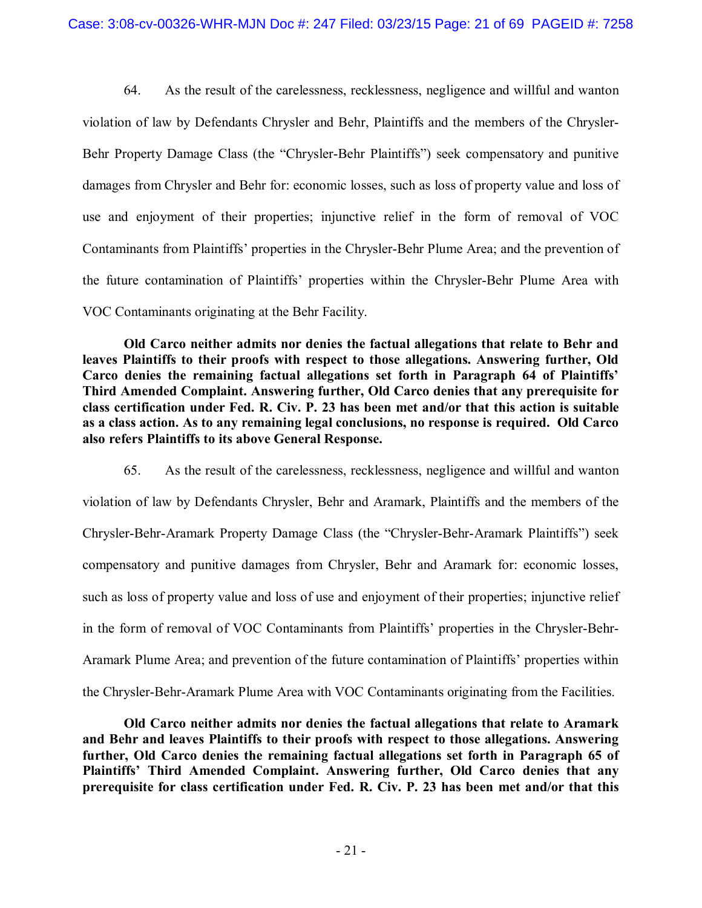64. As the result of the carelessness, recklessness, negligence and willful and wanton violation of law by Defendants Chrysler and Behr, Plaintiffs and the members of the Chrysler-Behr Property Damage Class (the "Chrysler-Behr Plaintiffs") seek compensatory and punitive damages from Chrysler and Behr for: economic losses, such as loss of property value and loss of use and enjoyment of their properties; injunctive relief in the form of removal of VOC Contaminants from Plaintiffs' properties in the Chrysler-Behr Plume Area; and the prevention of the future contamination of Plaintiffs' properties within the Chrysler-Behr Plume Area with VOC Contaminants originating at the Behr Facility.

**Old Carco neither admits nor denies the factual allegations that relate to Behr and leaves Plaintiffs to their proofs with respect to those allegations. Answering further, Old Carco denies the remaining factual allegations set forth in Paragraph 64 of Plaintiffs' Third Amended Complaint. Answering further, Old Carco denies that any prerequisite for class certification under Fed. R. Civ. P. 23 has been met and/or that this action is suitable as a class action. As to any remaining legal conclusions, no response is required. Old Carco also refers Plaintiffs to its above General Response.**

65. As the result of the carelessness, recklessness, negligence and willful and wanton violation of law by Defendants Chrysler, Behr and Aramark, Plaintiffs and the members of the Chrysler-Behr-Aramark Property Damage Class (the "Chrysler-Behr-Aramark Plaintiffs") seek compensatory and punitive damages from Chrysler, Behr and Aramark for: economic losses, such as loss of property value and loss of use and enjoyment of their properties; injunctive relief in the form of removal of VOC Contaminants from Plaintiffs' properties in the Chrysler-Behr-Aramark Plume Area; and prevention of the future contamination of Plaintiffs' properties within the Chrysler-Behr-Aramark Plume Area with VOC Contaminants originating from the Facilities.

**Old Carco neither admits nor denies the factual allegations that relate to Aramark and Behr and leaves Plaintiffs to their proofs with respect to those allegations. Answering further, Old Carco denies the remaining factual allegations set forth in Paragraph 65 of Plaintiffs' Third Amended Complaint. Answering further, Old Carco denies that any prerequisite for class certification under Fed. R. Civ. P. 23 has been met and/or that this**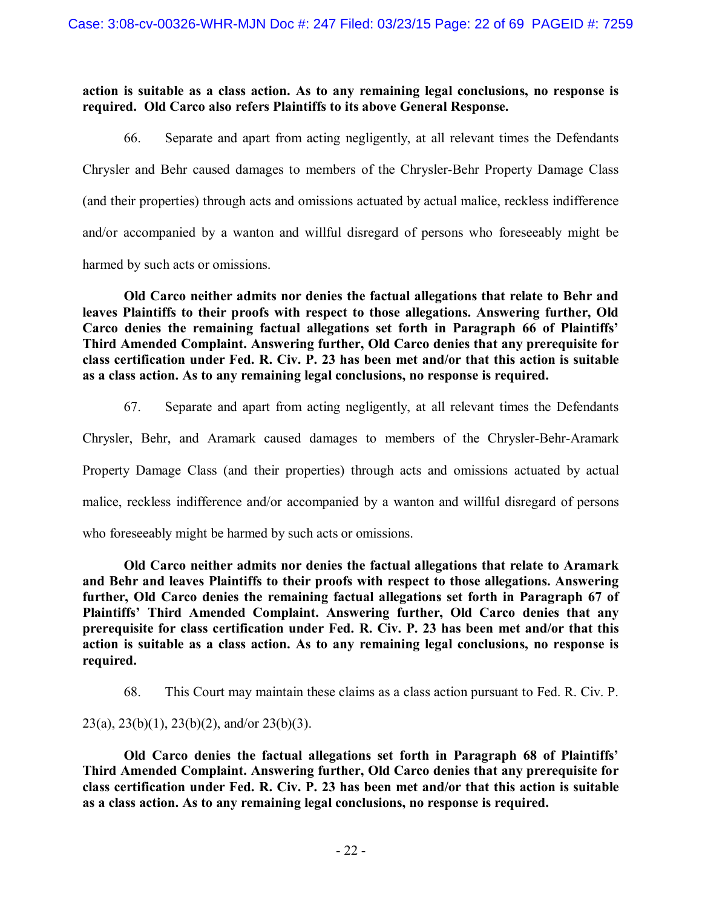### **action is suitable as a class action. As to any remaining legal conclusions, no response is required. Old Carco also refers Plaintiffs to its above General Response.**

66. Separate and apart from acting negligently, at all relevant times the Defendants Chrysler and Behr caused damages to members of the Chrysler-Behr Property Damage Class (and their properties) through acts and omissions actuated by actual malice, reckless indifference and/or accompanied by a wanton and willful disregard of persons who foreseeably might be harmed by such acts or omissions.

**Old Carco neither admits nor denies the factual allegations that relate to Behr and leaves Plaintiffs to their proofs with respect to those allegations. Answering further, Old Carco denies the remaining factual allegations set forth in Paragraph 66 of Plaintiffs' Third Amended Complaint. Answering further, Old Carco denies that any prerequisite for class certification under Fed. R. Civ. P. 23 has been met and/or that this action is suitable as a class action. As to any remaining legal conclusions, no response is required.**

67. Separate and apart from acting negligently, at all relevant times the Defendants

Chrysler, Behr, and Aramark caused damages to members of the Chrysler-Behr-Aramark

Property Damage Class (and their properties) through acts and omissions actuated by actual

malice, reckless indifference and/or accompanied by a wanton and willful disregard of persons

who foreseeably might be harmed by such acts or omissions.

**Old Carco neither admits nor denies the factual allegations that relate to Aramark and Behr and leaves Plaintiffs to their proofs with respect to those allegations. Answering further, Old Carco denies the remaining factual allegations set forth in Paragraph 67 of Plaintiffs' Third Amended Complaint. Answering further, Old Carco denies that any prerequisite for class certification under Fed. R. Civ. P. 23 has been met and/or that this action is suitable as a class action. As to any remaining legal conclusions, no response is required.**

68. This Court may maintain these claims as a class action pursuant to Fed. R. Civ. P.

23(a), 23(b)(1), 23(b)(2), and/or 23(b)(3).

**Old Carco denies the factual allegations set forth in Paragraph 68 of Plaintiffs' Third Amended Complaint. Answering further, Old Carco denies that any prerequisite for class certification under Fed. R. Civ. P. 23 has been met and/or that this action is suitable as a class action. As to any remaining legal conclusions, no response is required.**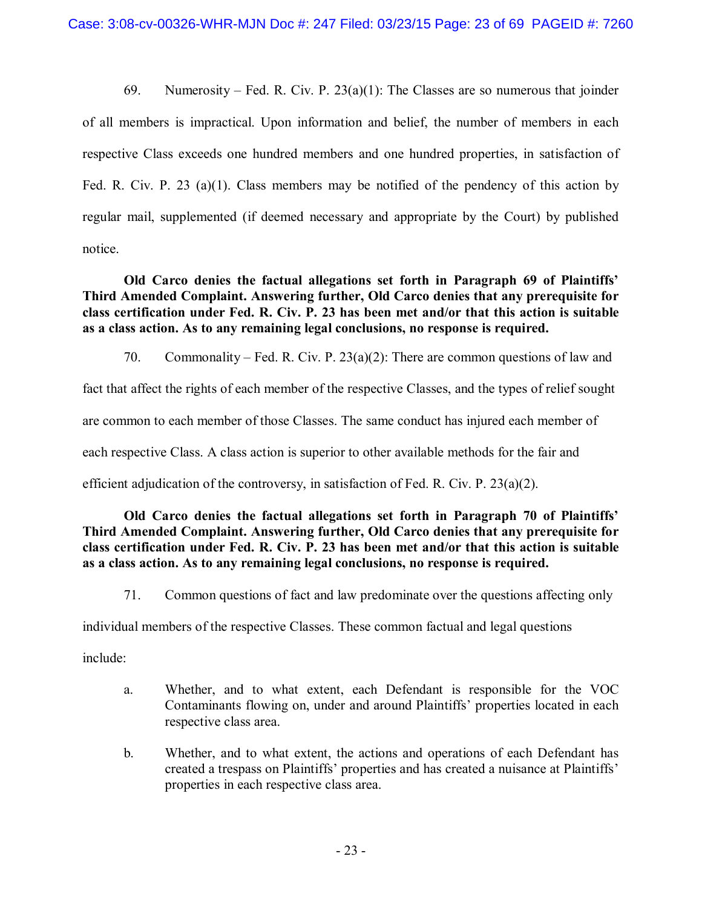69. Numerosity – Fed. R. Civ. P. 23(a)(1): The Classes are so numerous that joinder of all members is impractical. Upon information and belief, the number of members in each respective Class exceeds one hundred members and one hundred properties, in satisfaction of Fed. R. Civ. P. 23 (a)(1). Class members may be notified of the pendency of this action by regular mail, supplemented (if deemed necessary and appropriate by the Court) by published notice.

**Old Carco denies the factual allegations set forth in Paragraph 69 of Plaintiffs' Third Amended Complaint. Answering further, Old Carco denies that any prerequisite for class certification under Fed. R. Civ. P. 23 has been met and/or that this action is suitable as a class action. As to any remaining legal conclusions, no response is required.**

70. Commonality – Fed. R. Civ. P. 23(a)(2): There are common questions of law and

fact that affect the rights of each member of the respective Classes, and the types of relief sought

are common to each member of those Classes. The same conduct has injured each member of

each respective Class. A class action is superior to other available methods for the fair and

efficient adjudication of the controversy, in satisfaction of Fed. R. Civ. P. 23(a)(2).

**Old Carco denies the factual allegations set forth in Paragraph 70 of Plaintiffs' Third Amended Complaint. Answering further, Old Carco denies that any prerequisite for class certification under Fed. R. Civ. P. 23 has been met and/or that this action is suitable as a class action. As to any remaining legal conclusions, no response is required.**

71. Common questions of fact and law predominate over the questions affecting only

individual members of the respective Classes. These common factual and legal questions

include:

- a. Whether, and to what extent, each Defendant is responsible for the VOC Contaminants flowing on, under and around Plaintiffs' properties located in each respective class area.
- b. Whether, and to what extent, the actions and operations of each Defendant has created a trespass on Plaintiffs' properties and has created a nuisance at Plaintiffs' properties in each respective class area.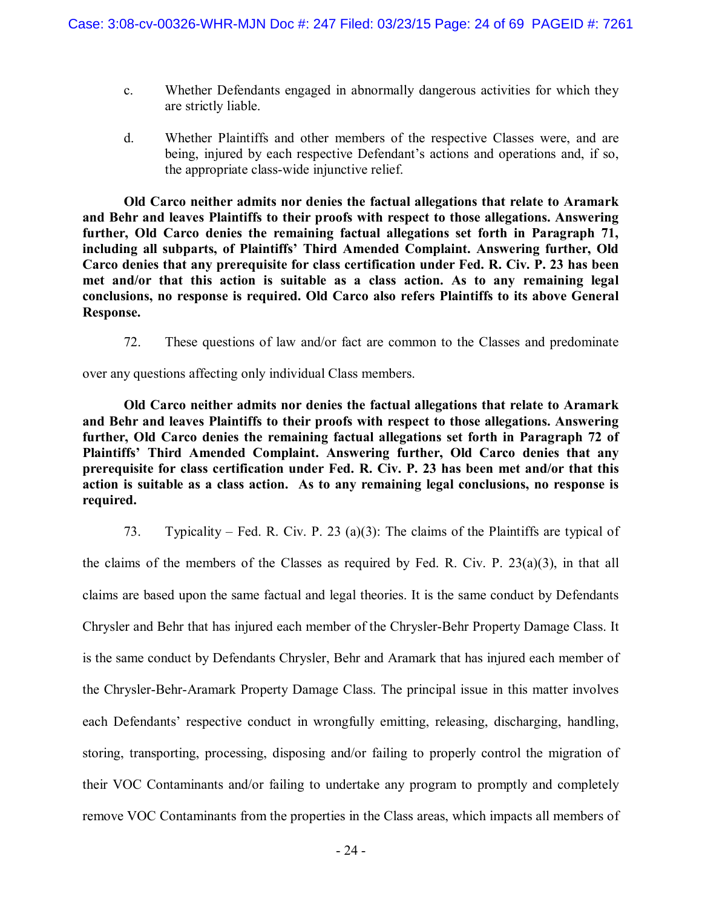- c. Whether Defendants engaged in abnormally dangerous activities for which they are strictly liable.
- d. Whether Plaintiffs and other members of the respective Classes were, and are being, injured by each respective Defendant's actions and operations and, if so, the appropriate class-wide injunctive relief.

**Old Carco neither admits nor denies the factual allegations that relate to Aramark and Behr and leaves Plaintiffs to their proofs with respect to those allegations. Answering further, Old Carco denies the remaining factual allegations set forth in Paragraph 71, including all subparts, of Plaintiffs' Third Amended Complaint. Answering further, Old Carco denies that any prerequisite for class certification under Fed. R. Civ. P. 23 has been met and/or that this action is suitable as a class action. As to any remaining legal conclusions, no response is required. Old Carco also refers Plaintiffs to its above General Response.**

72. These questions of law and/or fact are common to the Classes and predominate

over any questions affecting only individual Class members.

**Old Carco neither admits nor denies the factual allegations that relate to Aramark and Behr and leaves Plaintiffs to their proofs with respect to those allegations. Answering further, Old Carco denies the remaining factual allegations set forth in Paragraph 72 of Plaintiffs' Third Amended Complaint. Answering further, Old Carco denies that any prerequisite for class certification under Fed. R. Civ. P. 23 has been met and/or that this action is suitable as a class action. As to any remaining legal conclusions, no response is required.**

73. Typicality – Fed. R. Civ. P. 23 (a)(3): The claims of the Plaintiffs are typical of

the claims of the members of the Classes as required by Fed. R. Civ. P.  $23(a)(3)$ , in that all claims are based upon the same factual and legal theories. It is the same conduct by Defendants Chrysler and Behr that has injured each member of the Chrysler-Behr Property Damage Class. It is the same conduct by Defendants Chrysler, Behr and Aramark that has injured each member of the Chrysler-Behr-Aramark Property Damage Class. The principal issue in this matter involves each Defendants' respective conduct in wrongfully emitting, releasing, discharging, handling, storing, transporting, processing, disposing and/or failing to properly control the migration of their VOC Contaminants and/or failing to undertake any program to promptly and completely remove VOC Contaminants from the properties in the Class areas, which impacts all members of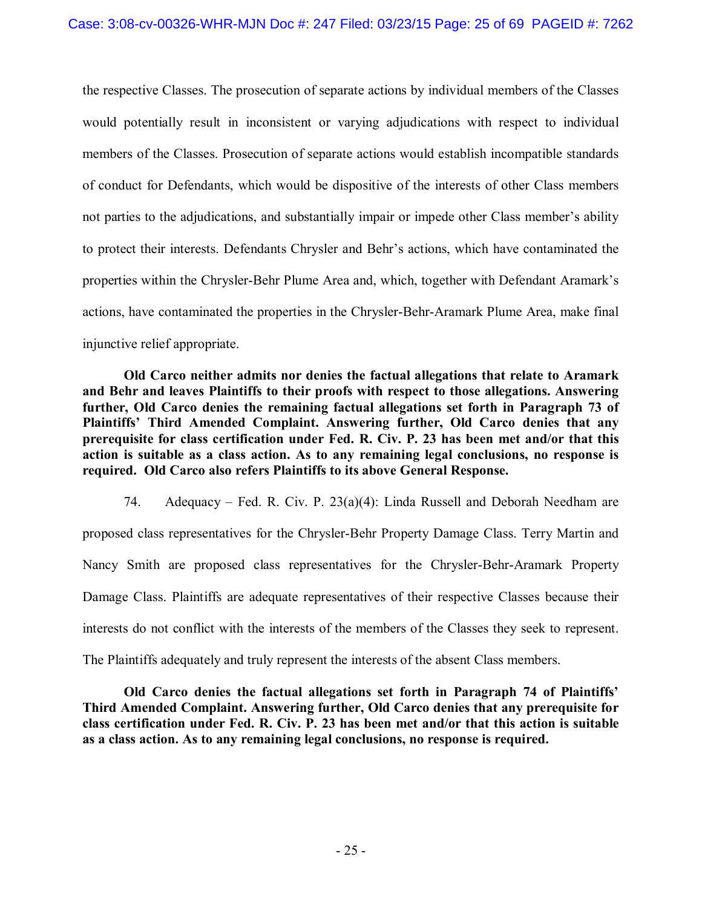the respective Classes. The prosecution of separate actions by individual members of the Classes would potentially result in inconsistent or varying adjudications with respect to individual members of the Classes. Prosecution of separate actions would establish incompatible standards of conduct for Defendants, which would be dispositive of the interests of other Class members not parties to the adjudications, and substantially impair or impede other Class member's ability to protect their interests. Defendants Chrysler and Behr's actions, which have contaminated the properties within the Chrysler-Behr Plume Area and, which, together with Defendant Aramark's actions, have contaminated the properties in the Chrysler-Behr-Aramark Plume Area, make final injunctive relief appropriate.

**Old Carco neither admits nor denies the factual allegations that relate to Aramark and Behr and leaves Plaintiffs to their proofs with respect to those allegations. Answering further, Old Carco denies the remaining factual allegations set forth in Paragraph 73 of Plaintiffs' Third Amended Complaint. Answering further, Old Carco denies that any prerequisite for class certification under Fed. R. Civ. P. 23 has been met and/or that this action is suitable as a class action. As to any remaining legal conclusions, no response is required. Old Carco also refers Plaintiffs to its above General Response.**

74. Adequacy – Fed. R. Civ. P. 23(a)(4): Linda Russell and Deborah Needham are proposed class representatives for the Chrysler-Behr Property Damage Class. Terry Martin and Nancy Smith are proposed class representatives for the Chrysler-Behr-Aramark Property Damage Class. Plaintiffs are adequate representatives of their respective Classes because their interests do not conflict with the interests of the members of the Classes they seek to represent. The Plaintiffs adequately and truly represent the interests of the absent Class members.

**Old Carco denies the factual allegations set forth in Paragraph 74 of Plaintiffs' Third Amended Complaint. Answering further, Old Carco denies that any prerequisite for class certification under Fed. R. Civ. P. 23 has been met and/or that this action is suitable as a class action. As to any remaining legal conclusions, no response is required.**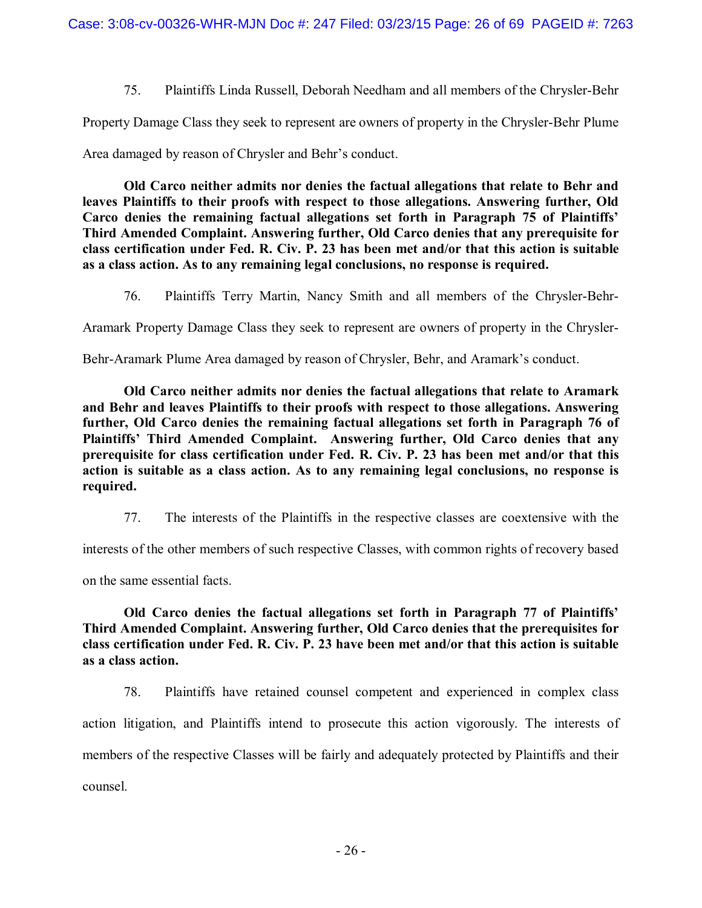75. Plaintiffs Linda Russell, Deborah Needham and all members of the Chrysler-Behr

Property Damage Class they seek to represent are owners of property in the Chrysler-Behr Plume

Area damaged by reason of Chrysler and Behr's conduct.

**Old Carco neither admits nor denies the factual allegations that relate to Behr and leaves Plaintiffs to their proofs with respect to those allegations. Answering further, Old Carco denies the remaining factual allegations set forth in Paragraph 75 of Plaintiffs' Third Amended Complaint. Answering further, Old Carco denies that any prerequisite for class certification under Fed. R. Civ. P. 23 has been met and/or that this action is suitable as a class action. As to any remaining legal conclusions, no response is required.**

76. Plaintiffs Terry Martin, Nancy Smith and all members of the Chrysler-Behr-

Aramark Property Damage Class they seek to represent are owners of property in the Chrysler-

Behr-Aramark Plume Area damaged by reason of Chrysler, Behr, and Aramark's conduct.

**Old Carco neither admits nor denies the factual allegations that relate to Aramark and Behr and leaves Plaintiffs to their proofs with respect to those allegations. Answering further, Old Carco denies the remaining factual allegations set forth in Paragraph 76 of Plaintiffs' Third Amended Complaint. Answering further, Old Carco denies that any prerequisite for class certification under Fed. R. Civ. P. 23 has been met and/or that this action is suitable as a class action. As to any remaining legal conclusions, no response is required.**

77. The interests of the Plaintiffs in the respective classes are coextensive with the

interests of the other members of such respective Classes, with common rights of recovery based

on the same essential facts.

**Old Carco denies the factual allegations set forth in Paragraph 77 of Plaintiffs' Third Amended Complaint. Answering further, Old Carco denies that the prerequisites for class certification under Fed. R. Civ. P. 23 have been met and/or that this action is suitable as a class action.**

78. Plaintiffs have retained counsel competent and experienced in complex class action litigation, and Plaintiffs intend to prosecute this action vigorously. The interests of members of the respective Classes will be fairly and adequately protected by Plaintiffs and their counsel.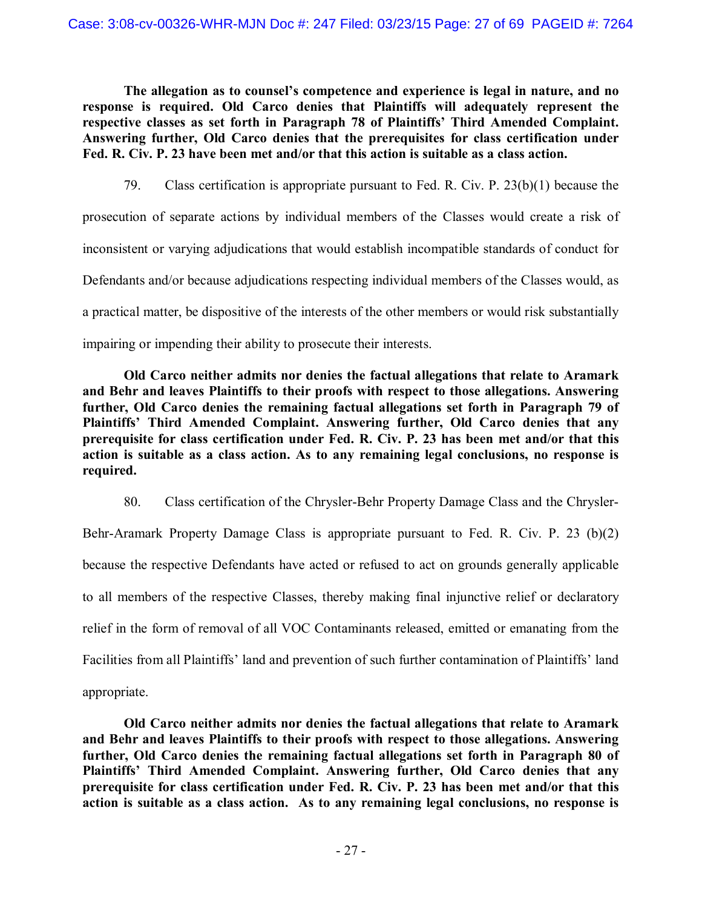**The allegation as to counsel's competence and experience is legal in nature, and no response is required. Old Carco denies that Plaintiffs will adequately represent the respective classes as set forth in Paragraph 78 of Plaintiffs' Third Amended Complaint. Answering further, Old Carco denies that the prerequisites for class certification under Fed. R. Civ. P. 23 have been met and/or that this action is suitable as a class action.**

79. Class certification is appropriate pursuant to Fed. R. Civ. P. 23(b)(1) because the prosecution of separate actions by individual members of the Classes would create a risk of inconsistent or varying adjudications that would establish incompatible standards of conduct for Defendants and/or because adjudications respecting individual members of the Classes would, as a practical matter, be dispositive of the interests of the other members or would risk substantially impairing or impending their ability to prosecute their interests.

**Old Carco neither admits nor denies the factual allegations that relate to Aramark and Behr and leaves Plaintiffs to their proofs with respect to those allegations. Answering further, Old Carco denies the remaining factual allegations set forth in Paragraph 79 of Plaintiffs' Third Amended Complaint. Answering further, Old Carco denies that any prerequisite for class certification under Fed. R. Civ. P. 23 has been met and/or that this action is suitable as a class action. As to any remaining legal conclusions, no response is required.**

80. Class certification of the Chrysler-Behr Property Damage Class and the Chrysler-Behr-Aramark Property Damage Class is appropriate pursuant to Fed. R. Civ. P. 23 (b)(2) because the respective Defendants have acted or refused to act on grounds generally applicable to all members of the respective Classes, thereby making final injunctive relief or declaratory relief in the form of removal of all VOC Contaminants released, emitted or emanating from the Facilities from all Plaintiffs' land and prevention of such further contamination of Plaintiffs' land appropriate.

**Old Carco neither admits nor denies the factual allegations that relate to Aramark and Behr and leaves Plaintiffs to their proofs with respect to those allegations. Answering further, Old Carco denies the remaining factual allegations set forth in Paragraph 80 of Plaintiffs' Third Amended Complaint. Answering further, Old Carco denies that any prerequisite for class certification under Fed. R. Civ. P. 23 has been met and/or that this action is suitable as a class action. As to any remaining legal conclusions, no response is**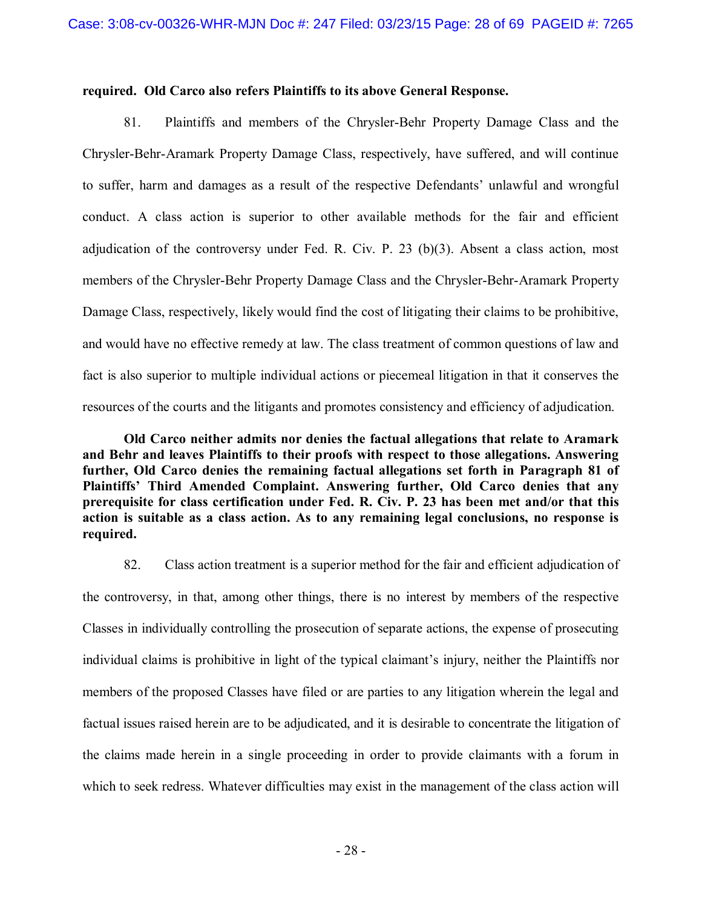#### **required. Old Carco also refers Plaintiffs to its above General Response.**

81. Plaintiffs and members of the Chrysler-Behr Property Damage Class and the Chrysler-Behr-Aramark Property Damage Class, respectively, have suffered, and will continue to suffer, harm and damages as a result of the respective Defendants' unlawful and wrongful conduct. A class action is superior to other available methods for the fair and efficient adjudication of the controversy under Fed. R. Civ. P. 23 (b)(3). Absent a class action, most members of the Chrysler-Behr Property Damage Class and the Chrysler-Behr-Aramark Property Damage Class, respectively, likely would find the cost of litigating their claims to be prohibitive, and would have no effective remedy at law. The class treatment of common questions of law and fact is also superior to multiple individual actions or piecemeal litigation in that it conserves the resources of the courts and the litigants and promotes consistency and efficiency of adjudication.

**Old Carco neither admits nor denies the factual allegations that relate to Aramark and Behr and leaves Plaintiffs to their proofs with respect to those allegations. Answering further, Old Carco denies the remaining factual allegations set forth in Paragraph 81 of Plaintiffs' Third Amended Complaint. Answering further, Old Carco denies that any prerequisite for class certification under Fed. R. Civ. P. 23 has been met and/or that this action is suitable as a class action. As to any remaining legal conclusions, no response is required.**

82. Class action treatment is a superior method for the fair and efficient adjudication of the controversy, in that, among other things, there is no interest by members of the respective Classes in individually controlling the prosecution of separate actions, the expense of prosecuting individual claims is prohibitive in light of the typical claimant's injury, neither the Plaintiffs nor members of the proposed Classes have filed or are parties to any litigation wherein the legal and factual issues raised herein are to be adjudicated, and it is desirable to concentrate the litigation of the claims made herein in a single proceeding in order to provide claimants with a forum in which to seek redress. Whatever difficulties may exist in the management of the class action will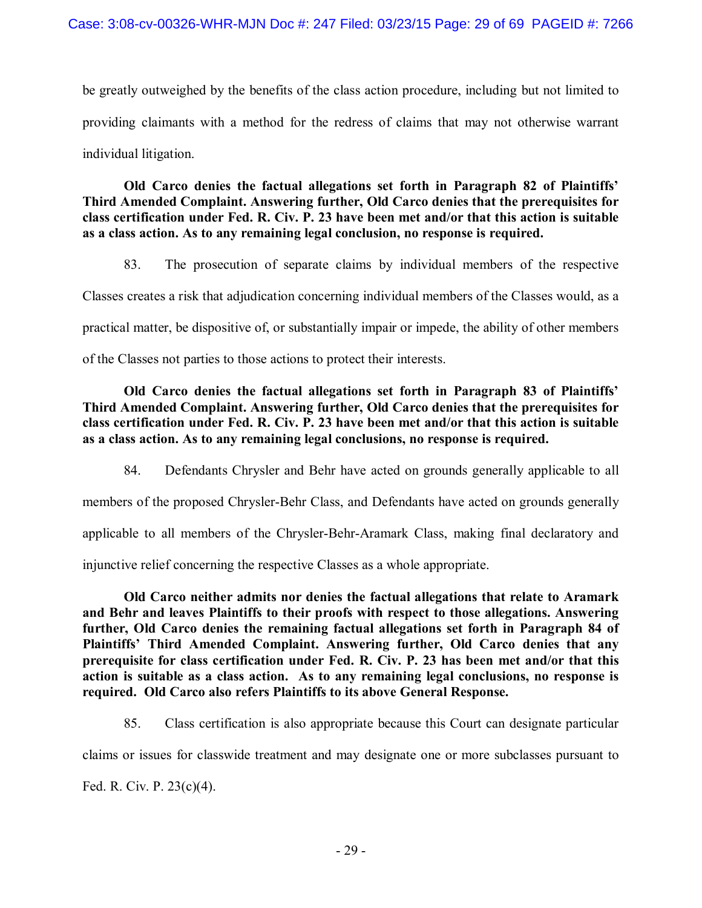be greatly outweighed by the benefits of the class action procedure, including but not limited to providing claimants with a method for the redress of claims that may not otherwise warrant individual litigation.

**Old Carco denies the factual allegations set forth in Paragraph 82 of Plaintiffs' Third Amended Complaint. Answering further, Old Carco denies that the prerequisites for class certification under Fed. R. Civ. P. 23 have been met and/or that this action is suitable as a class action. As to any remaining legal conclusion, no response is required.**

83. The prosecution of separate claims by individual members of the respective Classes creates a risk that adjudication concerning individual members of the Classes would, as a practical matter, be dispositive of, or substantially impair or impede, the ability of other members of the Classes not parties to those actions to protect their interests.

**Old Carco denies the factual allegations set forth in Paragraph 83 of Plaintiffs' Third Amended Complaint. Answering further, Old Carco denies that the prerequisites for class certification under Fed. R. Civ. P. 23 have been met and/or that this action is suitable as a class action. As to any remaining legal conclusions, no response is required.**

84. Defendants Chrysler and Behr have acted on grounds generally applicable to all

members of the proposed Chrysler-Behr Class, and Defendants have acted on grounds generally

applicable to all members of the Chrysler-Behr-Aramark Class, making final declaratory and

injunctive relief concerning the respective Classes as a whole appropriate.

**Old Carco neither admits nor denies the factual allegations that relate to Aramark and Behr and leaves Plaintiffs to their proofs with respect to those allegations. Answering further, Old Carco denies the remaining factual allegations set forth in Paragraph 84 of Plaintiffs' Third Amended Complaint. Answering further, Old Carco denies that any prerequisite for class certification under Fed. R. Civ. P. 23 has been met and/or that this action is suitable as a class action. As to any remaining legal conclusions, no response is required. Old Carco also refers Plaintiffs to its above General Response.**

85. Class certification is also appropriate because this Court can designate particular

claims or issues for classwide treatment and may designate one or more subclasses pursuant to

Fed. R. Civ. P. 23(c)(4).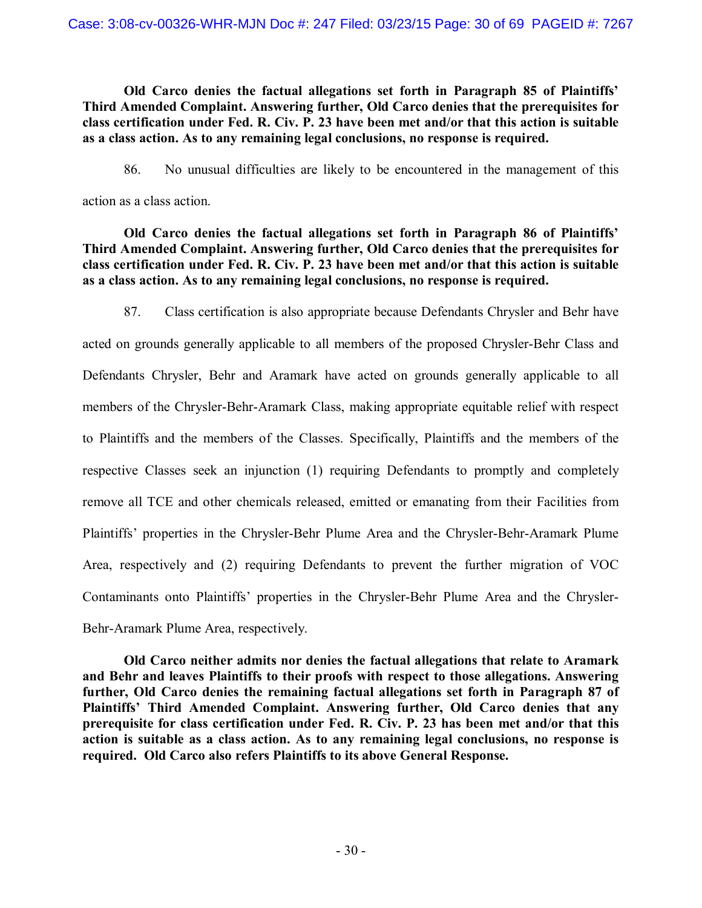**Old Carco denies the factual allegations set forth in Paragraph 85 of Plaintiffs' Third Amended Complaint. Answering further, Old Carco denies that the prerequisites for class certification under Fed. R. Civ. P. 23 have been met and/or that this action is suitable as a class action. As to any remaining legal conclusions, no response is required.**

86. No unusual difficulties are likely to be encountered in the management of this

action as a class action.

**Old Carco denies the factual allegations set forth in Paragraph 86 of Plaintiffs' Third Amended Complaint. Answering further, Old Carco denies that the prerequisites for class certification under Fed. R. Civ. P. 23 have been met and/or that this action is suitable as a class action. As to any remaining legal conclusions, no response is required.**

87. Class certification is also appropriate because Defendants Chrysler and Behr have acted on grounds generally applicable to all members of the proposed Chrysler-Behr Class and Defendants Chrysler, Behr and Aramark have acted on grounds generally applicable to all members of the Chrysler-Behr-Aramark Class, making appropriate equitable relief with respect to Plaintiffs and the members of the Classes. Specifically, Plaintiffs and the members of the respective Classes seek an injunction (1) requiring Defendants to promptly and completely remove all TCE and other chemicals released, emitted or emanating from their Facilities from Plaintiffs' properties in the Chrysler-Behr Plume Area and the Chrysler-Behr-Aramark Plume Area, respectively and (2) requiring Defendants to prevent the further migration of VOC Contaminants onto Plaintiffs' properties in the Chrysler-Behr Plume Area and the Chrysler-Behr-Aramark Plume Area, respectively.

**Old Carco neither admits nor denies the factual allegations that relate to Aramark and Behr and leaves Plaintiffs to their proofs with respect to those allegations. Answering further, Old Carco denies the remaining factual allegations set forth in Paragraph 87 of Plaintiffs' Third Amended Complaint. Answering further, Old Carco denies that any prerequisite for class certification under Fed. R. Civ. P. 23 has been met and/or that this action is suitable as a class action. As to any remaining legal conclusions, no response is required. Old Carco also refers Plaintiffs to its above General Response.**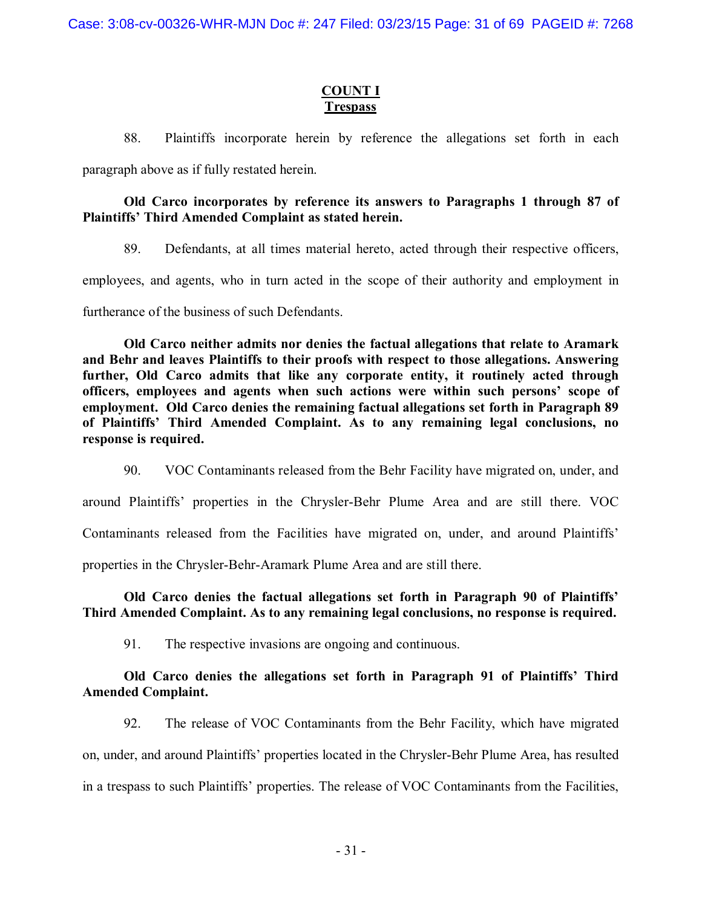Case: 3:08-cv-00326-WHR-MJN Doc #: 247 Filed: 03/23/15 Page: 31 of 69 PAGEID #: 7268

## **COUNT I Trespass**

88. Plaintiffs incorporate herein by reference the allegations set forth in each paragraph above as if fully restated herein.

## **Old Carco incorporates by reference its answers to Paragraphs 1 through 87 of Plaintiffs' Third Amended Complaint as stated herein.**

89. Defendants, at all times material hereto, acted through their respective officers,

employees, and agents, who in turn acted in the scope of their authority and employment in

furtherance of the business of such Defendants.

**Old Carco neither admits nor denies the factual allegations that relate to Aramark and Behr and leaves Plaintiffs to their proofs with respect to those allegations. Answering further, Old Carco admits that like any corporate entity, it routinely acted through officers, employees and agents when such actions were within such persons' scope of employment. Old Carco denies the remaining factual allegations set forth in Paragraph 89 of Plaintiffs' Third Amended Complaint. As to any remaining legal conclusions, no response is required.**

90. VOC Contaminants released from the Behr Facility have migrated on, under, and

around Plaintiffs' properties in the Chrysler-Behr Plume Area and are still there. VOC

Contaminants released from the Facilities have migrated on, under, and around Plaintiffs'

properties in the Chrysler-Behr-Aramark Plume Area and are still there.

## **Old Carco denies the factual allegations set forth in Paragraph 90 of Plaintiffs' Third Amended Complaint. As to any remaining legal conclusions, no response is required.**

91. The respective invasions are ongoing and continuous.

## **Old Carco denies the allegations set forth in Paragraph 91 of Plaintiffs' Third Amended Complaint.**

92. The release of VOC Contaminants from the Behr Facility, which have migrated on, under, and around Plaintiffs' properties located in the Chrysler-Behr Plume Area, has resulted in a trespass to such Plaintiffs' properties. The release of VOC Contaminants from the Facilities,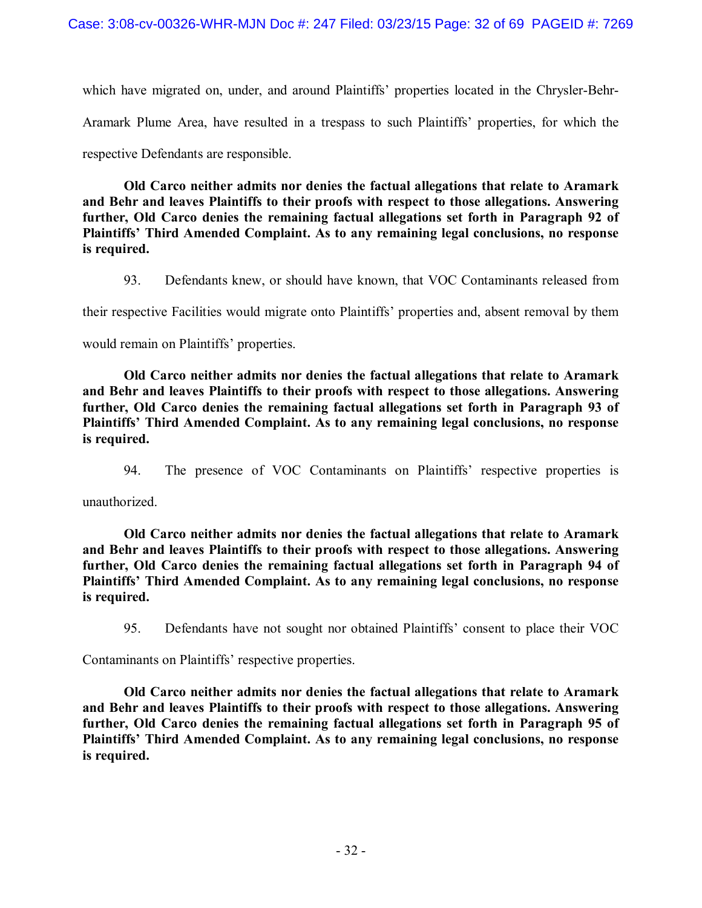which have migrated on, under, and around Plaintiffs' properties located in the Chrysler-Behr-Aramark Plume Area, have resulted in a trespass to such Plaintiffs' properties, for which the respective Defendants are responsible.

**Old Carco neither admits nor denies the factual allegations that relate to Aramark and Behr and leaves Plaintiffs to their proofs with respect to those allegations. Answering further, Old Carco denies the remaining factual allegations set forth in Paragraph 92 of Plaintiffs' Third Amended Complaint. As to any remaining legal conclusions, no response is required.**

93. Defendants knew, or should have known, that VOC Contaminants released from

their respective Facilities would migrate onto Plaintiffs' properties and, absent removal by them

would remain on Plaintiffs' properties.

**Old Carco neither admits nor denies the factual allegations that relate to Aramark and Behr and leaves Plaintiffs to their proofs with respect to those allegations. Answering further, Old Carco denies the remaining factual allegations set forth in Paragraph 93 of Plaintiffs' Third Amended Complaint. As to any remaining legal conclusions, no response is required.**

94. The presence of VOC Contaminants on Plaintiffs' respective properties is

unauthorized.

**Old Carco neither admits nor denies the factual allegations that relate to Aramark and Behr and leaves Plaintiffs to their proofs with respect to those allegations. Answering further, Old Carco denies the remaining factual allegations set forth in Paragraph 94 of Plaintiffs' Third Amended Complaint. As to any remaining legal conclusions, no response is required.**

95. Defendants have not sought nor obtained Plaintiffs' consent to place their VOC

Contaminants on Plaintiffs' respective properties.

**Old Carco neither admits nor denies the factual allegations that relate to Aramark and Behr and leaves Plaintiffs to their proofs with respect to those allegations. Answering further, Old Carco denies the remaining factual allegations set forth in Paragraph 95 of Plaintiffs' Third Amended Complaint. As to any remaining legal conclusions, no response is required.**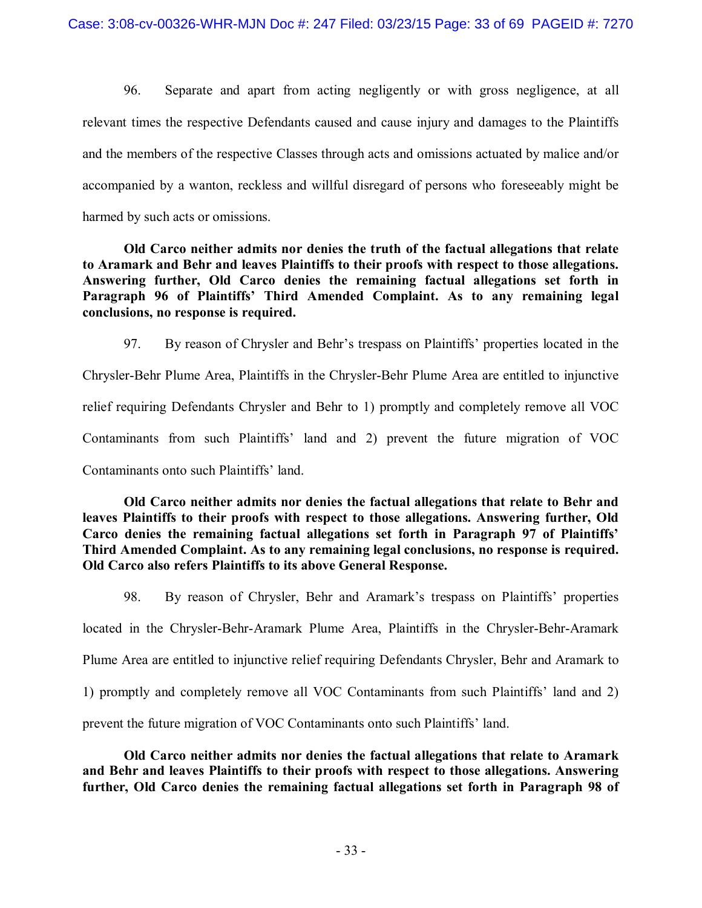96. Separate and apart from acting negligently or with gross negligence, at all relevant times the respective Defendants caused and cause injury and damages to the Plaintiffs and the members of the respective Classes through acts and omissions actuated by malice and/or accompanied by a wanton, reckless and willful disregard of persons who foreseeably might be harmed by such acts or omissions.

**Old Carco neither admits nor denies the truth of the factual allegations that relate to Aramark and Behr and leaves Plaintiffs to their proofs with respect to those allegations. Answering further, Old Carco denies the remaining factual allegations set forth in Paragraph 96 of Plaintiffs' Third Amended Complaint. As to any remaining legal conclusions, no response is required.**

97. By reason of Chrysler and Behr's trespass on Plaintiffs' properties located in the Chrysler-Behr Plume Area, Plaintiffs in the Chrysler-Behr Plume Area are entitled to injunctive relief requiring Defendants Chrysler and Behr to 1) promptly and completely remove all VOC Contaminants from such Plaintiffs' land and 2) prevent the future migration of VOC Contaminants onto such Plaintiffs' land.

**Old Carco neither admits nor denies the factual allegations that relate to Behr and leaves Plaintiffs to their proofs with respect to those allegations. Answering further, Old Carco denies the remaining factual allegations set forth in Paragraph 97 of Plaintiffs' Third Amended Complaint. As to any remaining legal conclusions, no response is required. Old Carco also refers Plaintiffs to its above General Response.**

98. By reason of Chrysler, Behr and Aramark's trespass on Plaintiffs' properties located in the Chrysler-Behr-Aramark Plume Area, Plaintiffs in the Chrysler-Behr-Aramark Plume Area are entitled to injunctive relief requiring Defendants Chrysler, Behr and Aramark to 1) promptly and completely remove all VOC Contaminants from such Plaintiffs' land and 2) prevent the future migration of VOC Contaminants onto such Plaintiffs' land.

**Old Carco neither admits nor denies the factual allegations that relate to Aramark and Behr and leaves Plaintiffs to their proofs with respect to those allegations. Answering further, Old Carco denies the remaining factual allegations set forth in Paragraph 98 of**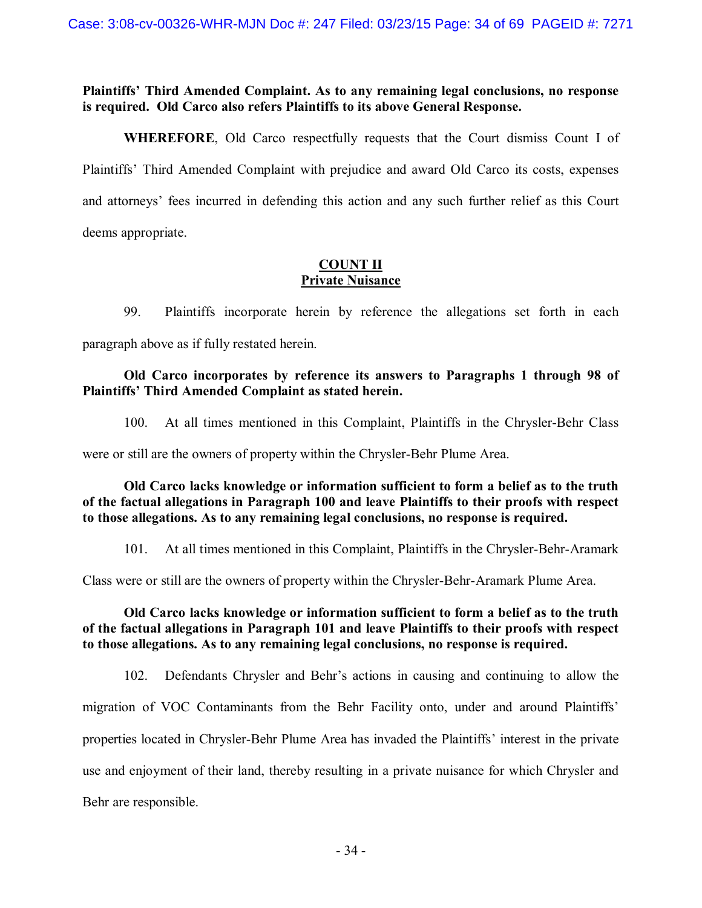### **Plaintiffs' Third Amended Complaint. As to any remaining legal conclusions, no response is required. Old Carco also refers Plaintiffs to its above General Response.**

**WHEREFORE**, Old Carco respectfully requests that the Court dismiss Count I of Plaintiffs' Third Amended Complaint with prejudice and award Old Carco its costs, expenses and attorneys' fees incurred in defending this action and any such further relief as this Court deems appropriate.

## **COUNT II Private Nuisance**

99. Plaintiffs incorporate herein by reference the allegations set forth in each paragraph above as if fully restated herein.

## **Old Carco incorporates by reference its answers to Paragraphs 1 through 98 of Plaintiffs' Third Amended Complaint as stated herein.**

100. At all times mentioned in this Complaint, Plaintiffs in the Chrysler-Behr Class

were or still are the owners of property within the Chrysler-Behr Plume Area.

### **Old Carco lacks knowledge or information sufficient to form a belief as to the truth of the factual allegations in Paragraph 100 and leave Plaintiffs to their proofs with respect to those allegations. As to any remaining legal conclusions, no response is required.**

101. At all times mentioned in this Complaint, Plaintiffs in the Chrysler-Behr-Aramark

Class were or still are the owners of property within the Chrysler-Behr-Aramark Plume Area.

## **Old Carco lacks knowledge or information sufficient to form a belief as to the truth of the factual allegations in Paragraph 101 and leave Plaintiffs to their proofs with respect to those allegations. As to any remaining legal conclusions, no response is required.**

102. Defendants Chrysler and Behr's actions in causing and continuing to allow the migration of VOC Contaminants from the Behr Facility onto, under and around Plaintiffs' properties located in Chrysler-Behr Plume Area has invaded the Plaintiffs' interest in the private use and enjoyment of their land, thereby resulting in a private nuisance for which Chrysler and Behr are responsible.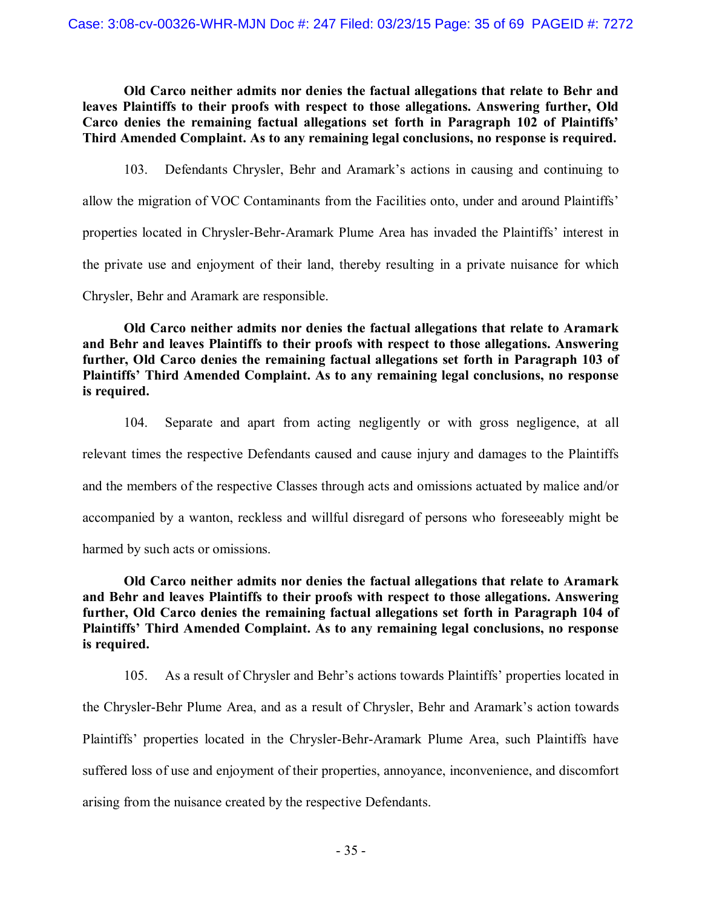**Old Carco neither admits nor denies the factual allegations that relate to Behr and leaves Plaintiffs to their proofs with respect to those allegations. Answering further, Old Carco denies the remaining factual allegations set forth in Paragraph 102 of Plaintiffs' Third Amended Complaint. As to any remaining legal conclusions, no response is required.**

103. Defendants Chrysler, Behr and Aramark's actions in causing and continuing to

allow the migration of VOC Contaminants from the Facilities onto, under and around Plaintiffs'

properties located in Chrysler-Behr-Aramark Plume Area has invaded the Plaintiffs' interest in

the private use and enjoyment of their land, thereby resulting in a private nuisance for which

Chrysler, Behr and Aramark are responsible.

**Old Carco neither admits nor denies the factual allegations that relate to Aramark and Behr and leaves Plaintiffs to their proofs with respect to those allegations. Answering further, Old Carco denies the remaining factual allegations set forth in Paragraph 103 of Plaintiffs' Third Amended Complaint. As to any remaining legal conclusions, no response is required.**

104. Separate and apart from acting negligently or with gross negligence, at all relevant times the respective Defendants caused and cause injury and damages to the Plaintiffs and the members of the respective Classes through acts and omissions actuated by malice and/or accompanied by a wanton, reckless and willful disregard of persons who foreseeably might be harmed by such acts or omissions.

**Old Carco neither admits nor denies the factual allegations that relate to Aramark and Behr and leaves Plaintiffs to their proofs with respect to those allegations. Answering further, Old Carco denies the remaining factual allegations set forth in Paragraph 104 of Plaintiffs' Third Amended Complaint. As to any remaining legal conclusions, no response is required.**

105. As a result of Chrysler and Behr's actions towards Plaintiffs' properties located in the Chrysler-Behr Plume Area, and as a result of Chrysler, Behr and Aramark's action towards Plaintiffs' properties located in the Chrysler-Behr-Aramark Plume Area, such Plaintiffs have suffered loss of use and enjoyment of their properties, annoyance, inconvenience, and discomfort arising from the nuisance created by the respective Defendants.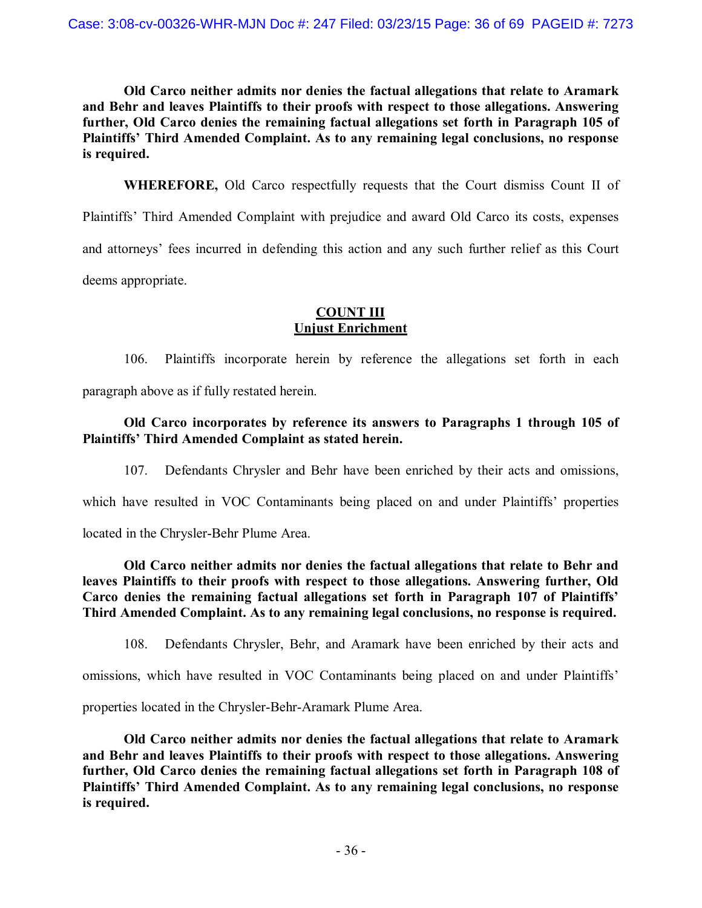**Old Carco neither admits nor denies the factual allegations that relate to Aramark and Behr and leaves Plaintiffs to their proofs with respect to those allegations. Answering further, Old Carco denies the remaining factual allegations set forth in Paragraph 105 of Plaintiffs' Third Amended Complaint. As to any remaining legal conclusions, no response is required.**

**WHEREFORE,** Old Carco respectfully requests that the Court dismiss Count II of Plaintiffs' Third Amended Complaint with prejudice and award Old Carco its costs, expenses and attorneys' fees incurred in defending this action and any such further relief as this Court deems appropriate.

# **COUNT III Unjust Enrichment**

106. Plaintiffs incorporate herein by reference the allegations set forth in each paragraph above as if fully restated herein.

# **Old Carco incorporates by reference its answers to Paragraphs 1 through 105 of Plaintiffs' Third Amended Complaint as stated herein.**

107. Defendants Chrysler and Behr have been enriched by their acts and omissions,

which have resulted in VOC Contaminants being placed on and under Plaintiffs' properties

located in the Chrysler-Behr Plume Area.

**Old Carco neither admits nor denies the factual allegations that relate to Behr and leaves Plaintiffs to their proofs with respect to those allegations. Answering further, Old Carco denies the remaining factual allegations set forth in Paragraph 107 of Plaintiffs' Third Amended Complaint. As to any remaining legal conclusions, no response is required.**

108. Defendants Chrysler, Behr, and Aramark have been enriched by their acts and

omissions, which have resulted in VOC Contaminants being placed on and under Plaintiffs'

properties located in the Chrysler-Behr-Aramark Plume Area.

**Old Carco neither admits nor denies the factual allegations that relate to Aramark and Behr and leaves Plaintiffs to their proofs with respect to those allegations. Answering further, Old Carco denies the remaining factual allegations set forth in Paragraph 108 of Plaintiffs' Third Amended Complaint. As to any remaining legal conclusions, no response is required.**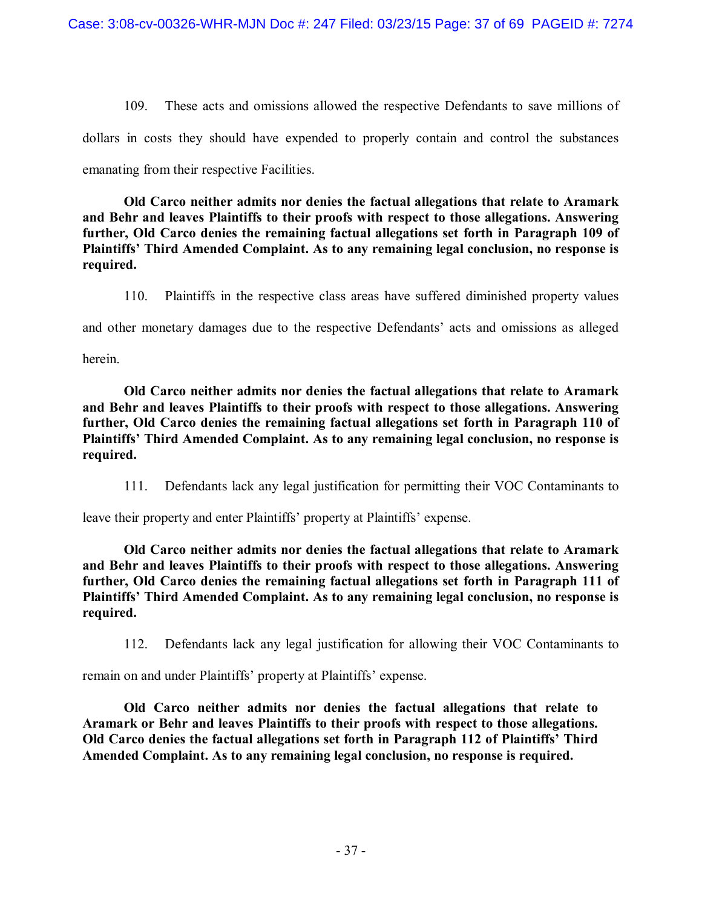109. These acts and omissions allowed the respective Defendants to save millions of dollars in costs they should have expended to properly contain and control the substances emanating from their respective Facilities.

**Old Carco neither admits nor denies the factual allegations that relate to Aramark and Behr and leaves Plaintiffs to their proofs with respect to those allegations. Answering further, Old Carco denies the remaining factual allegations set forth in Paragraph 109 of Plaintiffs' Third Amended Complaint. As to any remaining legal conclusion, no response is required.**

110. Plaintiffs in the respective class areas have suffered diminished property values

and other monetary damages due to the respective Defendants' acts and omissions as alleged

herein.

**Old Carco neither admits nor denies the factual allegations that relate to Aramark and Behr and leaves Plaintiffs to their proofs with respect to those allegations. Answering further, Old Carco denies the remaining factual allegations set forth in Paragraph 110 of Plaintiffs' Third Amended Complaint. As to any remaining legal conclusion, no response is required.**

111. Defendants lack any legal justification for permitting their VOC Contaminants to

leave their property and enter Plaintiffs' property at Plaintiffs' expense.

**Old Carco neither admits nor denies the factual allegations that relate to Aramark and Behr and leaves Plaintiffs to their proofs with respect to those allegations. Answering further, Old Carco denies the remaining factual allegations set forth in Paragraph 111 of Plaintiffs' Third Amended Complaint. As to any remaining legal conclusion, no response is required.**

112. Defendants lack any legal justification for allowing their VOC Contaminants to

remain on and under Plaintiffs' property at Plaintiffs' expense.

**Old Carco neither admits nor denies the factual allegations that relate to Aramark or Behr and leaves Plaintiffs to their proofs with respect to those allegations. Old Carco denies the factual allegations set forth in Paragraph 112 of Plaintiffs' Third Amended Complaint. As to any remaining legal conclusion, no response is required.**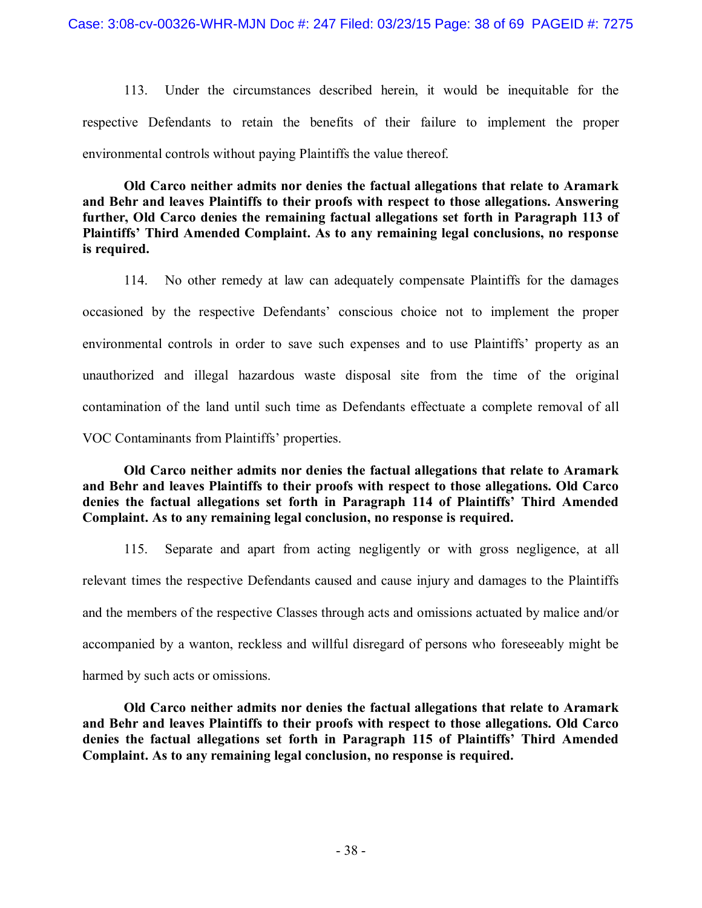113. Under the circumstances described herein, it would be inequitable for the respective Defendants to retain the benefits of their failure to implement the proper environmental controls without paying Plaintiffs the value thereof.

**Old Carco neither admits nor denies the factual allegations that relate to Aramark and Behr and leaves Plaintiffs to their proofs with respect to those allegations. Answering further, Old Carco denies the remaining factual allegations set forth in Paragraph 113 of Plaintiffs' Third Amended Complaint. As to any remaining legal conclusions, no response is required.**

114. No other remedy at law can adequately compensate Plaintiffs for the damages occasioned by the respective Defendants' conscious choice not to implement the proper environmental controls in order to save such expenses and to use Plaintiffs' property as an unauthorized and illegal hazardous waste disposal site from the time of the original contamination of the land until such time as Defendants effectuate a complete removal of all VOC Contaminants from Plaintiffs' properties.

**Old Carco neither admits nor denies the factual allegations that relate to Aramark and Behr and leaves Plaintiffs to their proofs with respect to those allegations. Old Carco denies the factual allegations set forth in Paragraph 114 of Plaintiffs' Third Amended Complaint. As to any remaining legal conclusion, no response is required.**

115. Separate and apart from acting negligently or with gross negligence, at all relevant times the respective Defendants caused and cause injury and damages to the Plaintiffs and the members of the respective Classes through acts and omissions actuated by malice and/or accompanied by a wanton, reckless and willful disregard of persons who foreseeably might be harmed by such acts or omissions.

**Old Carco neither admits nor denies the factual allegations that relate to Aramark and Behr and leaves Plaintiffs to their proofs with respect to those allegations. Old Carco denies the factual allegations set forth in Paragraph 115 of Plaintiffs' Third Amended Complaint. As to any remaining legal conclusion, no response is required.**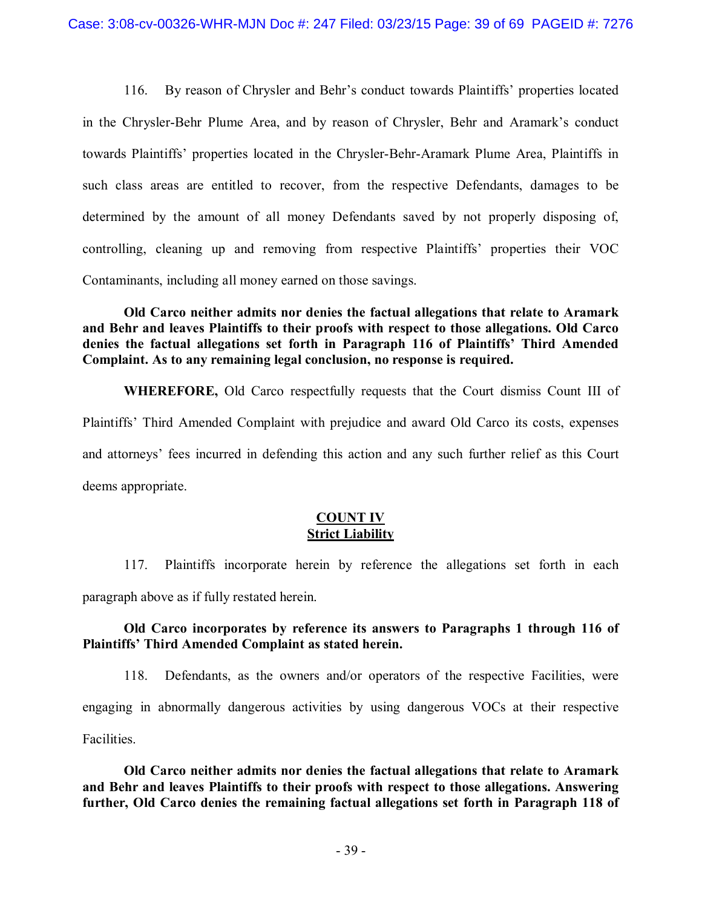116. By reason of Chrysler and Behr's conduct towards Plaintiffs' properties located in the Chrysler-Behr Plume Area, and by reason of Chrysler, Behr and Aramark's conduct towards Plaintiffs' properties located in the Chrysler-Behr-Aramark Plume Area, Plaintiffs in such class areas are entitled to recover, from the respective Defendants, damages to be determined by the amount of all money Defendants saved by not properly disposing of, controlling, cleaning up and removing from respective Plaintiffs' properties their VOC Contaminants, including all money earned on those savings.

**Old Carco neither admits nor denies the factual allegations that relate to Aramark and Behr and leaves Plaintiffs to their proofs with respect to those allegations. Old Carco denies the factual allegations set forth in Paragraph 116 of Plaintiffs' Third Amended Complaint. As to any remaining legal conclusion, no response is required.**

**WHEREFORE,** Old Carco respectfully requests that the Court dismiss Count III of Plaintiffs' Third Amended Complaint with prejudice and award Old Carco its costs, expenses and attorneys' fees incurred in defending this action and any such further relief as this Court deems appropriate.

### **COUNT IV Strict Liability**

117. Plaintiffs incorporate herein by reference the allegations set forth in each paragraph above as if fully restated herein.

## **Old Carco incorporates by reference its answers to Paragraphs 1 through 116 of Plaintiffs' Third Amended Complaint as stated herein.**

118. Defendants, as the owners and/or operators of the respective Facilities, were engaging in abnormally dangerous activities by using dangerous VOCs at their respective Facilities.

**Old Carco neither admits nor denies the factual allegations that relate to Aramark and Behr and leaves Plaintiffs to their proofs with respect to those allegations. Answering further, Old Carco denies the remaining factual allegations set forth in Paragraph 118 of**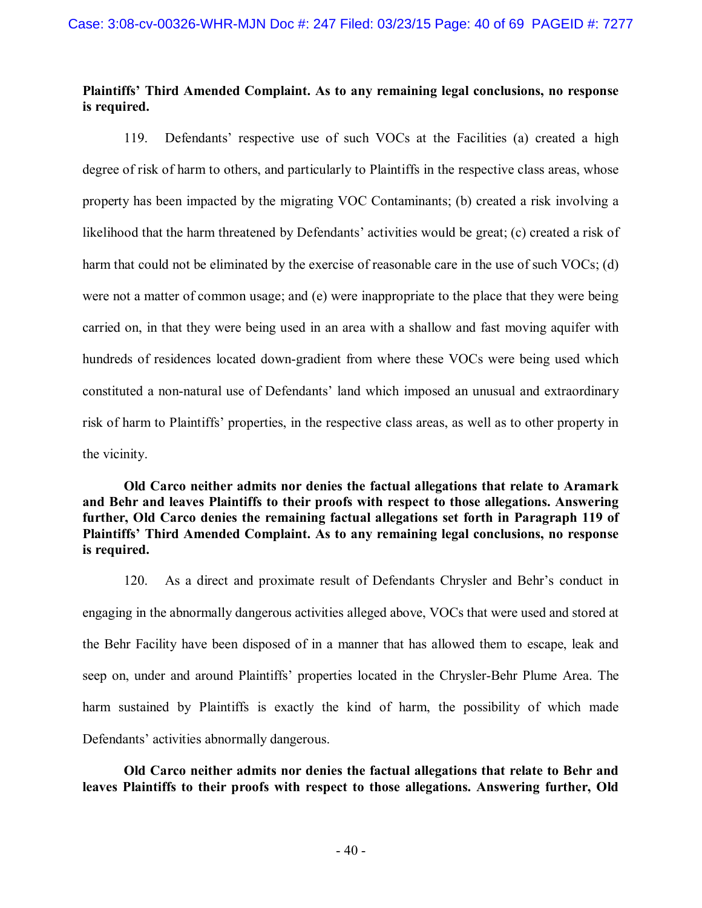## **Plaintiffs' Third Amended Complaint. As to any remaining legal conclusions, no response is required.**

119. Defendants' respective use of such VOCs at the Facilities (a) created a high degree of risk of harm to others, and particularly to Plaintiffs in the respective class areas, whose property has been impacted by the migrating VOC Contaminants; (b) created a risk involving a likelihood that the harm threatened by Defendants' activities would be great; (c) created a risk of harm that could not be eliminated by the exercise of reasonable care in the use of such VOCs; (d) were not a matter of common usage; and (e) were inappropriate to the place that they were being carried on, in that they were being used in an area with a shallow and fast moving aquifer with hundreds of residences located down-gradient from where these VOCs were being used which constituted a non-natural use of Defendants' land which imposed an unusual and extraordinary risk of harm to Plaintiffs' properties, in the respective class areas, as well as to other property in the vicinity.

**Old Carco neither admits nor denies the factual allegations that relate to Aramark and Behr and leaves Plaintiffs to their proofs with respect to those allegations. Answering further, Old Carco denies the remaining factual allegations set forth in Paragraph 119 of Plaintiffs' Third Amended Complaint. As to any remaining legal conclusions, no response is required.**

120. As a direct and proximate result of Defendants Chrysler and Behr's conduct in engaging in the abnormally dangerous activities alleged above, VOCs that were used and stored at the Behr Facility have been disposed of in a manner that has allowed them to escape, leak and seep on, under and around Plaintiffs' properties located in the Chrysler-Behr Plume Area. The harm sustained by Plaintiffs is exactly the kind of harm, the possibility of which made Defendants' activities abnormally dangerous.

**Old Carco neither admits nor denies the factual allegations that relate to Behr and leaves Plaintiffs to their proofs with respect to those allegations. Answering further, Old**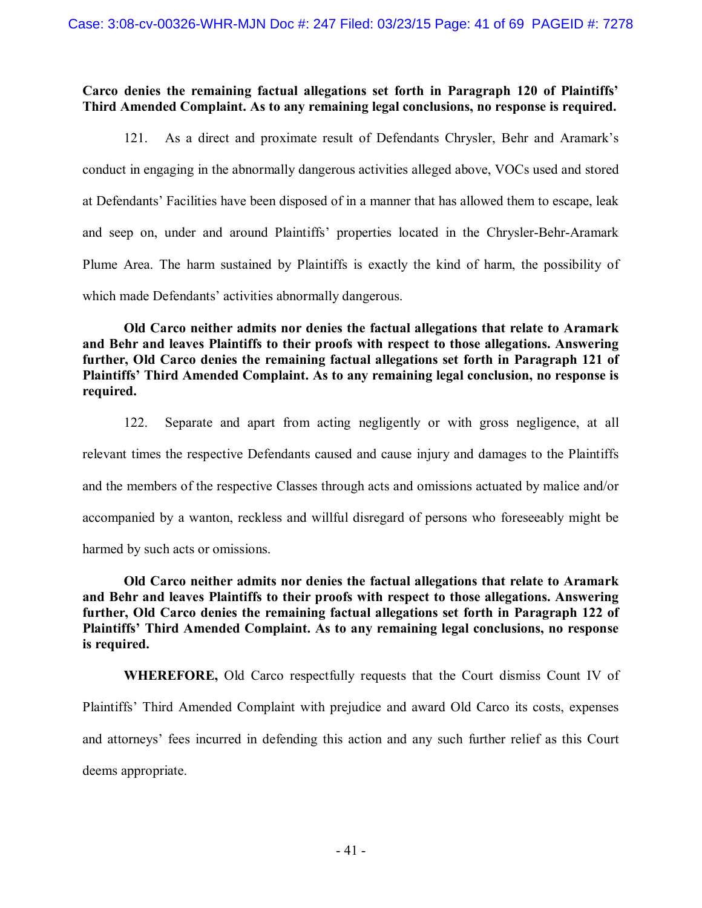### **Carco denies the remaining factual allegations set forth in Paragraph 120 of Plaintiffs' Third Amended Complaint. As to any remaining legal conclusions, no response is required.**

121. As a direct and proximate result of Defendants Chrysler, Behr and Aramark's conduct in engaging in the abnormally dangerous activities alleged above, VOCs used and stored at Defendants' Facilities have been disposed of in a manner that has allowed them to escape, leak and seep on, under and around Plaintiffs' properties located in the Chrysler-Behr-Aramark Plume Area. The harm sustained by Plaintiffs is exactly the kind of harm, the possibility of which made Defendants' activities abnormally dangerous.

**Old Carco neither admits nor denies the factual allegations that relate to Aramark and Behr and leaves Plaintiffs to their proofs with respect to those allegations. Answering further, Old Carco denies the remaining factual allegations set forth in Paragraph 121 of Plaintiffs' Third Amended Complaint. As to any remaining legal conclusion, no response is required.**

122. Separate and apart from acting negligently or with gross negligence, at all relevant times the respective Defendants caused and cause injury and damages to the Plaintiffs and the members of the respective Classes through acts and omissions actuated by malice and/or accompanied by a wanton, reckless and willful disregard of persons who foreseeably might be harmed by such acts or omissions.

**Old Carco neither admits nor denies the factual allegations that relate to Aramark and Behr and leaves Plaintiffs to their proofs with respect to those allegations. Answering further, Old Carco denies the remaining factual allegations set forth in Paragraph 122 of Plaintiffs' Third Amended Complaint. As to any remaining legal conclusions, no response is required.**

**WHEREFORE,** Old Carco respectfully requests that the Court dismiss Count IV of Plaintiffs' Third Amended Complaint with prejudice and award Old Carco its costs, expenses and attorneys' fees incurred in defending this action and any such further relief as this Court deems appropriate.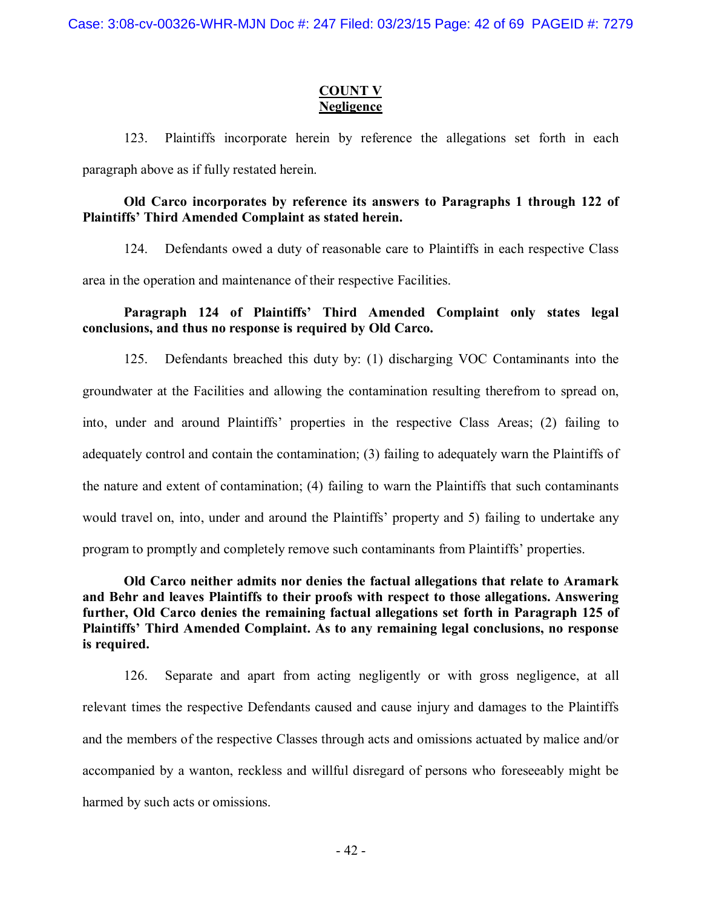Case: 3:08-cv-00326-WHR-MJN Doc #: 247 Filed: 03/23/15 Page: 42 of 69 PAGEID #: 7279

### **COUNT V Negligence**

123. Plaintiffs incorporate herein by reference the allegations set forth in each paragraph above as if fully restated herein.

## **Old Carco incorporates by reference its answers to Paragraphs 1 through 122 of Plaintiffs' Third Amended Complaint as stated herein.**

124. Defendants owed a duty of reasonable care to Plaintiffs in each respective Class area in the operation and maintenance of their respective Facilities.

## **Paragraph 124 of Plaintiffs' Third Amended Complaint only states legal conclusions, and thus no response is required by Old Carco.**

125. Defendants breached this duty by: (1) discharging VOC Contaminants into the groundwater at the Facilities and allowing the contamination resulting therefrom to spread on, into, under and around Plaintiffs' properties in the respective Class Areas; (2) failing to adequately control and contain the contamination; (3) failing to adequately warn the Plaintiffs of the nature and extent of contamination; (4) failing to warn the Plaintiffs that such contaminants would travel on, into, under and around the Plaintiffs' property and 5) failing to undertake any program to promptly and completely remove such contaminants from Plaintiffs' properties.

**Old Carco neither admits nor denies the factual allegations that relate to Aramark and Behr and leaves Plaintiffs to their proofs with respect to those allegations. Answering further, Old Carco denies the remaining factual allegations set forth in Paragraph 125 of Plaintiffs' Third Amended Complaint. As to any remaining legal conclusions, no response is required.**

126. Separate and apart from acting negligently or with gross negligence, at all relevant times the respective Defendants caused and cause injury and damages to the Plaintiffs and the members of the respective Classes through acts and omissions actuated by malice and/or accompanied by a wanton, reckless and willful disregard of persons who foreseeably might be harmed by such acts or omissions.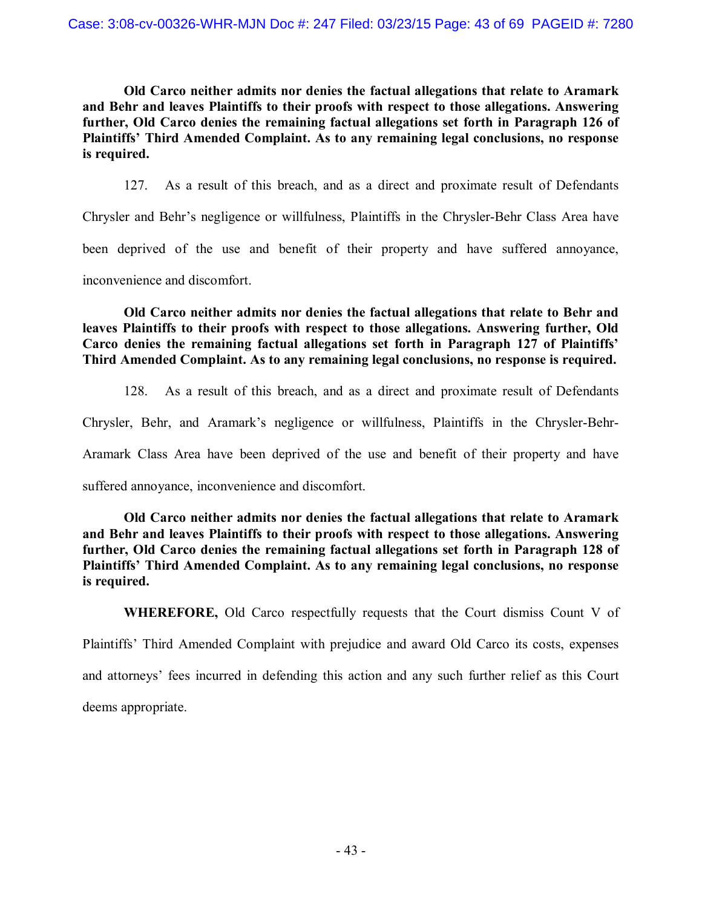**Old Carco neither admits nor denies the factual allegations that relate to Aramark and Behr and leaves Plaintiffs to their proofs with respect to those allegations. Answering further, Old Carco denies the remaining factual allegations set forth in Paragraph 126 of Plaintiffs' Third Amended Complaint. As to any remaining legal conclusions, no response is required.**

127. As a result of this breach, and as a direct and proximate result of Defendants

Chrysler and Behr's negligence or willfulness, Plaintiffs in the Chrysler-Behr Class Area have

been deprived of the use and benefit of their property and have suffered annoyance,

inconvenience and discomfort.

**Old Carco neither admits nor denies the factual allegations that relate to Behr and leaves Plaintiffs to their proofs with respect to those allegations. Answering further, Old Carco denies the remaining factual allegations set forth in Paragraph 127 of Plaintiffs' Third Amended Complaint. As to any remaining legal conclusions, no response is required.**

128. As a result of this breach, and as a direct and proximate result of Defendants Chrysler, Behr, and Aramark's negligence or willfulness, Plaintiffs in the Chrysler-Behr-Aramark Class Area have been deprived of the use and benefit of their property and have suffered annoyance, inconvenience and discomfort.

**Old Carco neither admits nor denies the factual allegations that relate to Aramark and Behr and leaves Plaintiffs to their proofs with respect to those allegations. Answering further, Old Carco denies the remaining factual allegations set forth in Paragraph 128 of Plaintiffs' Third Amended Complaint. As to any remaining legal conclusions, no response is required.**

**WHEREFORE,** Old Carco respectfully requests that the Court dismiss Count V of Plaintiffs' Third Amended Complaint with prejudice and award Old Carco its costs, expenses and attorneys' fees incurred in defending this action and any such further relief as this Court deems appropriate.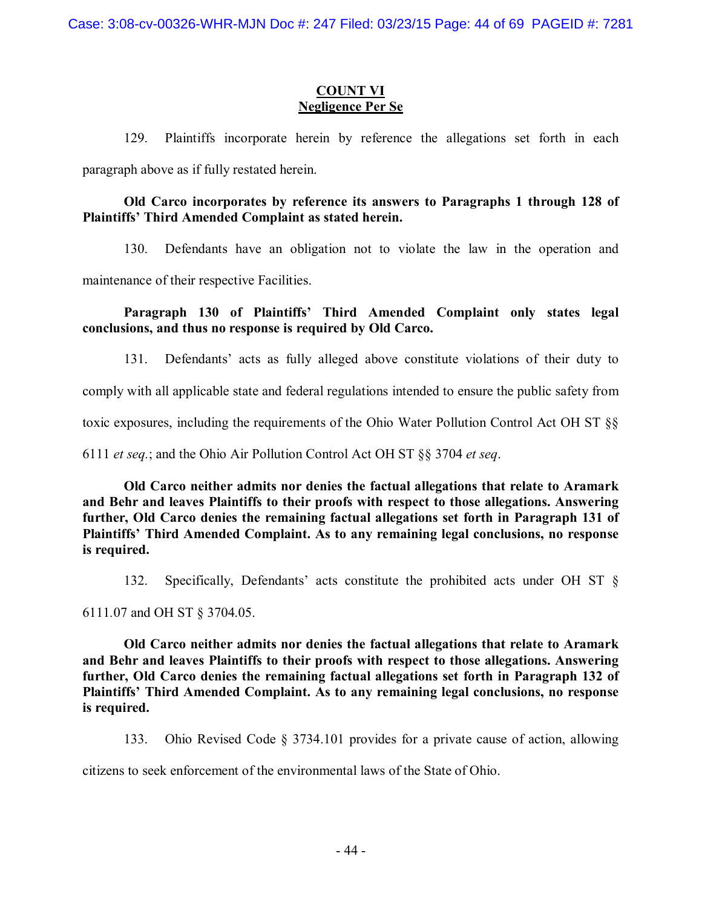## **COUNT VI Negligence Per Se**

129. Plaintiffs incorporate herein by reference the allegations set forth in each paragraph above as if fully restated herein.

# **Old Carco incorporates by reference its answers to Paragraphs 1 through 128 of Plaintiffs' Third Amended Complaint as stated herein.**

130. Defendants have an obligation not to violate the law in the operation and

maintenance of their respective Facilities.

## **Paragraph 130 of Plaintiffs' Third Amended Complaint only states legal conclusions, and thus no response is required by Old Carco.**

131. Defendants' acts as fully alleged above constitute violations of their duty to

comply with all applicable state and federal regulations intended to ensure the public safety from

toxic exposures, including the requirements of the Ohio Water Pollution Control Act OH ST §§

6111 *et seq.*; and the Ohio Air Pollution Control Act OH ST §§ 3704 *et seq*.

**Old Carco neither admits nor denies the factual allegations that relate to Aramark and Behr and leaves Plaintiffs to their proofs with respect to those allegations. Answering further, Old Carco denies the remaining factual allegations set forth in Paragraph 131 of Plaintiffs' Third Amended Complaint. As to any remaining legal conclusions, no response is required.**

132. Specifically, Defendants' acts constitute the prohibited acts under OH ST §

6111*.*07 and OH ST § 3704.05.

**Old Carco neither admits nor denies the factual allegations that relate to Aramark and Behr and leaves Plaintiffs to their proofs with respect to those allegations. Answering further, Old Carco denies the remaining factual allegations set forth in Paragraph 132 of Plaintiffs' Third Amended Complaint. As to any remaining legal conclusions, no response is required.**

133. Ohio Revised Code § 3734.101 provides for a private cause of action, allowing

citizens to seek enforcement of the environmental laws of the State of Ohio.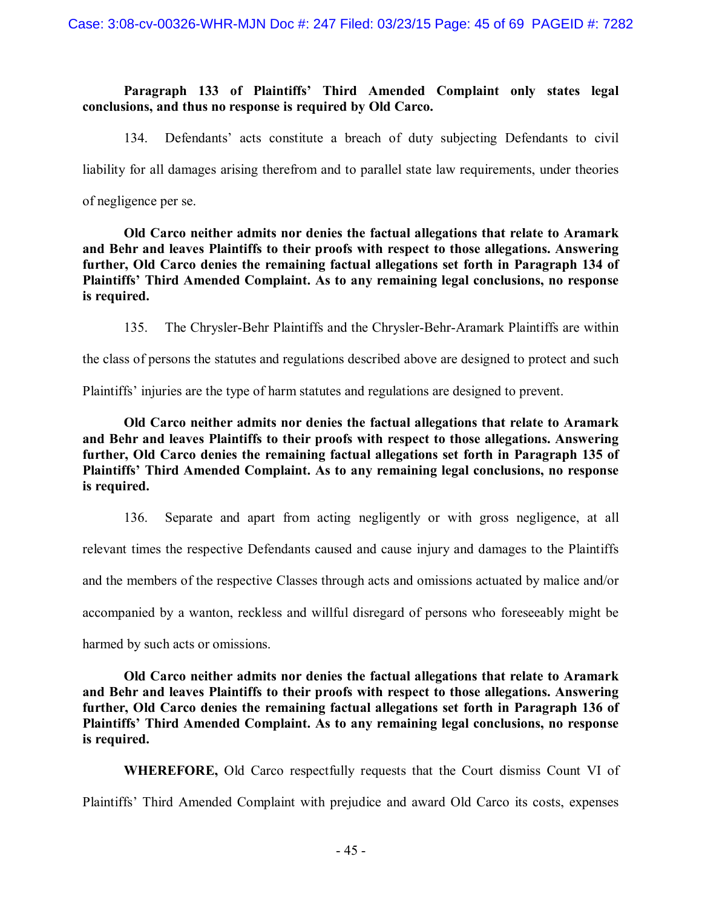### **Paragraph 133 of Plaintiffs' Third Amended Complaint only states legal conclusions, and thus no response is required by Old Carco.**

134. Defendants' acts constitute a breach of duty subjecting Defendants to civil

liability for all damages arising therefrom and to parallel state law requirements, under theories

of negligence per se.

**Old Carco neither admits nor denies the factual allegations that relate to Aramark and Behr and leaves Plaintiffs to their proofs with respect to those allegations. Answering further, Old Carco denies the remaining factual allegations set forth in Paragraph 134 of Plaintiffs' Third Amended Complaint. As to any remaining legal conclusions, no response is required.**

135. The Chrysler-Behr Plaintiffs and the Chrysler-Behr-Aramark Plaintiffs are within

the class of persons the statutes and regulations described above are designed to protect and such

Plaintiffs' injuries are the type of harm statutes and regulations are designed to prevent.

**Old Carco neither admits nor denies the factual allegations that relate to Aramark and Behr and leaves Plaintiffs to their proofs with respect to those allegations. Answering further, Old Carco denies the remaining factual allegations set forth in Paragraph 135 of Plaintiffs' Third Amended Complaint. As to any remaining legal conclusions, no response is required.**

136. Separate and apart from acting negligently or with gross negligence, at all

relevant times the respective Defendants caused and cause injury and damages to the Plaintiffs

and the members of the respective Classes through acts and omissions actuated by malice and/or

accompanied by a wanton, reckless and willful disregard of persons who foreseeably might be

harmed by such acts or omissions.

**Old Carco neither admits nor denies the factual allegations that relate to Aramark and Behr and leaves Plaintiffs to their proofs with respect to those allegations. Answering further, Old Carco denies the remaining factual allegations set forth in Paragraph 136 of Plaintiffs' Third Amended Complaint. As to any remaining legal conclusions, no response is required.**

**WHEREFORE,** Old Carco respectfully requests that the Court dismiss Count VI of Plaintiffs' Third Amended Complaint with prejudice and award Old Carco its costs, expenses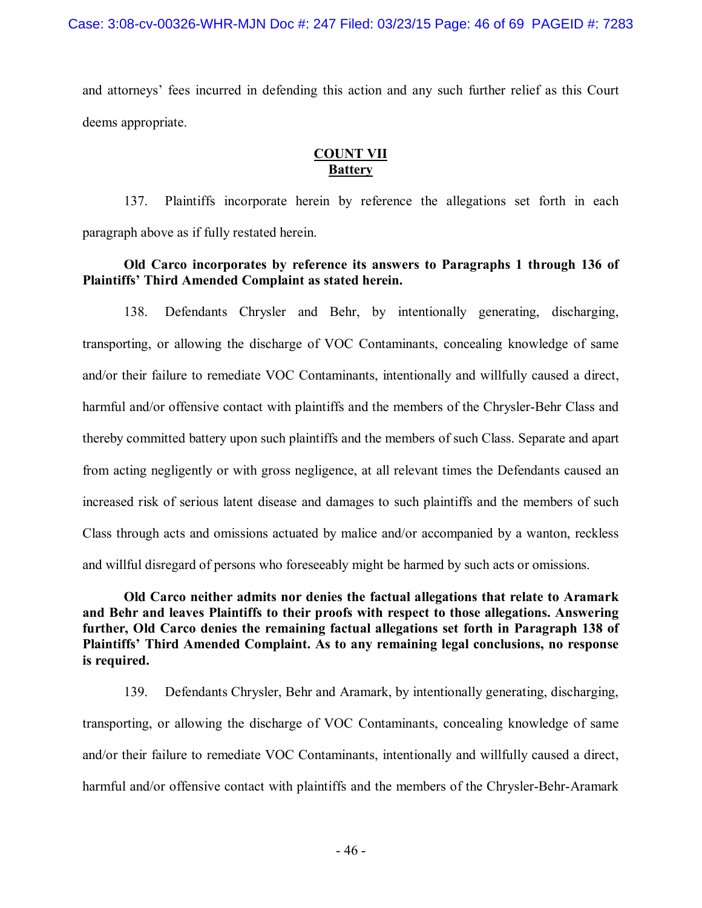and attorneys' fees incurred in defending this action and any such further relief as this Court deems appropriate.

# **COUNT VII Battery**

137. Plaintiffs incorporate herein by reference the allegations set forth in each paragraph above as if fully restated herein.

## **Old Carco incorporates by reference its answers to Paragraphs 1 through 136 of Plaintiffs' Third Amended Complaint as stated herein.**

138. Defendants Chrysler and Behr, by intentionally generating, discharging, transporting, or allowing the discharge of VOC Contaminants, concealing knowledge of same and/or their failure to remediate VOC Contaminants, intentionally and willfully caused a direct, harmful and/or offensive contact with plaintiffs and the members of the Chrysler-Behr Class and thereby committed battery upon such plaintiffs and the members of such Class. Separate and apart from acting negligently or with gross negligence, at all relevant times the Defendants caused an increased risk of serious latent disease and damages to such plaintiffs and the members of such Class through acts and omissions actuated by malice and/or accompanied by a wanton, reckless and willful disregard of persons who foreseeably might be harmed by such acts or omissions.

**Old Carco neither admits nor denies the factual allegations that relate to Aramark and Behr and leaves Plaintiffs to their proofs with respect to those allegations. Answering further, Old Carco denies the remaining factual allegations set forth in Paragraph 138 of Plaintiffs' Third Amended Complaint. As to any remaining legal conclusions, no response is required.**

139. Defendants Chrysler, Behr and Aramark, by intentionally generating, discharging, transporting, or allowing the discharge of VOC Contaminants, concealing knowledge of same and/or their failure to remediate VOC Contaminants, intentionally and willfully caused a direct, harmful and/or offensive contact with plaintiffs and the members of the Chrysler-Behr-Aramark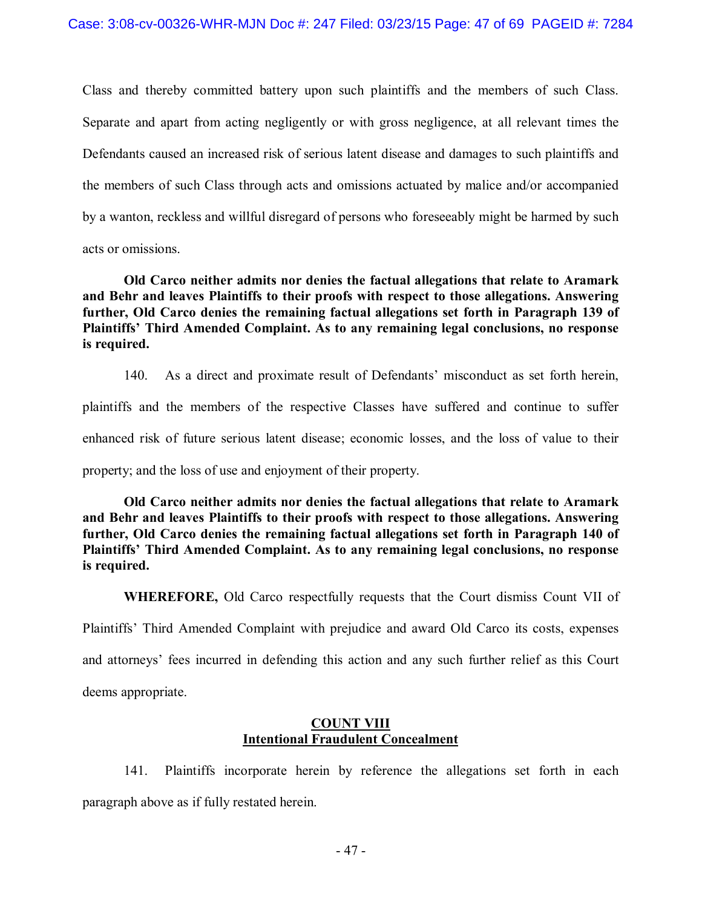Class and thereby committed battery upon such plaintiffs and the members of such Class. Separate and apart from acting negligently or with gross negligence, at all relevant times the Defendants caused an increased risk of serious latent disease and damages to such plaintiffs and the members of such Class through acts and omissions actuated by malice and/or accompanied by a wanton, reckless and willful disregard of persons who foreseeably might be harmed by such acts or omissions.

**Old Carco neither admits nor denies the factual allegations that relate to Aramark and Behr and leaves Plaintiffs to their proofs with respect to those allegations. Answering further, Old Carco denies the remaining factual allegations set forth in Paragraph 139 of Plaintiffs' Third Amended Complaint. As to any remaining legal conclusions, no response is required.**

140. As a direct and proximate result of Defendants' misconduct as set forth herein,

plaintiffs and the members of the respective Classes have suffered and continue to suffer

enhanced risk of future serious latent disease; economic losses, and the loss of value to their

property; and the loss of use and enjoyment of their property.

**Old Carco neither admits nor denies the factual allegations that relate to Aramark and Behr and leaves Plaintiffs to their proofs with respect to those allegations. Answering further, Old Carco denies the remaining factual allegations set forth in Paragraph 140 of Plaintiffs' Third Amended Complaint. As to any remaining legal conclusions, no response is required.**

**WHEREFORE,** Old Carco respectfully requests that the Court dismiss Count VII of

Plaintiffs' Third Amended Complaint with prejudice and award Old Carco its costs, expenses

and attorneys' fees incurred in defending this action and any such further relief as this Court deems appropriate.

## **COUNT VIII Intentional Fraudulent Concealment**

141. Plaintiffs incorporate herein by reference the allegations set forth in each paragraph above as if fully restated herein.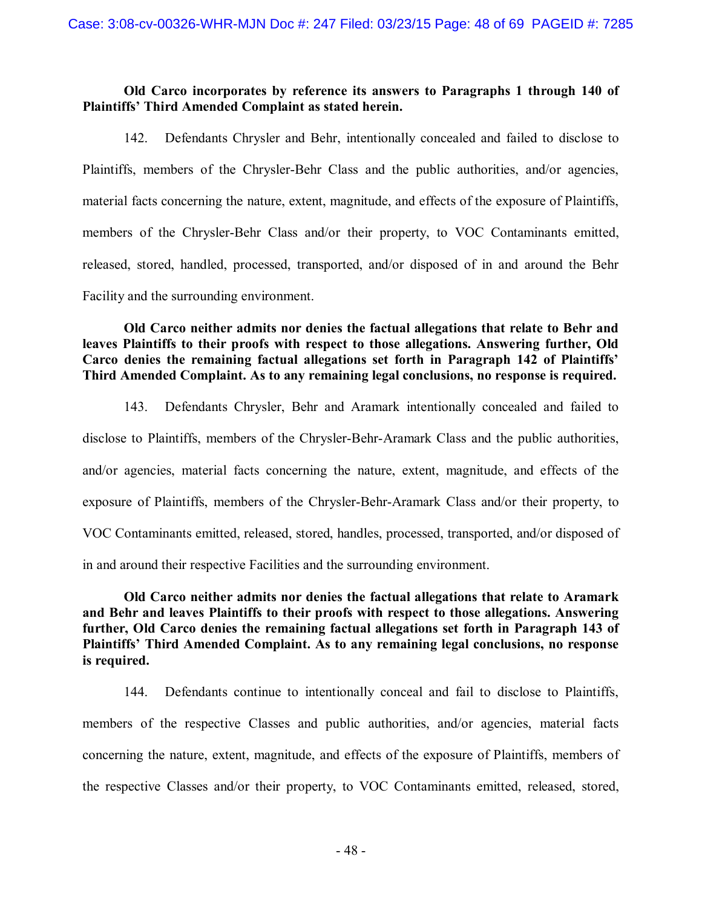### **Old Carco incorporates by reference its answers to Paragraphs 1 through 140 of Plaintiffs' Third Amended Complaint as stated herein.**

142. Defendants Chrysler and Behr, intentionally concealed and failed to disclose to Plaintiffs, members of the Chrysler-Behr Class and the public authorities, and/or agencies, material facts concerning the nature, extent, magnitude, and effects of the exposure of Plaintiffs, members of the Chrysler-Behr Class and/or their property, to VOC Contaminants emitted, released, stored, handled, processed, transported, and/or disposed of in and around the Behr Facility and the surrounding environment.

**Old Carco neither admits nor denies the factual allegations that relate to Behr and leaves Plaintiffs to their proofs with respect to those allegations. Answering further, Old Carco denies the remaining factual allegations set forth in Paragraph 142 of Plaintiffs' Third Amended Complaint. As to any remaining legal conclusions, no response is required.**

143. Defendants Chrysler, Behr and Aramark intentionally concealed and failed to disclose to Plaintiffs, members of the Chrysler-Behr-Aramark Class and the public authorities, and/or agencies, material facts concerning the nature, extent, magnitude, and effects of the exposure of Plaintiffs, members of the Chrysler-Behr-Aramark Class and/or their property, to VOC Contaminants emitted, released, stored, handles, processed, transported, and/or disposed of in and around their respective Facilities and the surrounding environment.

**Old Carco neither admits nor denies the factual allegations that relate to Aramark and Behr and leaves Plaintiffs to their proofs with respect to those allegations. Answering further, Old Carco denies the remaining factual allegations set forth in Paragraph 143 of Plaintiffs' Third Amended Complaint. As to any remaining legal conclusions, no response is required.**

144. Defendants continue to intentionally conceal and fail to disclose to Plaintiffs, members of the respective Classes and public authorities, and/or agencies, material facts concerning the nature, extent, magnitude, and effects of the exposure of Plaintiffs, members of the respective Classes and/or their property, to VOC Contaminants emitted, released, stored,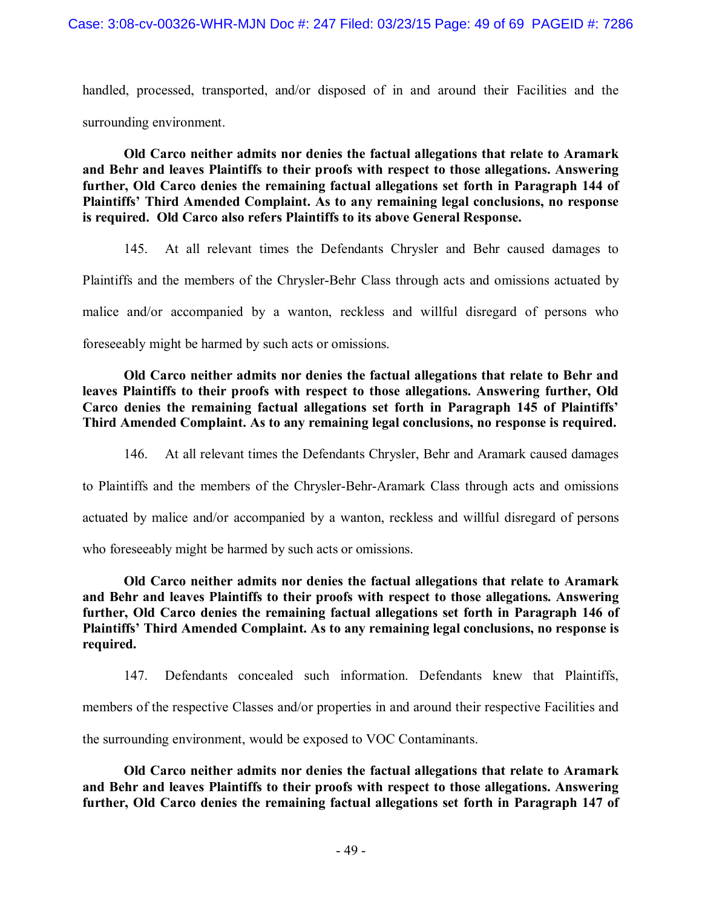handled, processed, transported, and/or disposed of in and around their Facilities and the surrounding environment.

**Old Carco neither admits nor denies the factual allegations that relate to Aramark and Behr and leaves Plaintiffs to their proofs with respect to those allegations. Answering further, Old Carco denies the remaining factual allegations set forth in Paragraph 144 of Plaintiffs' Third Amended Complaint. As to any remaining legal conclusions, no response is required. Old Carco also refers Plaintiffs to its above General Response.**

145. At all relevant times the Defendants Chrysler and Behr caused damages to Plaintiffs and the members of the Chrysler-Behr Class through acts and omissions actuated by malice and/or accompanied by a wanton, reckless and willful disregard of persons who foreseeably might be harmed by such acts or omissions.

**Old Carco neither admits nor denies the factual allegations that relate to Behr and leaves Plaintiffs to their proofs with respect to those allegations. Answering further, Old Carco denies the remaining factual allegations set forth in Paragraph 145 of Plaintiffs' Third Amended Complaint. As to any remaining legal conclusions, no response is required.**

146. At all relevant times the Defendants Chrysler, Behr and Aramark caused damages

to Plaintiffs and the members of the Chrysler-Behr-Aramark Class through acts and omissions

actuated by malice and/or accompanied by a wanton, reckless and willful disregard of persons

who foreseeably might be harmed by such acts or omissions.

**Old Carco neither admits nor denies the factual allegations that relate to Aramark and Behr and leaves Plaintiffs to their proofs with respect to those allegations. Answering further, Old Carco denies the remaining factual allegations set forth in Paragraph 146 of Plaintiffs' Third Amended Complaint. As to any remaining legal conclusions, no response is required.**

147. Defendants concealed such information. Defendants knew that Plaintiffs,

members of the respective Classes and/or properties in and around their respective Facilities and

the surrounding environment, would be exposed to VOC Contaminants.

**Old Carco neither admits nor denies the factual allegations that relate to Aramark and Behr and leaves Plaintiffs to their proofs with respect to those allegations. Answering further, Old Carco denies the remaining factual allegations set forth in Paragraph 147 of**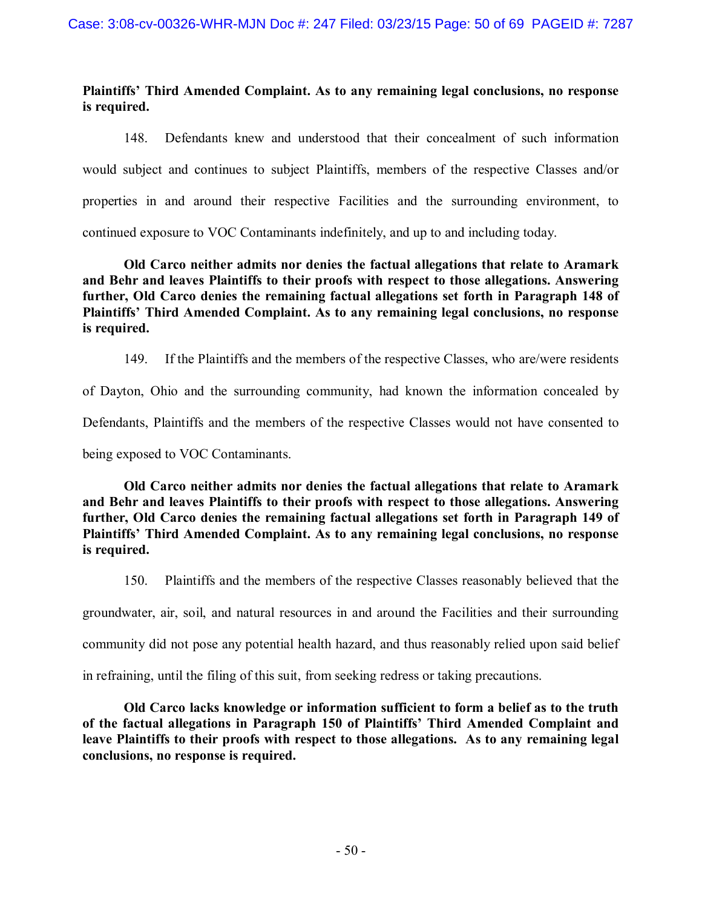## **Plaintiffs' Third Amended Complaint. As to any remaining legal conclusions, no response is required.**

148. Defendants knew and understood that their concealment of such information would subject and continues to subject Plaintiffs, members of the respective Classes and/or properties in and around their respective Facilities and the surrounding environment, to continued exposure to VOC Contaminants indefinitely, and up to and including today.

**Old Carco neither admits nor denies the factual allegations that relate to Aramark and Behr and leaves Plaintiffs to their proofs with respect to those allegations. Answering further, Old Carco denies the remaining factual allegations set forth in Paragraph 148 of Plaintiffs' Third Amended Complaint. As to any remaining legal conclusions, no response is required.**

149. If the Plaintiffs and the members of the respective Classes, who are/were residents

of Dayton, Ohio and the surrounding community, had known the information concealed by

Defendants, Plaintiffs and the members of the respective Classes would not have consented to

being exposed to VOC Contaminants.

**Old Carco neither admits nor denies the factual allegations that relate to Aramark and Behr and leaves Plaintiffs to their proofs with respect to those allegations. Answering further, Old Carco denies the remaining factual allegations set forth in Paragraph 149 of Plaintiffs' Third Amended Complaint. As to any remaining legal conclusions, no response is required.**

150. Plaintiffs and the members of the respective Classes reasonably believed that the

groundwater, air, soil, and natural resources in and around the Facilities and their surrounding

community did not pose any potential health hazard, and thus reasonably relied upon said belief

in refraining, until the filing of this suit, from seeking redress or taking precautions.

**Old Carco lacks knowledge or information sufficient to form a belief as to the truth of the factual allegations in Paragraph 150 of Plaintiffs' Third Amended Complaint and leave Plaintiffs to their proofs with respect to those allegations. As to any remaining legal conclusions, no response is required.**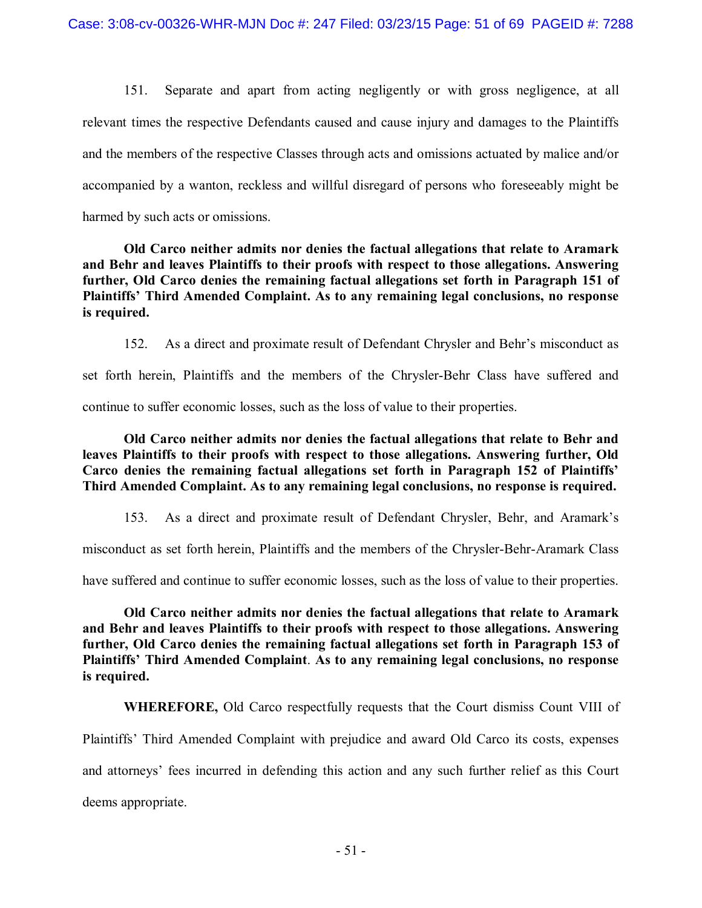151. Separate and apart from acting negligently or with gross negligence, at all relevant times the respective Defendants caused and cause injury and damages to the Plaintiffs and the members of the respective Classes through acts and omissions actuated by malice and/or accompanied by a wanton, reckless and willful disregard of persons who foreseeably might be harmed by such acts or omissions.

**Old Carco neither admits nor denies the factual allegations that relate to Aramark and Behr and leaves Plaintiffs to their proofs with respect to those allegations. Answering further, Old Carco denies the remaining factual allegations set forth in Paragraph 151 of Plaintiffs' Third Amended Complaint. As to any remaining legal conclusions, no response is required.**

152. As a direct and proximate result of Defendant Chrysler and Behr's misconduct as

set forth herein, Plaintiffs and the members of the Chrysler-Behr Class have suffered and continue to suffer economic losses, such as the loss of value to their properties.

**Old Carco neither admits nor denies the factual allegations that relate to Behr and leaves Plaintiffs to their proofs with respect to those allegations. Answering further, Old Carco denies the remaining factual allegations set forth in Paragraph 152 of Plaintiffs' Third Amended Complaint. As to any remaining legal conclusions, no response is required.**

153. As a direct and proximate result of Defendant Chrysler, Behr, and Aramark's

misconduct as set forth herein, Plaintiffs and the members of the Chrysler-Behr-Aramark Class

have suffered and continue to suffer economic losses, such as the loss of value to their properties.

**Old Carco neither admits nor denies the factual allegations that relate to Aramark and Behr and leaves Plaintiffs to their proofs with respect to those allegations. Answering further, Old Carco denies the remaining factual allegations set forth in Paragraph 153 of Plaintiffs' Third Amended Complaint**. **As to any remaining legal conclusions, no response is required.**

**WHEREFORE,** Old Carco respectfully requests that the Court dismiss Count VIII of

Plaintiffs' Third Amended Complaint with prejudice and award Old Carco its costs, expenses

and attorneys' fees incurred in defending this action and any such further relief as this Court

deems appropriate.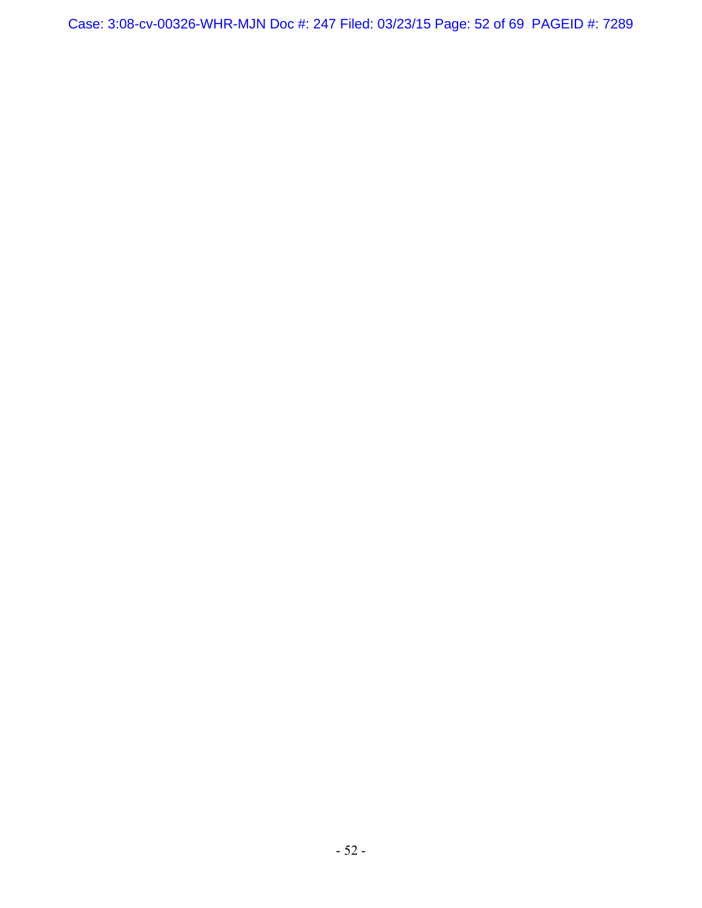Case: 3:08-cv-00326-WHR-MJN Doc #: 247 Filed: 03/23/15 Page: 52 of 69 PAGEID #: 7289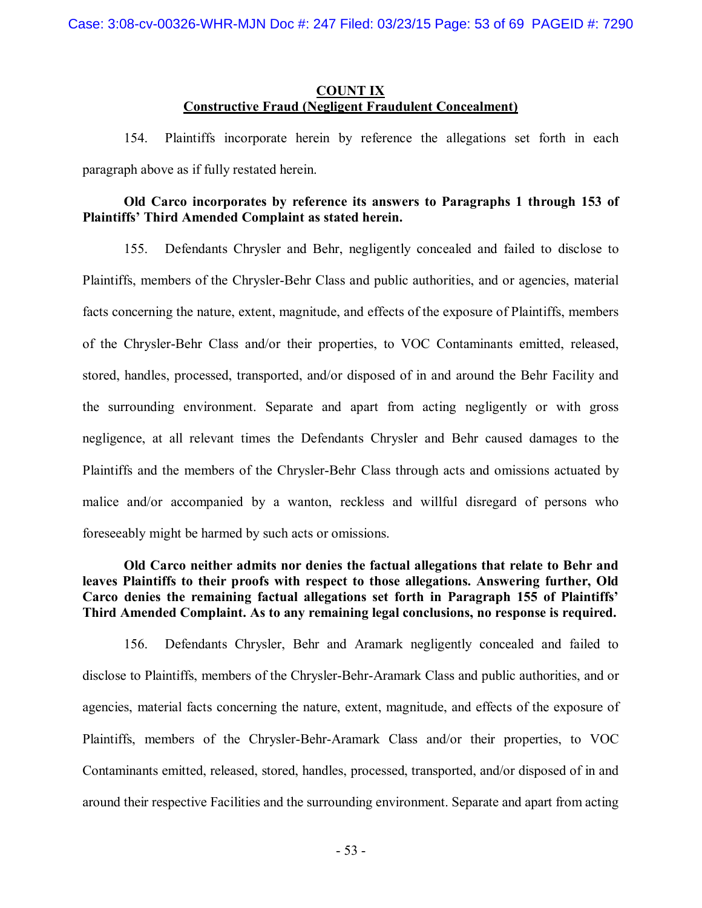#### **COUNT IX Constructive Fraud (Negligent Fraudulent Concealment)**

154. Plaintiffs incorporate herein by reference the allegations set forth in each paragraph above as if fully restated herein.

## **Old Carco incorporates by reference its answers to Paragraphs 1 through 153 of Plaintiffs' Third Amended Complaint as stated herein.**

155. Defendants Chrysler and Behr, negligently concealed and failed to disclose to Plaintiffs, members of the Chrysler-Behr Class and public authorities, and or agencies, material facts concerning the nature, extent, magnitude, and effects of the exposure of Plaintiffs, members of the Chrysler-Behr Class and/or their properties, to VOC Contaminants emitted, released, stored, handles, processed, transported, and/or disposed of in and around the Behr Facility and the surrounding environment. Separate and apart from acting negligently or with gross negligence, at all relevant times the Defendants Chrysler and Behr caused damages to the Plaintiffs and the members of the Chrysler-Behr Class through acts and omissions actuated by malice and/or accompanied by a wanton, reckless and willful disregard of persons who foreseeably might be harmed by such acts or omissions.

## **Old Carco neither admits nor denies the factual allegations that relate to Behr and leaves Plaintiffs to their proofs with respect to those allegations. Answering further, Old Carco denies the remaining factual allegations set forth in Paragraph 155 of Plaintiffs' Third Amended Complaint. As to any remaining legal conclusions, no response is required.**

156. Defendants Chrysler, Behr and Aramark negligently concealed and failed to disclose to Plaintiffs, members of the Chrysler-Behr-Aramark Class and public authorities, and or agencies, material facts concerning the nature, extent, magnitude, and effects of the exposure of Plaintiffs, members of the Chrysler-Behr-Aramark Class and/or their properties, to VOC Contaminants emitted, released, stored, handles, processed, transported, and/or disposed of in and around their respective Facilities and the surrounding environment. Separate and apart from acting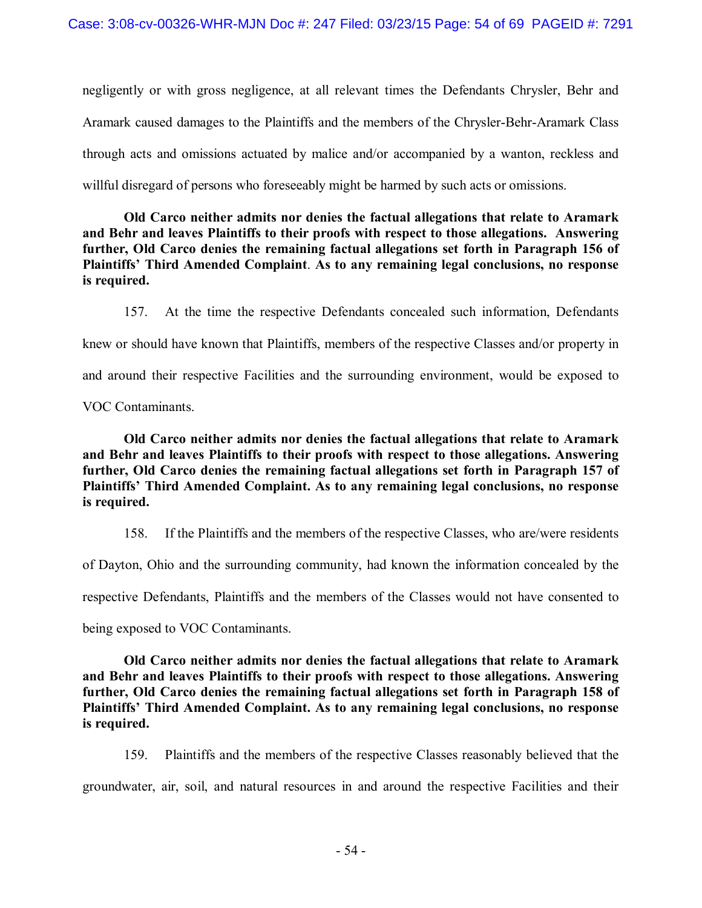negligently or with gross negligence, at all relevant times the Defendants Chrysler, Behr and Aramark caused damages to the Plaintiffs and the members of the Chrysler-Behr-Aramark Class through acts and omissions actuated by malice and/or accompanied by a wanton, reckless and willful disregard of persons who foreseeably might be harmed by such acts or omissions.

**Old Carco neither admits nor denies the factual allegations that relate to Aramark and Behr and leaves Plaintiffs to their proofs with respect to those allegations. Answering further, Old Carco denies the remaining factual allegations set forth in Paragraph 156 of Plaintiffs' Third Amended Complaint**. **As to any remaining legal conclusions, no response is required.**

157. At the time the respective Defendants concealed such information, Defendants knew or should have known that Plaintiffs, members of the respective Classes and/or property in and around their respective Facilities and the surrounding environment, would be exposed to VOC Contaminants.

**Old Carco neither admits nor denies the factual allegations that relate to Aramark and Behr and leaves Plaintiffs to their proofs with respect to those allegations. Answering further, Old Carco denies the remaining factual allegations set forth in Paragraph 157 of Plaintiffs' Third Amended Complaint. As to any remaining legal conclusions, no response is required.**

158. If the Plaintiffs and the members of the respective Classes, who are/were residents

of Dayton, Ohio and the surrounding community, had known the information concealed by the

respective Defendants, Plaintiffs and the members of the Classes would not have consented to

being exposed to VOC Contaminants.

**Old Carco neither admits nor denies the factual allegations that relate to Aramark and Behr and leaves Plaintiffs to their proofs with respect to those allegations. Answering further, Old Carco denies the remaining factual allegations set forth in Paragraph 158 of Plaintiffs' Third Amended Complaint. As to any remaining legal conclusions, no response is required.**

159. Plaintiffs and the members of the respective Classes reasonably believed that the

groundwater, air, soil, and natural resources in and around the respective Facilities and their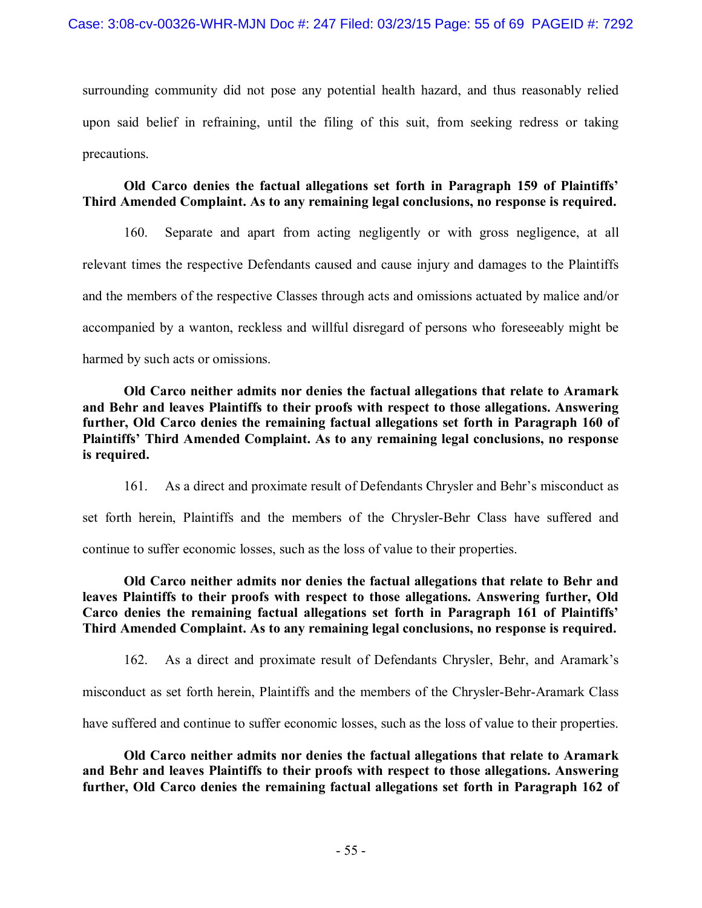surrounding community did not pose any potential health hazard, and thus reasonably relied upon said belief in refraining, until the filing of this suit, from seeking redress or taking precautions.

## **Old Carco denies the factual allegations set forth in Paragraph 159 of Plaintiffs' Third Amended Complaint. As to any remaining legal conclusions, no response is required.**

160. Separate and apart from acting negligently or with gross negligence, at all relevant times the respective Defendants caused and cause injury and damages to the Plaintiffs and the members of the respective Classes through acts and omissions actuated by malice and/or accompanied by a wanton, reckless and willful disregard of persons who foreseeably might be harmed by such acts or omissions.

**Old Carco neither admits nor denies the factual allegations that relate to Aramark and Behr and leaves Plaintiffs to their proofs with respect to those allegations. Answering further, Old Carco denies the remaining factual allegations set forth in Paragraph 160 of Plaintiffs' Third Amended Complaint. As to any remaining legal conclusions, no response is required.**

161. As a direct and proximate result of Defendants Chrysler and Behr's misconduct as set forth herein, Plaintiffs and the members of the Chrysler-Behr Class have suffered and continue to suffer economic losses, such as the loss of value to their properties.

**Old Carco neither admits nor denies the factual allegations that relate to Behr and leaves Plaintiffs to their proofs with respect to those allegations. Answering further, Old Carco denies the remaining factual allegations set forth in Paragraph 161 of Plaintiffs' Third Amended Complaint. As to any remaining legal conclusions, no response is required.**

162. As a direct and proximate result of Defendants Chrysler, Behr, and Aramark's

misconduct as set forth herein, Plaintiffs and the members of the Chrysler-Behr-Aramark Class

have suffered and continue to suffer economic losses, such as the loss of value to their properties.

**Old Carco neither admits nor denies the factual allegations that relate to Aramark and Behr and leaves Plaintiffs to their proofs with respect to those allegations. Answering further, Old Carco denies the remaining factual allegations set forth in Paragraph 162 of**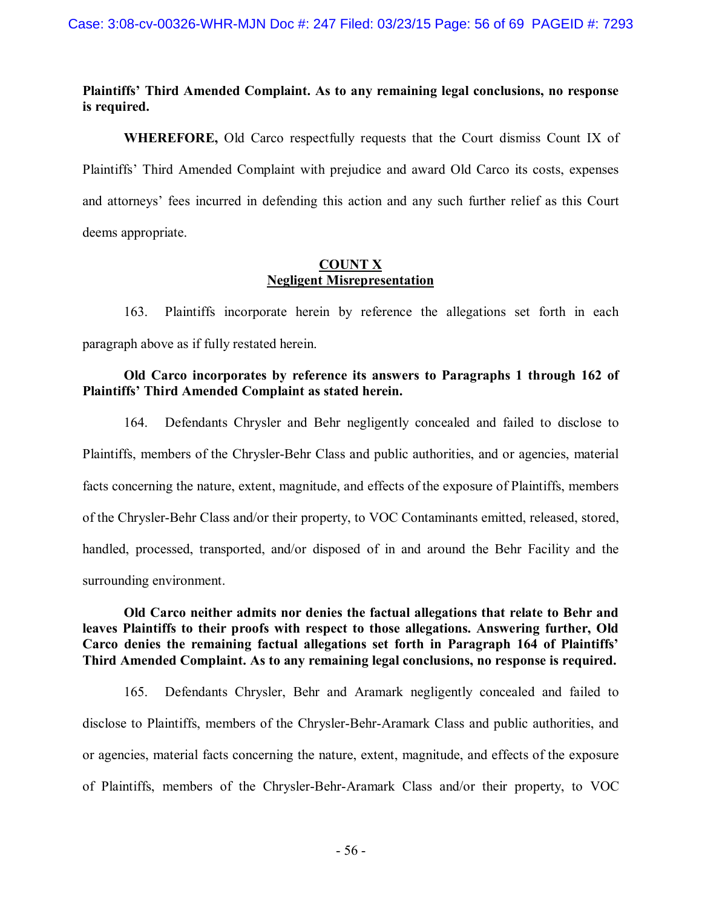## **Plaintiffs' Third Amended Complaint. As to any remaining legal conclusions, no response is required.**

**WHEREFORE,** Old Carco respectfully requests that the Court dismiss Count IX of Plaintiffs' Third Amended Complaint with prejudice and award Old Carco its costs, expenses and attorneys' fees incurred in defending this action and any such further relief as this Court deems appropriate.

### **COUNT X Negligent Misrepresentation**

163. Plaintiffs incorporate herein by reference the allegations set forth in each paragraph above as if fully restated herein.

## **Old Carco incorporates by reference its answers to Paragraphs 1 through 162 of Plaintiffs' Third Amended Complaint as stated herein.**

164. Defendants Chrysler and Behr negligently concealed and failed to disclose to Plaintiffs, members of the Chrysler-Behr Class and public authorities, and or agencies, material facts concerning the nature, extent, magnitude, and effects of the exposure of Plaintiffs, members of the Chrysler-Behr Class and/or their property, to VOC Contaminants emitted, released, stored, handled, processed, transported, and/or disposed of in and around the Behr Facility and the surrounding environment.

**Old Carco neither admits nor denies the factual allegations that relate to Behr and leaves Plaintiffs to their proofs with respect to those allegations. Answering further, Old Carco denies the remaining factual allegations set forth in Paragraph 164 of Plaintiffs' Third Amended Complaint. As to any remaining legal conclusions, no response is required.**

165. Defendants Chrysler, Behr and Aramark negligently concealed and failed to disclose to Plaintiffs, members of the Chrysler-Behr-Aramark Class and public authorities, and or agencies, material facts concerning the nature, extent, magnitude, and effects of the exposure of Plaintiffs, members of the Chrysler-Behr-Aramark Class and/or their property, to VOC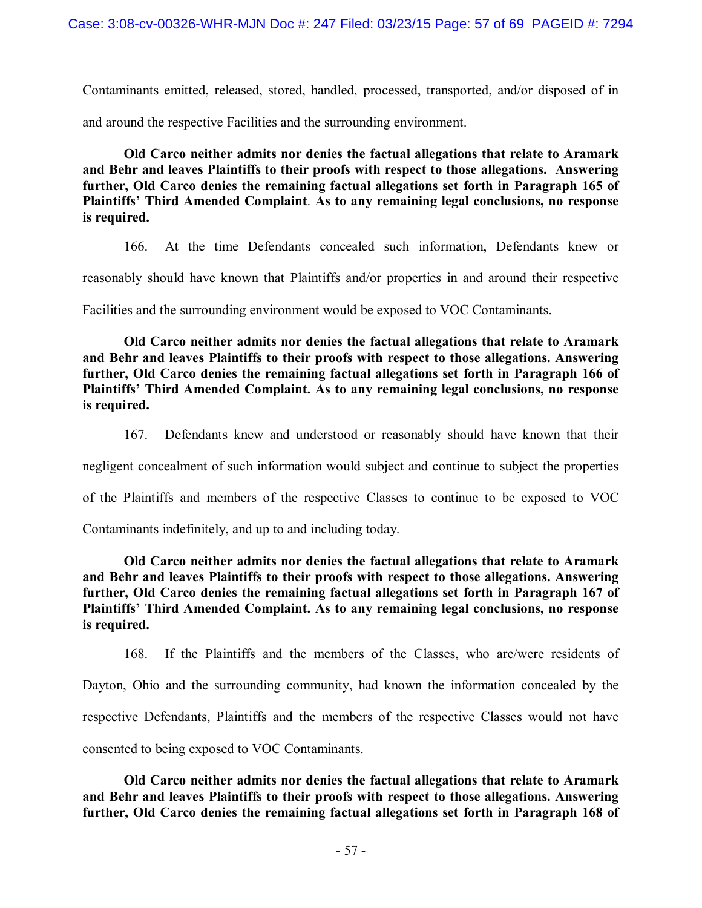Contaminants emitted, released, stored, handled, processed, transported, and/or disposed of in

and around the respective Facilities and the surrounding environment.

**Old Carco neither admits nor denies the factual allegations that relate to Aramark and Behr and leaves Plaintiffs to their proofs with respect to those allegations. Answering further, Old Carco denies the remaining factual allegations set forth in Paragraph 165 of Plaintiffs' Third Amended Complaint**. **As to any remaining legal conclusions, no response is required.**

166. At the time Defendants concealed such information, Defendants knew or

reasonably should have known that Plaintiffs and/or properties in and around their respective

Facilities and the surrounding environment would be exposed to VOC Contaminants.

**Old Carco neither admits nor denies the factual allegations that relate to Aramark and Behr and leaves Plaintiffs to their proofs with respect to those allegations. Answering further, Old Carco denies the remaining factual allegations set forth in Paragraph 166 of Plaintiffs' Third Amended Complaint. As to any remaining legal conclusions, no response is required.**

167. Defendants knew and understood or reasonably should have known that their

negligent concealment of such information would subject and continue to subject the properties

of the Plaintiffs and members of the respective Classes to continue to be exposed to VOC

Contaminants indefinitely, and up to and including today.

**Old Carco neither admits nor denies the factual allegations that relate to Aramark and Behr and leaves Plaintiffs to their proofs with respect to those allegations. Answering further, Old Carco denies the remaining factual allegations set forth in Paragraph 167 of Plaintiffs' Third Amended Complaint. As to any remaining legal conclusions, no response is required.**

168. If the Plaintiffs and the members of the Classes, who are/were residents of

Dayton, Ohio and the surrounding community, had known the information concealed by the

respective Defendants, Plaintiffs and the members of the respective Classes would not have

consented to being exposed to VOC Contaminants.

**Old Carco neither admits nor denies the factual allegations that relate to Aramark and Behr and leaves Plaintiffs to their proofs with respect to those allegations. Answering further, Old Carco denies the remaining factual allegations set forth in Paragraph 168 of**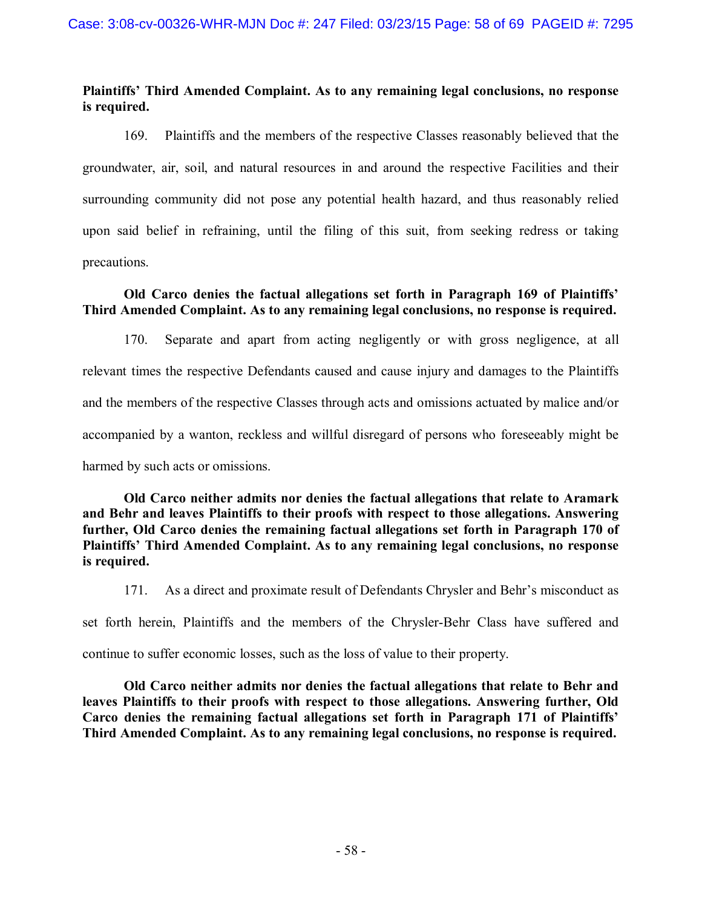## **Plaintiffs' Third Amended Complaint. As to any remaining legal conclusions, no response is required.**

169. Plaintiffs and the members of the respective Classes reasonably believed that the groundwater, air, soil, and natural resources in and around the respective Facilities and their surrounding community did not pose any potential health hazard, and thus reasonably relied upon said belief in refraining, until the filing of this suit, from seeking redress or taking precautions.

## **Old Carco denies the factual allegations set forth in Paragraph 169 of Plaintiffs' Third Amended Complaint. As to any remaining legal conclusions, no response is required.**

170. Separate and apart from acting negligently or with gross negligence, at all relevant times the respective Defendants caused and cause injury and damages to the Plaintiffs and the members of the respective Classes through acts and omissions actuated by malice and/or accompanied by a wanton, reckless and willful disregard of persons who foreseeably might be harmed by such acts or omissions.

**Old Carco neither admits nor denies the factual allegations that relate to Aramark and Behr and leaves Plaintiffs to their proofs with respect to those allegations. Answering further, Old Carco denies the remaining factual allegations set forth in Paragraph 170 of Plaintiffs' Third Amended Complaint. As to any remaining legal conclusions, no response is required.**

171. As a direct and proximate result of Defendants Chrysler and Behr's misconduct as

set forth herein, Plaintiffs and the members of the Chrysler-Behr Class have suffered and

continue to suffer economic losses, such as the loss of value to their property.

**Old Carco neither admits nor denies the factual allegations that relate to Behr and leaves Plaintiffs to their proofs with respect to those allegations. Answering further, Old Carco denies the remaining factual allegations set forth in Paragraph 171 of Plaintiffs' Third Amended Complaint. As to any remaining legal conclusions, no response is required.**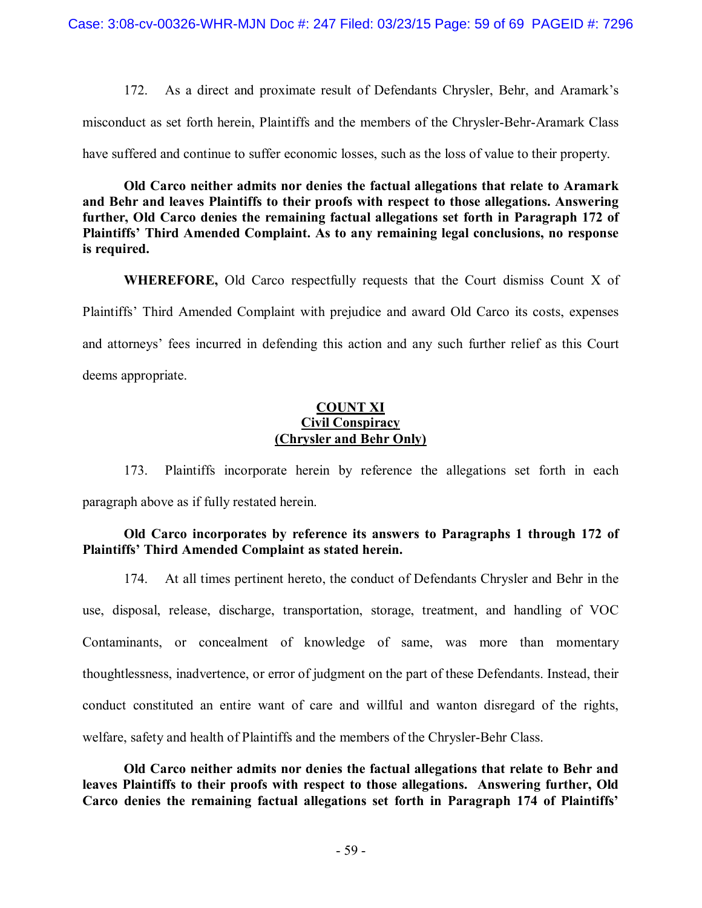172. As a direct and proximate result of Defendants Chrysler, Behr, and Aramark's

misconduct as set forth herein, Plaintiffs and the members of the Chrysler-Behr-Aramark Class

have suffered and continue to suffer economic losses, such as the loss of value to their property.

**Old Carco neither admits nor denies the factual allegations that relate to Aramark and Behr and leaves Plaintiffs to their proofs with respect to those allegations. Answering further, Old Carco denies the remaining factual allegations set forth in Paragraph 172 of Plaintiffs' Third Amended Complaint. As to any remaining legal conclusions, no response is required.**

**WHEREFORE,** Old Carco respectfully requests that the Court dismiss Count X of Plaintiffs' Third Amended Complaint with prejudice and award Old Carco its costs, expenses and attorneys' fees incurred in defending this action and any such further relief as this Court deems appropriate.

## **COUNT XI Civil Conspiracy (Chrysler and Behr Only)**

173. Plaintiffs incorporate herein by reference the allegations set forth in each paragraph above as if fully restated herein.

## **Old Carco incorporates by reference its answers to Paragraphs 1 through 172 of Plaintiffs' Third Amended Complaint as stated herein.**

174. At all times pertinent hereto, the conduct of Defendants Chrysler and Behr in the use, disposal, release, discharge, transportation, storage, treatment, and handling of VOC Contaminants, or concealment of knowledge of same, was more than momentary thoughtlessness, inadvertence, or error of judgment on the part of these Defendants. Instead, their conduct constituted an entire want of care and willful and wanton disregard of the rights, welfare, safety and health of Plaintiffs and the members of the Chrysler-Behr Class.

**Old Carco neither admits nor denies the factual allegations that relate to Behr and leaves Plaintiffs to their proofs with respect to those allegations. Answering further, Old Carco denies the remaining factual allegations set forth in Paragraph 174 of Plaintiffs'**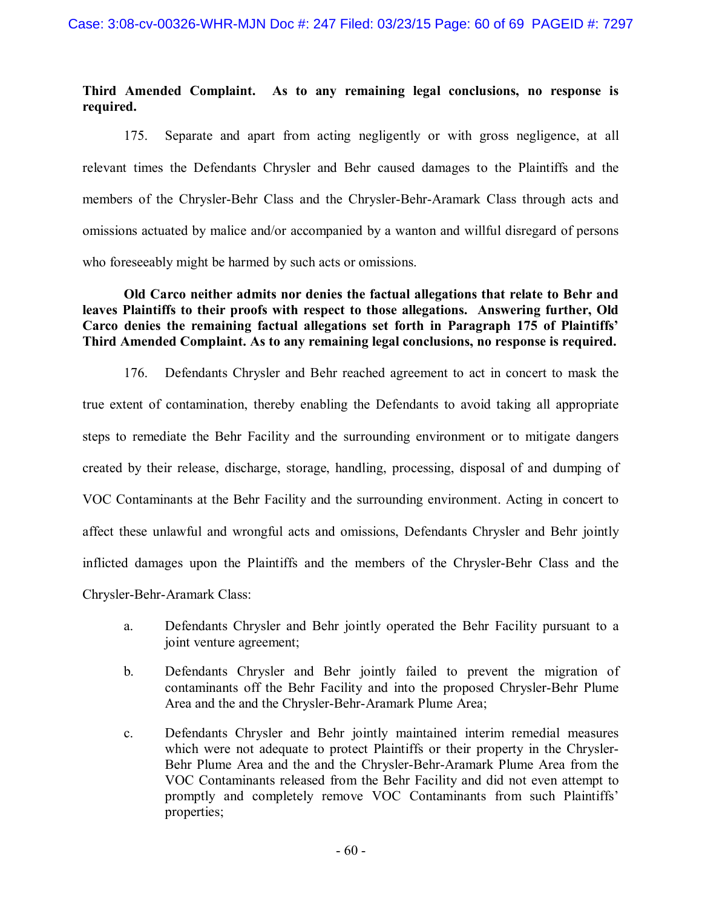## **Third Amended Complaint. As to any remaining legal conclusions, no response is required.**

175. Separate and apart from acting negligently or with gross negligence, at all relevant times the Defendants Chrysler and Behr caused damages to the Plaintiffs and the members of the Chrysler-Behr Class and the Chrysler-Behr-Aramark Class through acts and omissions actuated by malice and/or accompanied by a wanton and willful disregard of persons who foreseeably might be harmed by such acts or omissions.

**Old Carco neither admits nor denies the factual allegations that relate to Behr and leaves Plaintiffs to their proofs with respect to those allegations. Answering further, Old Carco denies the remaining factual allegations set forth in Paragraph 175 of Plaintiffs' Third Amended Complaint. As to any remaining legal conclusions, no response is required.**

176. Defendants Chrysler and Behr reached agreement to act in concert to mask the true extent of contamination, thereby enabling the Defendants to avoid taking all appropriate steps to remediate the Behr Facility and the surrounding environment or to mitigate dangers created by their release, discharge, storage, handling, processing, disposal of and dumping of VOC Contaminants at the Behr Facility and the surrounding environment. Acting in concert to affect these unlawful and wrongful acts and omissions, Defendants Chrysler and Behr jointly inflicted damages upon the Plaintiffs and the members of the Chrysler-Behr Class and the Chrysler-Behr-Aramark Class:

- a. Defendants Chrysler and Behr jointly operated the Behr Facility pursuant to a joint venture agreement;
- b. Defendants Chrysler and Behr jointly failed to prevent the migration of contaminants off the Behr Facility and into the proposed Chrysler-Behr Plume Area and the and the Chrysler-Behr-Aramark Plume Area;
- c. Defendants Chrysler and Behr jointly maintained interim remedial measures which were not adequate to protect Plaintiffs or their property in the Chrysler-Behr Plume Area and the and the Chrysler-Behr-Aramark Plume Area from the VOC Contaminants released from the Behr Facility and did not even attempt to promptly and completely remove VOC Contaminants from such Plaintiffs' properties;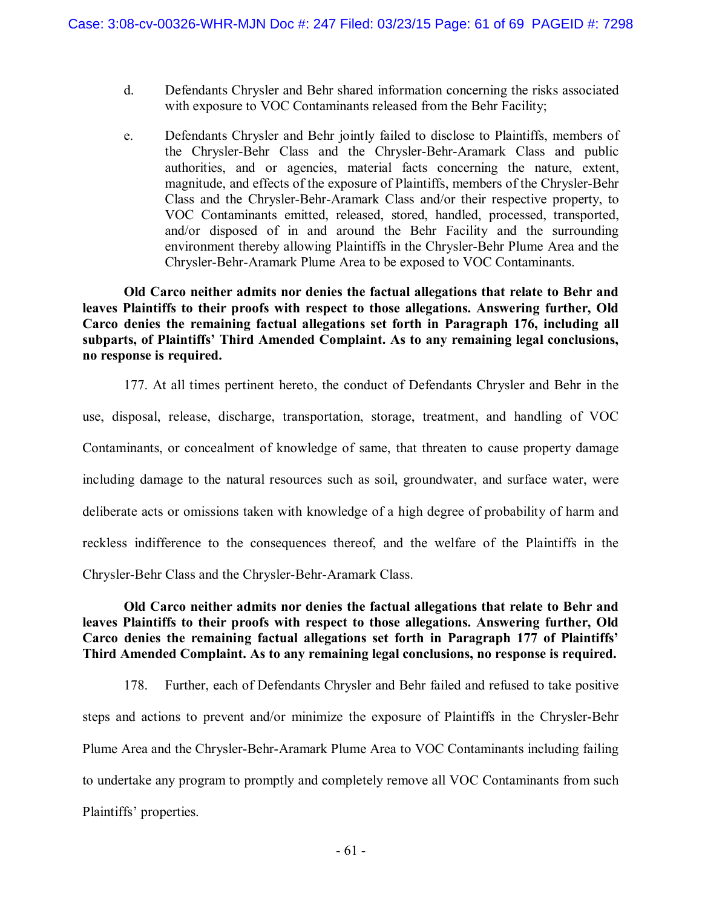- d. Defendants Chrysler and Behr shared information concerning the risks associated with exposure to VOC Contaminants released from the Behr Facility;
- e. Defendants Chrysler and Behr jointly failed to disclose to Plaintiffs, members of the Chrysler-Behr Class and the Chrysler-Behr-Aramark Class and public authorities, and or agencies, material facts concerning the nature, extent, magnitude, and effects of the exposure of Plaintiffs, members of the Chrysler-Behr Class and the Chrysler-Behr-Aramark Class and/or their respective property, to VOC Contaminants emitted, released, stored, handled, processed, transported, and/or disposed of in and around the Behr Facility and the surrounding environment thereby allowing Plaintiffs in the Chrysler-Behr Plume Area and the Chrysler-Behr-Aramark Plume Area to be exposed to VOC Contaminants.

**Old Carco neither admits nor denies the factual allegations that relate to Behr and leaves Plaintiffs to their proofs with respect to those allegations. Answering further, Old Carco denies the remaining factual allegations set forth in Paragraph 176, including all subparts, of Plaintiffs' Third Amended Complaint. As to any remaining legal conclusions, no response is required.**

177. At all times pertinent hereto, the conduct of Defendants Chrysler and Behr in the use, disposal, release, discharge, transportation, storage, treatment, and handling of VOC Contaminants, or concealment of knowledge of same, that threaten to cause property damage including damage to the natural resources such as soil, groundwater, and surface water, were deliberate acts or omissions taken with knowledge of a high degree of probability of harm and reckless indifference to the consequences thereof, and the welfare of the Plaintiffs in the Chrysler-Behr Class and the Chrysler-Behr-Aramark Class.

**Old Carco neither admits nor denies the factual allegations that relate to Behr and leaves Plaintiffs to their proofs with respect to those allegations. Answering further, Old Carco denies the remaining factual allegations set forth in Paragraph 177 of Plaintiffs' Third Amended Complaint. As to any remaining legal conclusions, no response is required.**

178. Further, each of Defendants Chrysler and Behr failed and refused to take positive steps and actions to prevent and/or minimize the exposure of Plaintiffs in the Chrysler-Behr Plume Area and the Chrysler-Behr-Aramark Plume Area to VOC Contaminants including failing to undertake any program to promptly and completely remove all VOC Contaminants from such Plaintiffs' properties.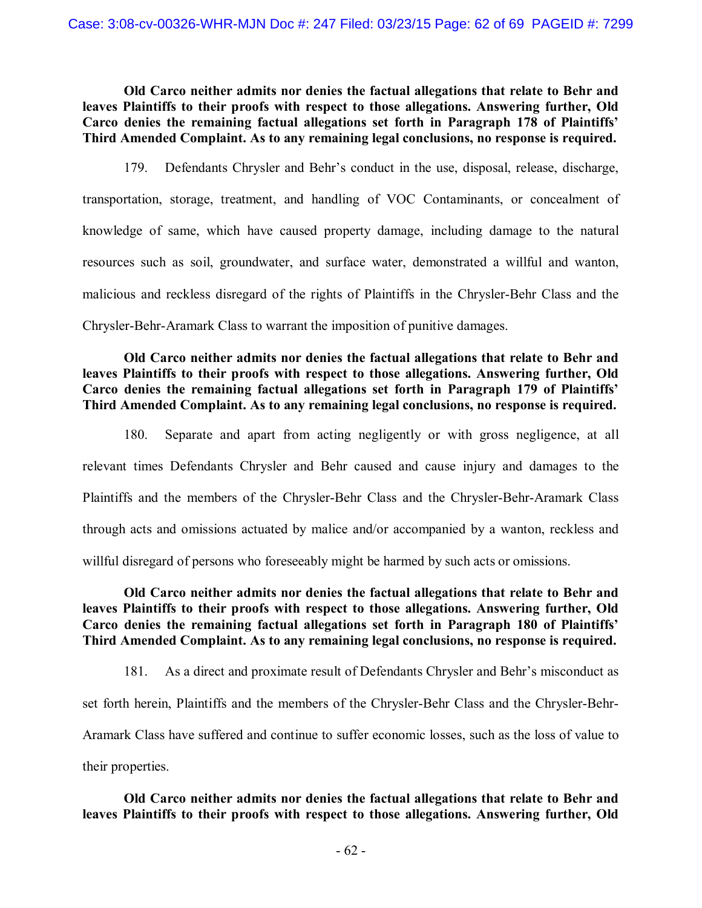**Old Carco neither admits nor denies the factual allegations that relate to Behr and leaves Plaintiffs to their proofs with respect to those allegations. Answering further, Old Carco denies the remaining factual allegations set forth in Paragraph 178 of Plaintiffs' Third Amended Complaint. As to any remaining legal conclusions, no response is required.**

179. Defendants Chrysler and Behr's conduct in the use, disposal, release, discharge, transportation, storage, treatment, and handling of VOC Contaminants, or concealment of knowledge of same, which have caused property damage, including damage to the natural resources such as soil, groundwater, and surface water, demonstrated a willful and wanton, malicious and reckless disregard of the rights of Plaintiffs in the Chrysler-Behr Class and the Chrysler-Behr-Aramark Class to warrant the imposition of punitive damages.

**Old Carco neither admits nor denies the factual allegations that relate to Behr and leaves Plaintiffs to their proofs with respect to those allegations. Answering further, Old Carco denies the remaining factual allegations set forth in Paragraph 179 of Plaintiffs' Third Amended Complaint. As to any remaining legal conclusions, no response is required.**

180. Separate and apart from acting negligently or with gross negligence, at all relevant times Defendants Chrysler and Behr caused and cause injury and damages to the Plaintiffs and the members of the Chrysler-Behr Class and the Chrysler-Behr-Aramark Class through acts and omissions actuated by malice and/or accompanied by a wanton, reckless and willful disregard of persons who foreseeably might be harmed by such acts or omissions.

**Old Carco neither admits nor denies the factual allegations that relate to Behr and leaves Plaintiffs to their proofs with respect to those allegations. Answering further, Old Carco denies the remaining factual allegations set forth in Paragraph 180 of Plaintiffs' Third Amended Complaint. As to any remaining legal conclusions, no response is required.**

181. As a direct and proximate result of Defendants Chrysler and Behr's misconduct as set forth herein, Plaintiffs and the members of the Chrysler-Behr Class and the Chrysler-Behr-Aramark Class have suffered and continue to suffer economic losses, such as the loss of value to their properties.

**Old Carco neither admits nor denies the factual allegations that relate to Behr and leaves Plaintiffs to their proofs with respect to those allegations. Answering further, Old**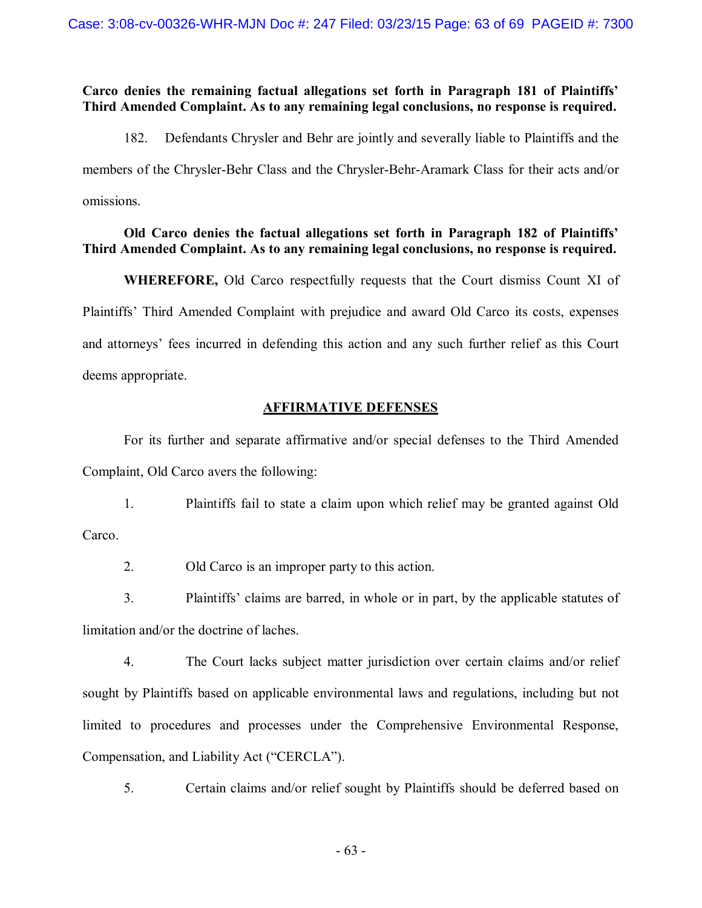### **Carco denies the remaining factual allegations set forth in Paragraph 181 of Plaintiffs' Third Amended Complaint. As to any remaining legal conclusions, no response is required.**

182. Defendants Chrysler and Behr are jointly and severally liable to Plaintiffs and the members of the Chrysler-Behr Class and the Chrysler-Behr-Aramark Class for their acts and/or omissions.

## **Old Carco denies the factual allegations set forth in Paragraph 182 of Plaintiffs' Third Amended Complaint. As to any remaining legal conclusions, no response is required.**

**WHEREFORE,** Old Carco respectfully requests that the Court dismiss Count XI of Plaintiffs' Third Amended Complaint with prejudice and award Old Carco its costs, expenses and attorneys' fees incurred in defending this action and any such further relief as this Court deems appropriate.

### **AFFIRMATIVE DEFENSES**

For its further and separate affirmative and/or special defenses to the Third Amended Complaint, Old Carco avers the following:

1. Plaintiffs fail to state a claim upon which relief may be granted against Old Carco.

2. Old Carco is an improper party to this action.

3. Plaintiffs' claims are barred, in whole or in part, by the applicable statutes of limitation and/or the doctrine of laches.

4. The Court lacks subject matter jurisdiction over certain claims and/or relief sought by Plaintiffs based on applicable environmental laws and regulations, including but not limited to procedures and processes under the Comprehensive Environmental Response, Compensation, and Liability Act ("CERCLA").

5. Certain claims and/or relief sought by Plaintiffs should be deferred based on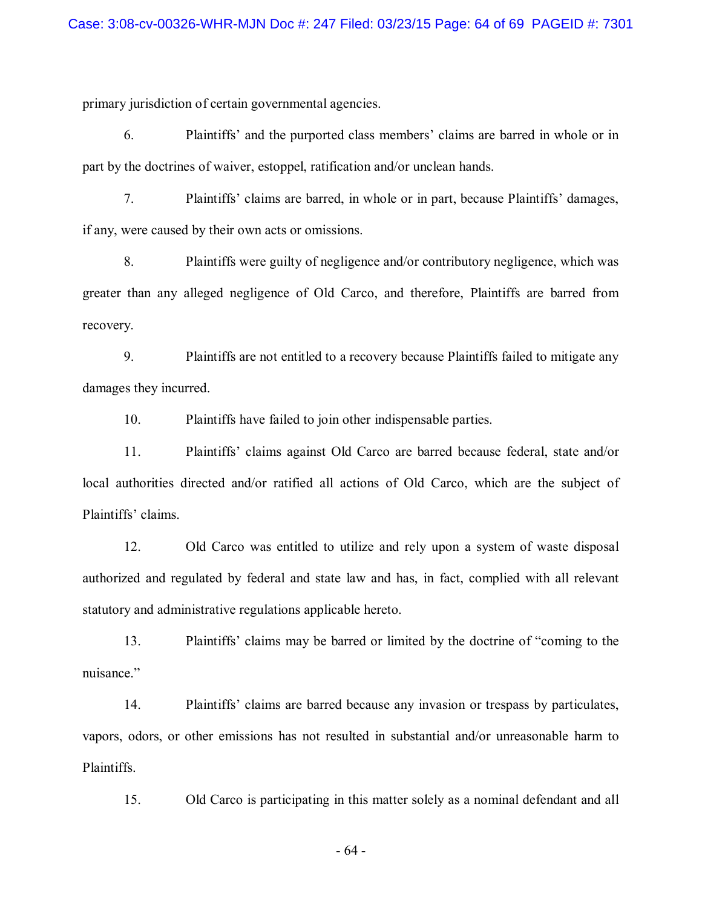primary jurisdiction of certain governmental agencies.

6. Plaintiffs' and the purported class members' claims are barred in whole or in part by the doctrines of waiver, estoppel, ratification and/or unclean hands.

7. Plaintiffs' claims are barred, in whole or in part, because Plaintiffs' damages, if any, were caused by their own acts or omissions.

8. Plaintiffs were guilty of negligence and/or contributory negligence, which was greater than any alleged negligence of Old Carco, and therefore, Plaintiffs are barred from recovery.

9. Plaintiffs are not entitled to a recovery because Plaintiffs failed to mitigate any damages they incurred.

10. Plaintiffs have failed to join other indispensable parties.

11. Plaintiffs' claims against Old Carco are barred because federal, state and/or local authorities directed and/or ratified all actions of Old Carco, which are the subject of Plaintiffs' claims.

12. Old Carco was entitled to utilize and rely upon a system of waste disposal authorized and regulated by federal and state law and has, in fact, complied with all relevant statutory and administrative regulations applicable hereto.

13. Plaintiffs' claims may be barred or limited by the doctrine of "coming to the nuisance."

14. Plaintiffs' claims are barred because any invasion or trespass by particulates, vapors, odors, or other emissions has not resulted in substantial and/or unreasonable harm to Plaintiffs.

15. Old Carco is participating in this matter solely as a nominal defendant and all

- 64 -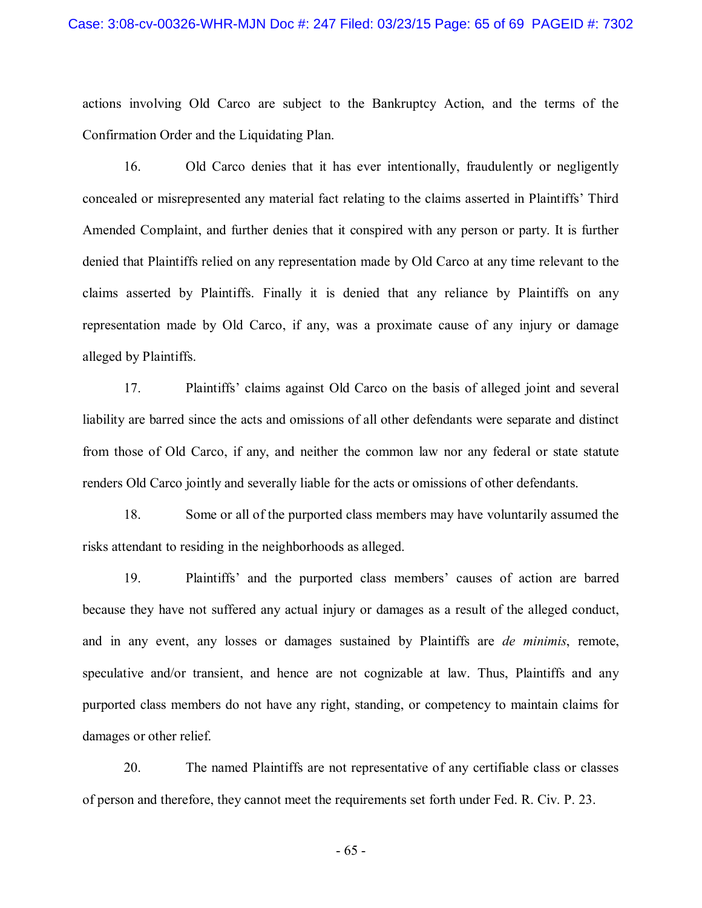actions involving Old Carco are subject to the Bankruptcy Action, and the terms of the Confirmation Order and the Liquidating Plan.

16. Old Carco denies that it has ever intentionally, fraudulently or negligently concealed or misrepresented any material fact relating to the claims asserted in Plaintiffs' Third Amended Complaint, and further denies that it conspired with any person or party. It is further denied that Plaintiffs relied on any representation made by Old Carco at any time relevant to the claims asserted by Plaintiffs. Finally it is denied that any reliance by Plaintiffs on any representation made by Old Carco, if any, was a proximate cause of any injury or damage alleged by Plaintiffs.

17. Plaintiffs' claims against Old Carco on the basis of alleged joint and several liability are barred since the acts and omissions of all other defendants were separate and distinct from those of Old Carco, if any, and neither the common law nor any federal or state statute renders Old Carco jointly and severally liable for the acts or omissions of other defendants.

18. Some or all of the purported class members may have voluntarily assumed the risks attendant to residing in the neighborhoods as alleged.

19. Plaintiffs' and the purported class members' causes of action are barred because they have not suffered any actual injury or damages as a result of the alleged conduct, and in any event, any losses or damages sustained by Plaintiffs are *de minimis*, remote, speculative and/or transient, and hence are not cognizable at law. Thus, Plaintiffs and any purported class members do not have any right, standing, or competency to maintain claims for damages or other relief.

20. The named Plaintiffs are not representative of any certifiable class or classes of person and therefore, they cannot meet the requirements set forth under Fed. R. Civ. P. 23.

- 65 -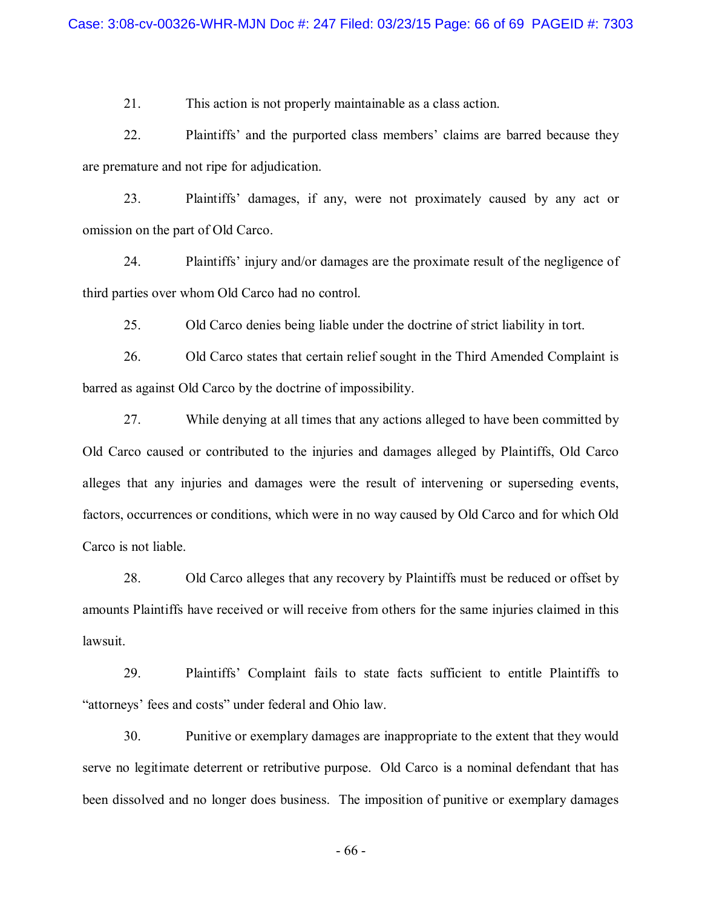21. This action is not properly maintainable as a class action.

22. Plaintiffs' and the purported class members' claims are barred because they are premature and not ripe for adjudication.

23. Plaintiffs' damages, if any, were not proximately caused by any act or omission on the part of Old Carco.

24. Plaintiffs' injury and/or damages are the proximate result of the negligence of third parties over whom Old Carco had no control.

25. Old Carco denies being liable under the doctrine of strict liability in tort.

26. Old Carco states that certain relief sought in the Third Amended Complaint is barred as against Old Carco by the doctrine of impossibility.

27. While denying at all times that any actions alleged to have been committed by Old Carco caused or contributed to the injuries and damages alleged by Plaintiffs, Old Carco alleges that any injuries and damages were the result of intervening or superseding events, factors, occurrences or conditions, which were in no way caused by Old Carco and for which Old Carco is not liable.

28. Old Carco alleges that any recovery by Plaintiffs must be reduced or offset by amounts Plaintiffs have received or will receive from others for the same injuries claimed in this lawsuit.

29. Plaintiffs' Complaint fails to state facts sufficient to entitle Plaintiffs to "attorneys' fees and costs" under federal and Ohio law.

30. Punitive or exemplary damages are inappropriate to the extent that they would serve no legitimate deterrent or retributive purpose. Old Carco is a nominal defendant that has been dissolved and no longer does business. The imposition of punitive or exemplary damages

- 66 -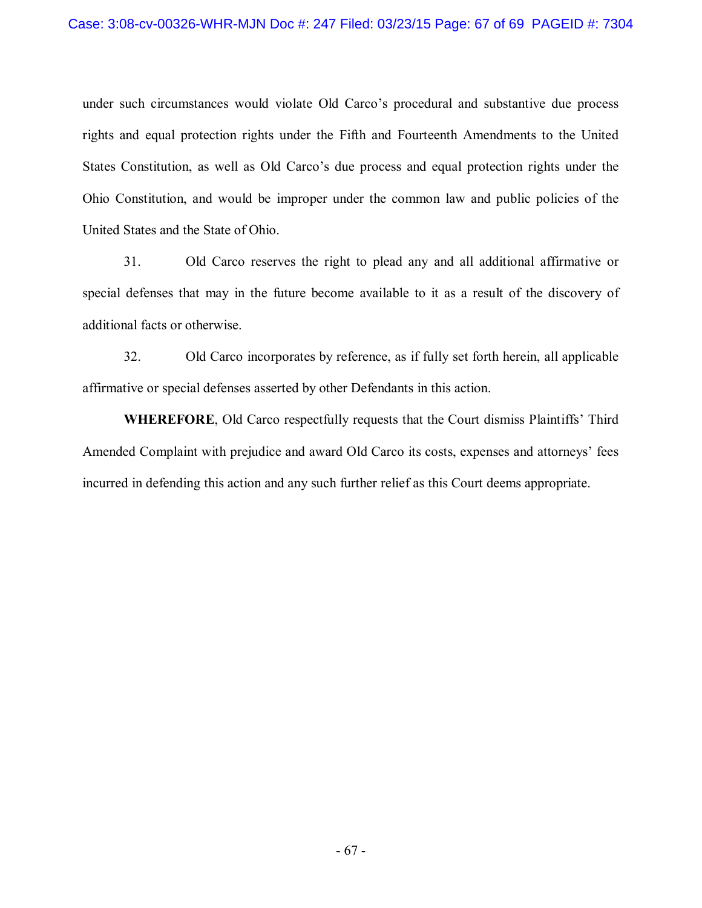under such circumstances would violate Old Carco's procedural and substantive due process rights and equal protection rights under the Fifth and Fourteenth Amendments to the United States Constitution, as well as Old Carco's due process and equal protection rights under the Ohio Constitution, and would be improper under the common law and public policies of the United States and the State of Ohio.

31. Old Carco reserves the right to plead any and all additional affirmative or special defenses that may in the future become available to it as a result of the discovery of additional facts or otherwise.

32. Old Carco incorporates by reference, as if fully set forth herein, all applicable affirmative or special defenses asserted by other Defendants in this action.

**WHEREFORE**, Old Carco respectfully requests that the Court dismiss Plaintiffs' Third Amended Complaint with prejudice and award Old Carco its costs, expenses and attorneys' fees incurred in defending this action and any such further relief as this Court deems appropriate.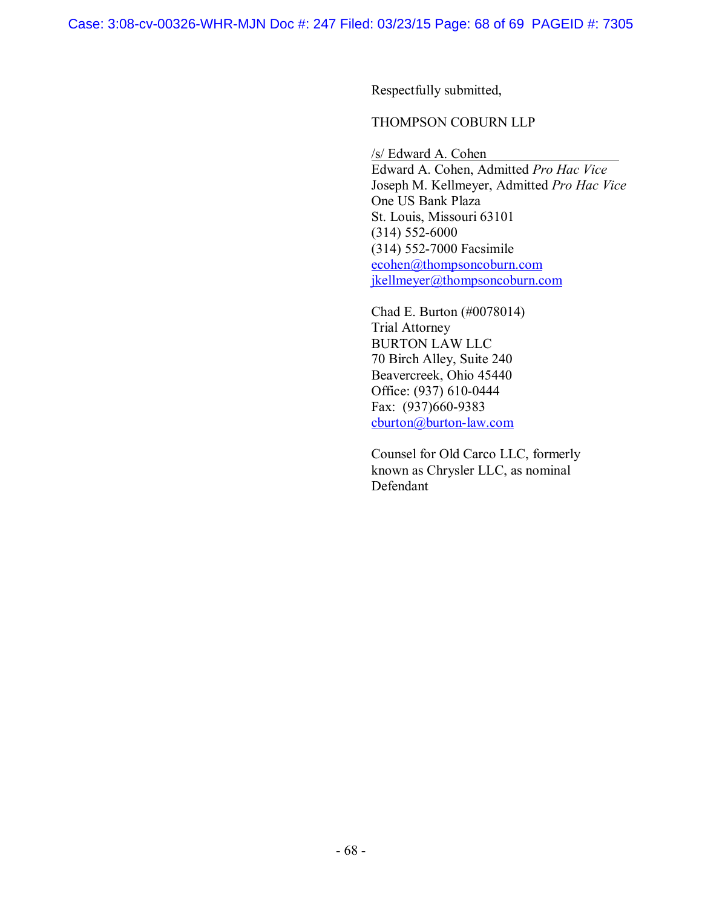Respectfully submitted,

#### THOMPSON COBURN LLP

/s/ Edward A. Cohen Edward A. Cohen, Admitted *Pro Hac Vice* Joseph M. Kellmeyer, Admitted *Pro Hac Vice* One US Bank Plaza St. Louis, Missouri 63101 (314) 552-6000 (314) 552-7000 Facsimile ecohen@thompsoncoburn.com jkellmeyer@thompsoncoburn.com

Chad E. Burton (#0078014) Trial Attorney BURTON LAW LLC 70 Birch Alley, Suite 240 Beavercreek, Ohio 45440 Office: (937) 610-0444 Fax: (937)660-9383 cburton@burton-law.com

Counsel for Old Carco LLC, formerly known as Chrysler LLC, as nominal Defendant